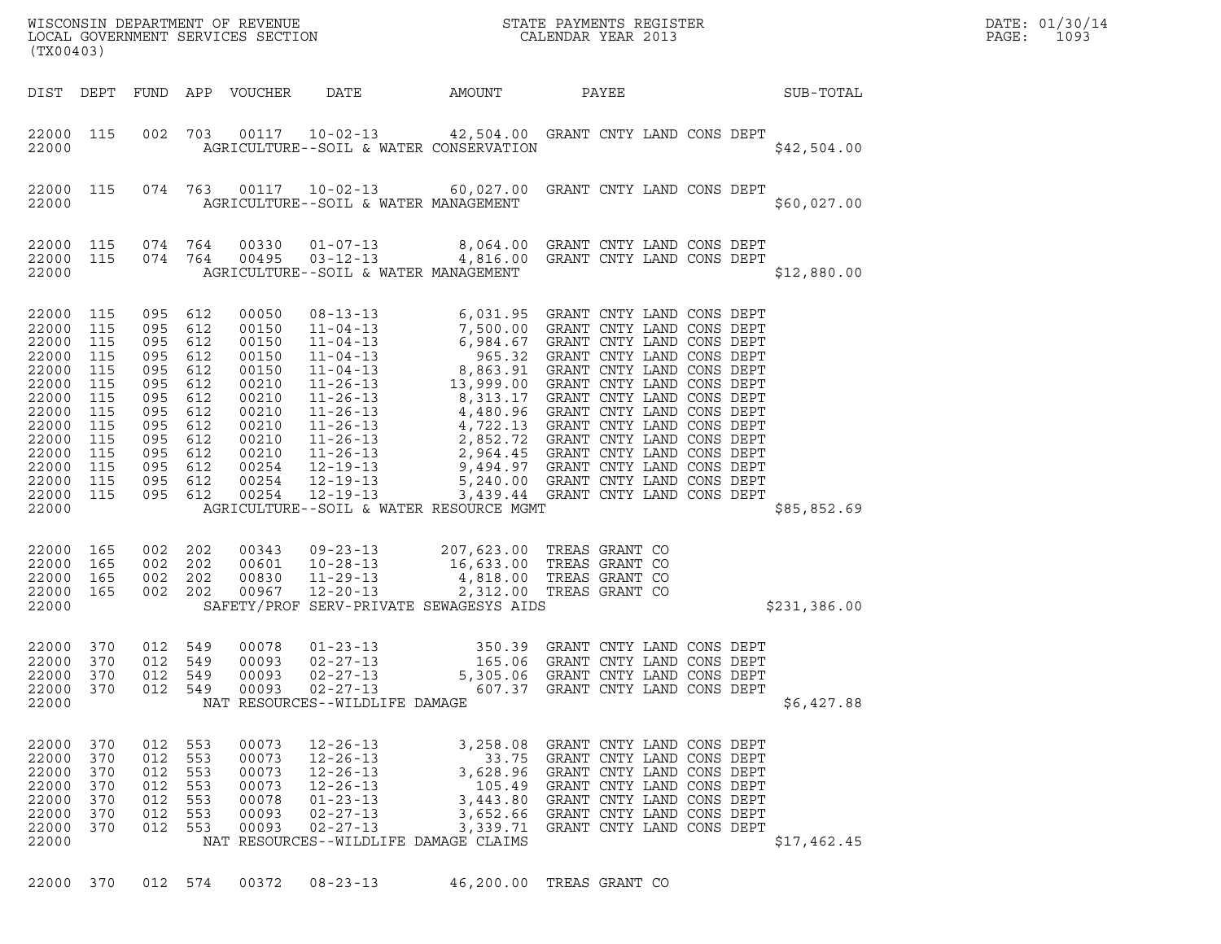| WISCONSIN DEPARTMENT OF REVENUE<br>LOCAL GOVERNMENT SERVICES SECTION<br>$(mv \wedge \wedge \wedge \wedge)$ | STATE PAYMENTS REGISTER<br>CALENDAR YEAR 2013 | DATE: 01/30/14<br>1093<br>PAGE: |
|------------------------------------------------------------------------------------------------------------|-----------------------------------------------|---------------------------------|

WISCONSIN DEPARTMENT OF REVENUE<br>LOCAL GOVERNMENT SERVICES SECTION FOR THE STATE PAYMENTS REGISTER FOR THE PAGE: 1093<br>(TX00403) (TX00403) DIST DEPT FUND APP VOUCHER DATE AMOUNT PAYEE PATE SUB-TOTAL 22000 115 002 703 00117 10-02-13 42,504.00 GRANT CNTY LAND CONS DEPT 22000 115 002 703 00117 10-02-13 42,504.00 GRANT CNTY LAND CONS DEPT<br>22000 AGRICULTURE--SOIL & WATER CONSERVATION \$42,504.00 22000 115 074 763 00117 10-02-13 60,027.00 GRANT CNTY LAND CONS DEPT 22000 112 AGRICULTURE--SOIL & WATER MANAGEMENT \$60,027.00 22000 AGRICULTURE--SOIL & WATER MANAGEMENT<br>22000 115 074 764 00330 01-07-13 8,064.00 GRANT CNTY LAND CONS DEPT<br>22000 115 074 764 00495 03-12-13 4,816.00 22000 115 074 764 00330 01-07-13 8,064.00 GRANT CNTY LAND CONS DEPT<br>22000 115 074 764 00495 03-12-13 4,816.00 GRANT CNTY LAND CONS DEPT<br>22000 AGRICULTURE--SOIL & WATER MANAGEMENT <sup>22000</sup> AGRICULTURE--SOIL & WATER MANAGEMENT \$12,880.00 22000 115 095 612 00050 08-13-13 6,031.95 GRANT CNTY LAND CONS DEPT 22000 115 095 612 00150 11-04-13 7,500.00 GRANT CNTY LAND CONS DEPT 22000 115 095 612 00150 11-04-13 6,984.67 GRANT CNTY LAND CONS DEPT 22000 115 095 612 00050 08-13-13 6,031.95 GRANT CNTY LAND CONS DEPT<br>22000 115 095 612 00150 11-04-13 7,500.00 GRANT CNTY LAND CONS DEPT<br>22000 115 095 612 00150 11-04-13 6,984.67 GRANT CNTY LAND CONS DEPT<br>22000 115 095 612 22000 115 095 612 00150 11-04-13 7,500.00 GRANT CNTY LAND CONS DEPT<br>22000 115 095 612 00150 11-04-13 6,984.67 GRANT CNTY LAND CONS DEPT<br>22000 115 095 612 00150 11-04-13 8,863.91 GRANT CNTY LAND CONS DEPT<br>22000 115 095 612 22000 115 095 612 00150 11-04-13 6,984.67 GRANT CNTY LAND CONS DEPT<br>22000 115 095 612 00150 11-04-13 8,863.92 GRANT CNTY LAND CONS DEPT<br>22000 115 095 612 00210 11-04-13 8,863.91 GRANT CNTY LAND CONS DEPT<br>22000 115 095 612 22000 115 095 612 00150 11-04-13 865.32 GRANT CNTY LAND CONS DEPT<br>22000 115 095 612 00150 11-04-13 8,863.91 GRANT CNTY LAND CONS DEPT<br>22000 115 095 612 00210 11-26-13 8,313.17 GRANT CNTY LAND CONS DEPT<br>22000 115 095 612 00 22000 115 095 612 00150 11-04-13 8,863.91 GRANT CNTY LAND CONS DEPT<br>22000 115 095 612 00210 11-26-13 8,863.91 GRANT CNTY LAND CONS DEPT<br>22000 115 095 612 00210 11-26-13 8,313.17 GRANT CNTY LAND CONS DEPT<br>22000 115 095 612  $22000$  115 095 612 00210 11-26-13 13,999.00 GRANT CNTY LAND CONS DEPT<br>  $22000$  115 095 612 00210 11-26-13 8,313.17 GRANT CNTY LAND CONS DEPT<br>  $22000$  115 095 612 00210 11-26-13 4,480.96 GRANT CNTY LAND CONS DEPT<br>  $22000$ 22000 115 095 612 00210 11-26-13 8,313.17 GRANT CNTY LAND CONS DEPT<br>22000 115 095 612 00210 11-26-13 4,480.96 GRANT CNTY LAND CONS DEPT<br>22000 115 095 612 00210 11-26-13 4,722.13 GRANT CNTY LAND CONS DEPT<br>22000 115 095 612 22000 115 095 612 00210 11-26-13 4,480.96 GRANT CNTY LAND CONS DEPT<br>22000 115 095 612 00210 11-26-13 4,722.13 GRANT CNTY LAND CONS DEPT<br>22000 115 095 612 00210 11-26-13 2,852.72 GRANT CNTY LAND CONS DEPT<br>22000 115 095 612 22000 115 095 612 00210 11-26-13 4,722.13 GRANT CNTY LAND CONS DEPT<br>22000 115 095 612 00210 11-26-13 2,852.72 GRANT CNTY LAND CONS DEPT<br>22000 115 095 612 00254 12-19-13 9,494.97 GRANT CNTY LAND CONS DEPT<br>22000 115 095 612 22000 115 095 612 00210 11-26-13 2,852.72 GRANT CNTY LAND CONS DEPT<br>22000 115 095 612 00210 11-26-13 2,964.45 GRANT CNTY LAND CONS DEPT<br>22000 115 095 612 00254 12-19-13 5,240.00 GRANT CNTY LAND CONS DEPT<br>22000 115 095 612 22000 115 095 612 00210 11-26-13 2,964.45 GRANT CNTY LAND CONS DEPT<br>22000 115 095 612 00254 12-19-13 9,494.97 GRANT CNTY LAND CONS DEPT<br>22000 115 095 612 00254 12-19-13 5,439.44 GRANT CNTY LAND CONS DEPT<br>22000 115 095 612 22000 115 095 612 00254 12-19-13 9,494.97 GRANT CNTY LAND CONS DEPT<br>22000 115 095 612 00254 12-19-13 5,240.00 GRANT CNTY LAND CONS DEPT<br>22000 115 095 612 00254 12-19-13 3,439.44 GRANT CNTY LAND CONS DEPT<br>22000 22000 165 002 202 00343 09-23-13 207,623.00 TREAS GRANT CO 22000 165 002 202 00343 09-23-13 207,623.00 TREAS GRANT CO<br>22000 165 002 202 00601 10-28-13 16,633.00 TREAS GRANT CO<br>22000 165 002 202 00830 11-29-13 4.818.00 TREAS GRANT CO 22000 165 002 202 00343 09-23-13 207,623.00 TREAS GRANT CO<br>22000 165 002 202 00601 10-28-13 16,633.00 TREAS GRANT CO<br>22000 165 002 202 00830 11-29-13 4,818.00 TREAS GRANT CO<br>22000 165 002 202 00967 12-20-13 2,312.00 TREAS 22000 165 002 202 00343 09-23-13 207,623.00 TREAS GRANT CO<br>22000 165 002 202 00601 10-28-13 16,633.00 TREAS GRANT CO<br>22000 165 002 202 00830 11-29-13 4,818.00 TREAS GRANT CO<br>22000 165 002 202 00967 12-20-13 2,312.00 TREAS <sup>22000</sup> SAFETY/PROF SERV-PRIVATE SEWAGESYS AIDS \$231,386.00 22000 370 012 549 00078 01-23-13 350.39 GRANT CNTY LAND CONS DEPT 22000 370 012 549 00093 02-27-13 165.06 GRANT CNTY LAND CONS DEPT 22000 370 012 549 00093 02-27-13 5,305.06 GRANT CNTY LAND CONS DEPT 22000 370 012 549 00078 01-23-13 350.39 GRANT CNTY LAND CONS DEPT<br>22000 370 012 549 00093 02-27-13 5,305.06 GRANT CNTY LAND CONS DEPT<br>22000 370 012 549 00093 02-27-13 5,305.06 GRANT CNTY LAND CONS DEPT<br>22000 370 012 549 00 22000 370 012 549 00093 02-27-13 165.06 GRANT CNTY LAND CONS DEPT<br>22000 370 012 549 00093 02-27-13 5,305.06 GRANT CNTY LAND CONS DEPT<br>22000 370 012 549 00093 02-27-13 607.37 GRANT CNTY LAND CONS DEPT<br>22000 22000 370 012 553 00073 12-26-13 3,258.08 GRANT CNTY LAND CONS DEPT 22000 370 012 553 00073 12-26-13 33.75 GRANT CNTY LAND CONS DEPT 22000 370 012 553 00073 12-26-13 3,258.08 GRANT CNTY LAND CONS DEPT<br>22000 370 012 553 00073 12-26-13 33.75 GRANT CNTY LAND CONS DEPT<br>22000 370 012 553 00073 12-26-13 3,628.96 GRANT CNTY LAND CONS DEPT<br>22000 370 012 553 000 22000 370 012 553 00073 12-26-13 3,258.08 GRANT CNTY LAND CONS DEPT<br>22000 370 012 553 00073 12-26-13 33.75 GRANT CNTY LAND CONS DEPT<br>22000 370 012 553 00073 12-26-13 3,628.96 GRANT CNTY LAND CONS DEPT<br>22000 370 012 553 000 22000 370 012 553 00073 12-26-13 33.75 GRANT CNTY LAND CONS DEPT<br>22000 370 012 553 00073 12-26-13 3,628.96 GRANT CNTY LAND CONS DEPT<br>22000 370 012 553 00073 12-26-13 143.80 GRANT CNTY LAND CONS DEPT<br>22000 370 012 553 00078 22000 370 012 553 00073 12-26-13 3,628.96 GRANT CNTY LAND CONS DEPT<br>22000 370 012 553 00073 12-26-13 3,628.96 GRANT CNTY LAND CONS DEPT<br>22000 370 012 553 00078 01-23-13 3,452.66 GRANT CNTY LAND CONS DEPT<br>22000 370 012 553 22000 370 012 553 00073 12-26-13 105.49 GRANT CNTY LAND CONS DEPT<br>22000 370 012 553 00078 01-23-13 3,443.80 GRANT CNTY LAND CONS DEPT<br>22000 370 012 553 00093 02-27-13 3,652.6 GRANT CNTY LAND CONS DEPT<br>22000 370 012 553 000 22000 370 012 553 00078 01-23-13 3,443.80 GRANT CNTY LAND CONS DEPT<br>22000 370 012 553 00093 02-27-13 3,652.66 GRANT CNTY LAND CONS DEPT<br>22000 370 012 553 00093 02-27-13 3,339.71 GRANT CNTY LAND CONS DEPT<br>22000 NAT RESOURCES--WILDLIFE DAMAGE CLAIMS (\$17,462.45)<br>22000 370 012 574 00372 08-23-13 46,200.00 TREAS GRANT CO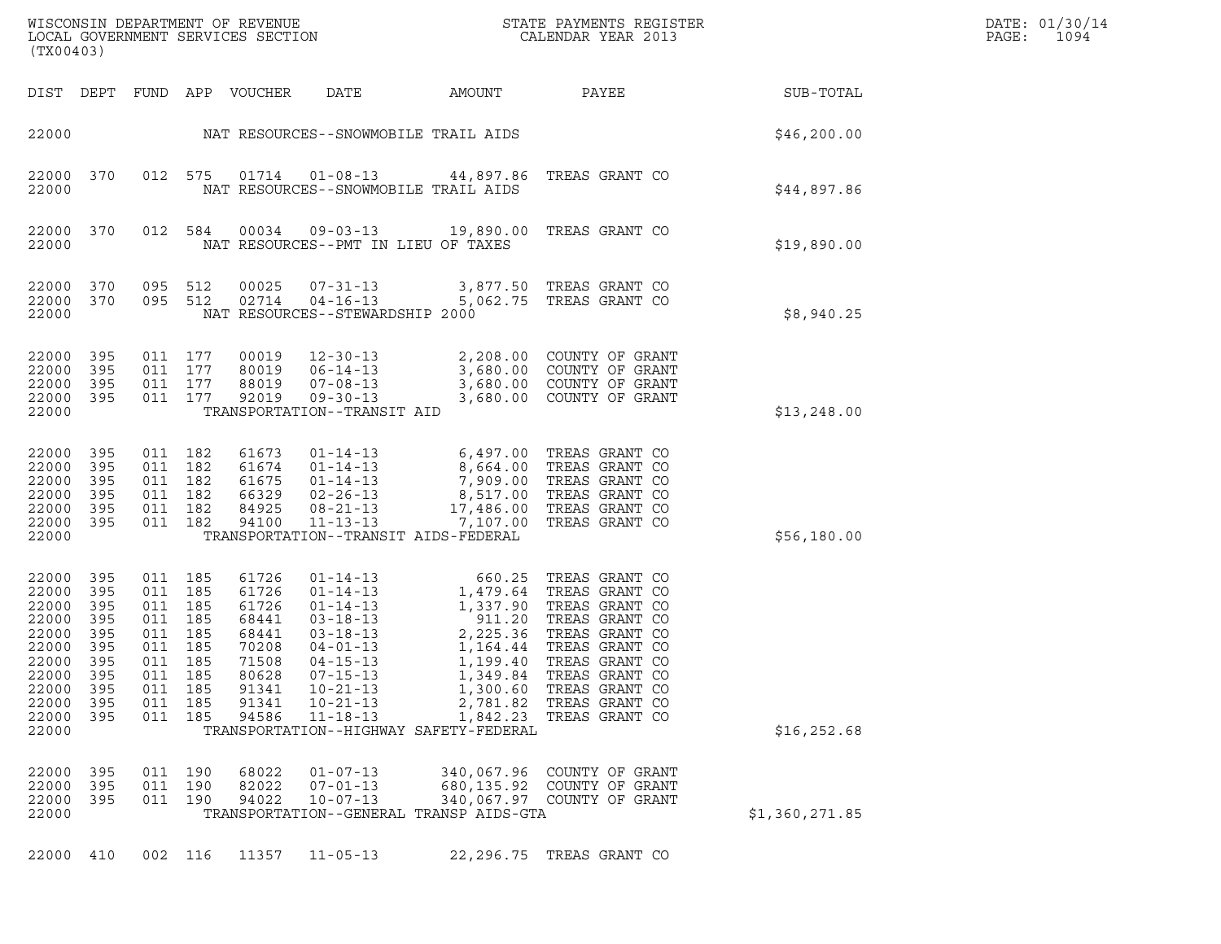| (TX00403)                                                                                                |                                                                             |                                                                                       |                                                      | LOCAL GOVERNMENT SERVICES SECTION                                                               |                                                                                                                                                                                              |                                                                                                                                                                                                                  | ${\tt WISCONSIM} \begin{tabular}{l} DEPARTMENT OF REVIEW \\ LOCAL GOVERNMENT SERVICES SECTION \\ \end{tabular} \begin{tabular}{l} \multicolumn{2}{c}{\textbf{S}} \\ \multicolumn{2}{c}{\textbf{S}} \\ \multicolumn{2}{c}{\textbf{S}} \\ \multicolumn{2}{c}{\textbf{A}} \\ \multicolumn{2}{c}{\textbf{A}} \\ \multicolumn{2}{c}{\textbf{A}} \\ \multicolumn{2}{c}{\textbf{A}} \\ \multicolumn{2}{c}{\textbf{A}} \\ \multicolumn{2}{c}{\textbf{A}} \\ \multicolumn{2}{c}{\textbf{A}} \\ \multicolumn{2}{c}{\textbf{A$ |                | DATE: 01/30/14<br>PAGE:<br>1094 |
|----------------------------------------------------------------------------------------------------------|-----------------------------------------------------------------------------|---------------------------------------------------------------------------------------|------------------------------------------------------|-------------------------------------------------------------------------------------------------|----------------------------------------------------------------------------------------------------------------------------------------------------------------------------------------------|------------------------------------------------------------------------------------------------------------------------------------------------------------------------------------------------------------------|---------------------------------------------------------------------------------------------------------------------------------------------------------------------------------------------------------------------------------------------------------------------------------------------------------------------------------------------------------------------------------------------------------------------------------------------------------------------------------------------------------------------|----------------|---------------------------------|
| DIST DEPT                                                                                                |                                                                             |                                                                                       |                                                      | FUND APP VOUCHER                                                                                | DATE                                                                                                                                                                                         | AMOUNT                                                                                                                                                                                                           | PAYEE                                                                                                                                                                                                                                                                                                                                                                                                                                                                                                               | SUB-TOTAL      |                                 |
| 22000                                                                                                    |                                                                             |                                                                                       |                                                      |                                                                                                 |                                                                                                                                                                                              | NAT RESOURCES--SNOWMOBILE TRAIL AIDS                                                                                                                                                                             |                                                                                                                                                                                                                                                                                                                                                                                                                                                                                                                     | \$46, 200.00   |                                 |
| 22000<br>22000                                                                                           | 370                                                                         | 012 575                                                                               |                                                      | 01714                                                                                           | $01 - 08 - 13$<br>NAT RESOURCES--SNOWMOBILE TRAIL AIDS                                                                                                                                       |                                                                                                                                                                                                                  | 44,897.86 TREAS GRANT CO                                                                                                                                                                                                                                                                                                                                                                                                                                                                                            | \$44,897.86    |                                 |
| 22000<br>22000                                                                                           | 370                                                                         | 012 584                                                                               |                                                      | 00034                                                                                           | 09-03-13<br>NAT RESOURCES--PMT IN LIEU OF TAXES                                                                                                                                              |                                                                                                                                                                                                                  | 19,890.00 TREAS GRANT CO                                                                                                                                                                                                                                                                                                                                                                                                                                                                                            | \$19,890.00    |                                 |
| 22000<br>22000 370<br>22000                                                                              | 370                                                                         | 095 512<br>095 512                                                                    |                                                      | 00025<br>02714                                                                                  | $07 - 31 - 13$<br>$04 - 16 - 13$<br>NAT RESOURCES--STEWARDSHIP 2000                                                                                                                          | 3,877.50<br>5,062.75                                                                                                                                                                                             | TREAS GRANT CO<br>TREAS GRANT CO                                                                                                                                                                                                                                                                                                                                                                                                                                                                                    | \$8,940.25     |                                 |
| 22000<br>22000<br>22000<br>22000<br>22000                                                                | 395<br>395<br>395<br>395                                                    | 011 177<br>011 177<br>011 177<br>011 177                                              |                                                      | 00019<br>80019<br>88019<br>92019                                                                | $12 - 30 - 13$<br>$06 - 14 - 13$<br>$07 - 08 - 13$<br>$09 - 30 - 13$<br>TRANSPORTATION--TRANSIT AID                                                                                          | 3,680.00                                                                                                                                                                                                         | 2,208.00 COUNTY OF GRANT<br>3,680.00 COUNTY OF GRANT<br>3,680.00 COUNTY OF GRANT<br>COUNTY OF GRANT                                                                                                                                                                                                                                                                                                                                                                                                                 | \$13, 248.00   |                                 |
| 22000<br>22000<br>22000<br>22000<br>22000<br>22000 395<br>22000                                          | 395<br>395<br>395<br>395<br>395                                             | 011 182<br>011 182<br>011 182<br>011 182<br>011                                       | 182<br>011 182                                       | 61673<br>61674<br>61675<br>66329<br>84925<br>94100                                              | $01 - 14 - 13$<br>$01 - 14 - 13$<br>$01 - 14 - 13$<br>$02 - 26 - 13$<br>$08 - 21 - 13$<br>$11 - 13 - 13$                                                                                     | $7,909.00$<br>$7,909.00$<br>$8,517.00$<br>$105.00$<br>17,486.00<br>7,107.00<br>TRANSPORTATION--TRANSIT AIDS-FEDERAL                                                                                              | 6,497.00 TREAS GRANT CO<br>8,664.00 TREAS CRANT CO<br>TREAS GRANT CO<br>TREAS GRANT CO<br>TREAS GRANT CO<br>TREAS GRANT CO                                                                                                                                                                                                                                                                                                                                                                                          | \$56,180.00    |                                 |
| 22000<br>22000<br>22000<br>22000<br>22000<br>22000<br>22000<br>22000<br>22000<br>22000<br>22000<br>22000 | 395<br>395<br>395<br>395<br>395<br>395<br>- 395<br>395<br>395<br>395<br>395 | 011 185<br>011<br>011 185<br>011<br>011<br>011<br>011 185<br>011<br>011<br>011<br>011 | 185<br>185<br>185<br>185<br>185<br>185<br>185<br>185 | 61726<br>61726<br>61726<br>68441<br>68441<br>70208<br>71508<br>80628<br>91341<br>91341<br>94586 | $01 - 14 - 13$<br>$01 - 14 - 13$<br>$01 - 14 - 13$<br>$03 - 18 - 13$<br>03-18-13<br>$04 - 01 - 13$<br>$04 - 15 - 13$<br>$07 - 15 - 13$<br>$10 - 21 - 13$<br>$10 - 21 - 13$<br>$11 - 18 - 13$ | 660.25<br>$\begin{array}{r} 3860.25 \\ 1,479.64 \\ 1,337.90 \\ 911.20 \\ 2,225.36 \end{array}$<br>1,164.44<br>1,199.40<br>1,349.84<br>1,300.60<br>2,781.82<br>1,842.23<br>TRANSPORTATION--HIGHWAY SAFETY-FEDERAL | TREAS GRANT CO<br>TREAS GRANT CO<br>TREAS GRANT CO<br>TREAS GRANT CO<br>TREAS GRANT CO<br>TREAS GRANT CO<br>TREAS GRANT CO<br>TREAS GRANT CO<br>TREAS GRANT CO<br>TREAS GRANT CO<br>TREAS GRANT CO                                                                                                                                                                                                                                                                                                                  | \$16, 252.68   |                                 |
| 22000<br>22000<br>22000<br>22000                                                                         | 395<br>395<br>395                                                           | 011 190<br>011<br>011 190                                                             | 190                                                  | 68022<br>82022<br>94022                                                                         | $01 - 07 - 13$<br>$07 - 01 - 13$<br>$10 - 07 - 13$                                                                                                                                           | 340,067.96<br>680,135.92<br>TRANSPORTATION--GENERAL TRANSP AIDS-GTA                                                                                                                                              | COUNTY OF GRANT<br>COUNTY OF GRANT<br>340,067.97 COUNTY OF GRANT                                                                                                                                                                                                                                                                                                                                                                                                                                                    | \$1,360,271.85 |                                 |
| 22000 410                                                                                                |                                                                             | 002 116                                                                               |                                                      | 11357                                                                                           | $11 - 05 - 13$                                                                                                                                                                               |                                                                                                                                                                                                                  | 22, 296.75 TREAS GRANT CO                                                                                                                                                                                                                                                                                                                                                                                                                                                                                           |                |                                 |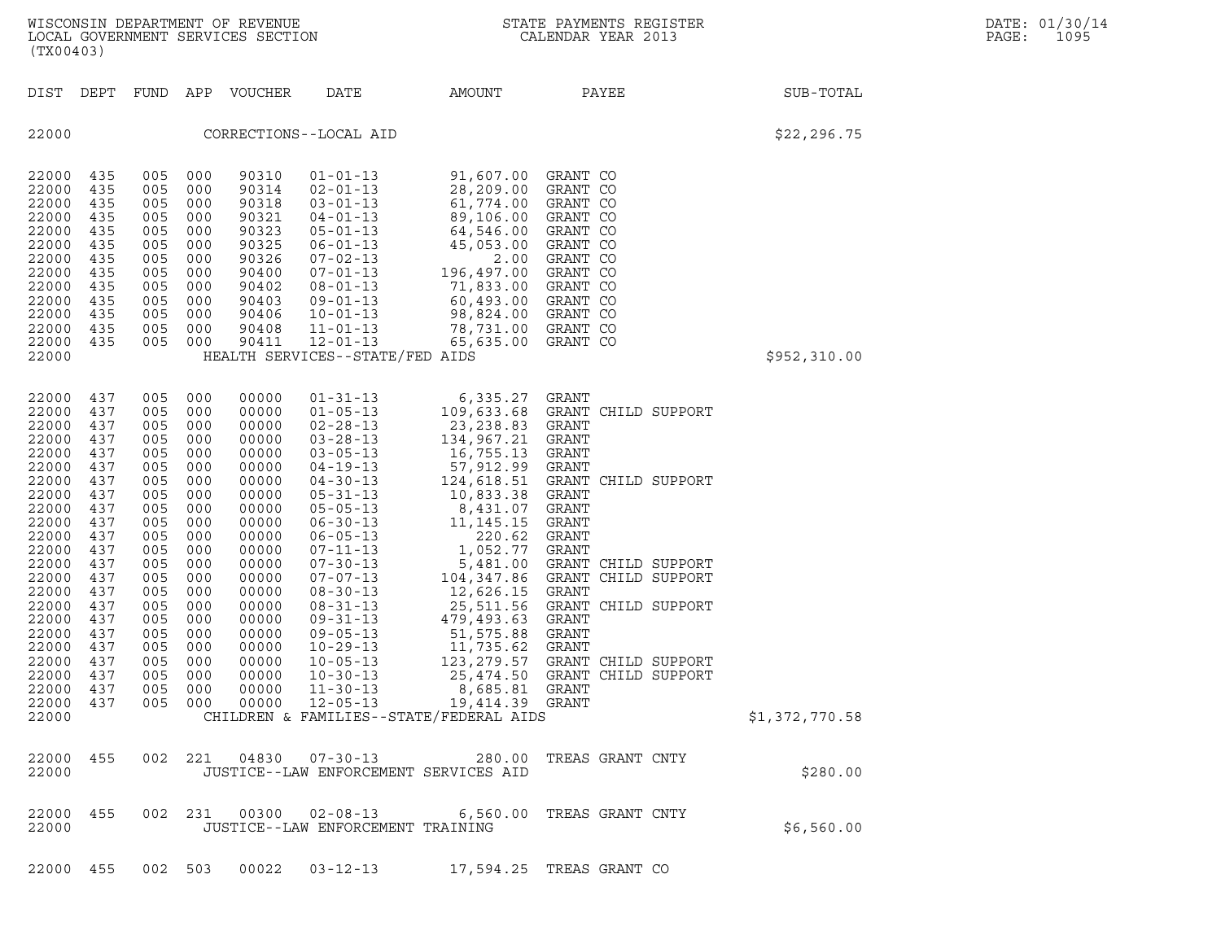| (TX00403)                                                                                                                                                                                                                |                                                                                                                                                        |                                                                                                                                                     |                                                                                                                                                                | WISCONSIN DEPARTMENT OF REVENUE<br>LOCAL GOVERNMENT SERVICES SECTION                                                                                                                                        | $\overline{V}$                                                                                                                                                                                                                                                                                                                                                                                                       |                                                                                                                                                                                                                                                                                                                                                 | STATE PAYMENTS REGISTER<br>CALENDAR YEAR 2013                                                                                                                                                                                                                                                            |                | DATE: 01/30/14<br>PAGE:<br>1095 |
|--------------------------------------------------------------------------------------------------------------------------------------------------------------------------------------------------------------------------|--------------------------------------------------------------------------------------------------------------------------------------------------------|-----------------------------------------------------------------------------------------------------------------------------------------------------|----------------------------------------------------------------------------------------------------------------------------------------------------------------|-------------------------------------------------------------------------------------------------------------------------------------------------------------------------------------------------------------|----------------------------------------------------------------------------------------------------------------------------------------------------------------------------------------------------------------------------------------------------------------------------------------------------------------------------------------------------------------------------------------------------------------------|-------------------------------------------------------------------------------------------------------------------------------------------------------------------------------------------------------------------------------------------------------------------------------------------------------------------------------------------------|----------------------------------------------------------------------------------------------------------------------------------------------------------------------------------------------------------------------------------------------------------------------------------------------------------|----------------|---------------------------------|
| DIST DEPT                                                                                                                                                                                                                |                                                                                                                                                        | FUND                                                                                                                                                | APP                                                                                                                                                            | VOUCHER                                                                                                                                                                                                     | DATE                                                                                                                                                                                                                                                                                                                                                                                                                 | AMOUNT                                                                                                                                                                                                                                                                                                                                          | PAYEE                                                                                                                                                                                                                                                                                                    | SUB-TOTAL      |                                 |
| 22000                                                                                                                                                                                                                    |                                                                                                                                                        |                                                                                                                                                     |                                                                                                                                                                |                                                                                                                                                                                                             | CORRECTIONS--LOCAL AID                                                                                                                                                                                                                                                                                                                                                                                               |                                                                                                                                                                                                                                                                                                                                                 |                                                                                                                                                                                                                                                                                                          | \$22, 296.75   |                                 |
| 22000<br>22000<br>22000<br>22000<br>22000<br>22000<br>22000<br>22000<br>22000<br>22000<br>22000<br>22000<br>22000                                                                                                        | 435<br>435<br>435<br>435<br>435<br>435<br>435<br>435<br>435<br>435<br>435<br>435<br>435                                                                | 005<br>005<br>005<br>005<br>005<br>005<br>005<br>005<br>005<br>005<br>005<br>005<br>005                                                             | 000<br>000<br>000<br>000<br>000<br>000<br>000<br>000<br>000<br>000<br>000<br>000<br>000                                                                        | 90310<br>90314<br>90318<br>90321<br>90323<br>90325<br>90326<br>90400<br>90402<br>90403<br>90406<br>90408<br>90411                                                                                           | $01 - 01 - 13$<br>$02 - 01 - 13$<br>$03 - 01 - 13$<br>$04 - 01 - 13$<br>$05 - 01 - 13$<br>$06 - 01 - 13$<br>$07 - 02 - 13$<br>07-01-13<br>$08 - 01 - 13$<br>$09 - 01 - 13$<br>$10 - 01 - 13$<br>$11 - 01 - 13$<br>$12 - 01 - 13$                                                                                                                                                                                     | 91,607.00<br>28,209.00<br>61,774.00<br>89,106.00<br>64,546.00<br>45 053 00<br>45,053.00<br>2.00<br>196,497.00<br>71,833.00<br>60,493.00<br>98,824.00<br>78,731.00<br>65,635.00                                                                                                                                                                  | GRANT CO<br>GRANT CO<br>GRANT CO<br>GRANT CO<br>GRANT CO<br>GRANT CO<br>GRANT CO<br>GRANT CO<br>GRANT CO<br>GRANT CO<br>GRANT CO<br>GRANT CO<br>GRANT CO                                                                                                                                                 |                |                                 |
| 22000                                                                                                                                                                                                                    |                                                                                                                                                        |                                                                                                                                                     |                                                                                                                                                                |                                                                                                                                                                                                             | HEALTH SERVICES--STATE/FED AIDS                                                                                                                                                                                                                                                                                                                                                                                      |                                                                                                                                                                                                                                                                                                                                                 |                                                                                                                                                                                                                                                                                                          | \$952,310.00   |                                 |
| 22000<br>22000<br>22000<br>22000<br>22000<br>22000<br>22000<br>22000<br>22000<br>22000<br>22000<br>22000<br>22000<br>22000<br>22000<br>22000<br>22000<br>22000<br>22000<br>22000<br>22000<br>22000 437<br>22000<br>22000 | 437<br>437<br>437<br>437<br>437<br>437<br>437<br>437<br>437<br>437<br>437<br>437<br>437<br>437<br>437<br>437<br>437<br>437<br>437<br>437<br>437<br>437 | 005<br>005<br>005<br>005<br>005<br>005<br>005<br>005<br>005<br>005<br>005<br>005<br>005<br>005<br>005<br>005<br>005<br>005<br>005<br>005<br>005 000 | 000<br>000<br>000<br>000<br>000<br>000<br>000<br>000<br>000<br>000<br>000<br>000<br>000<br>000<br>000<br>000<br>000<br>000<br>000<br>000<br>005 000<br>005 000 | 00000<br>00000<br>00000<br>00000<br>00000<br>00000<br>00000<br>00000<br>00000<br>00000<br>00000<br>00000<br>00000<br>00000<br>00000<br>00000<br>00000<br>00000<br>00000<br>00000<br>00000<br>00000<br>00000 | $01 - 31 - 13$<br>$01 - 05 - 13$<br>$02 - 28 - 13$<br>$03 - 28 - 13$<br>$03 - 05 - 13$<br>$04 - 19 - 13$<br>$04 - 30 - 13$<br>$05 - 31 - 13$<br>$05 - 05 - 13$<br>$06 - 30 - 13$<br>$06 - 05 - 13$<br>07-11-13<br>$07 - 30 - 13$<br>$07 - 07 - 13$<br>$08 - 30 - 13$<br>$08 - 31 - 13$<br>$09 - 31 - 13$<br>$09 - 05 - 13$<br>$10 - 29 - 13$<br>$10 - 05 - 13$<br>$10 - 30 - 13$<br>$11 - 30 - 13$<br>$12 - 05 - 13$ | 6,335.27<br>109,633.68<br>23,238.83<br>134,967.21<br>16,755.13<br>57,912.99<br>124,618.51<br>10,833.38<br>8,431.07<br>11,145.15<br>220.62<br>1,052.77<br>5,481.00<br>104,347.86<br>12,626.15<br>25,511.56<br>479,493.63<br>51,575.88<br>11,735.62<br>123,279.57<br>8,685.81 GRANT<br>19,414.39 GRANT<br>CHILDREN & FAMILIES--STATE/FEDERAL AIDS | GRANT<br>GRANT CHILD SUPPORT<br>GRANT<br>GRANT<br>GRANT<br>GRANT<br>GRANT<br>CHILD SUPPORT<br>GRANT<br>GRANT<br>GRANT<br>GRANT<br>GRANT<br>GRANT CHILD SUPPORT<br>GRANT CHILD SUPPORT<br>GRANT<br>GRANT CHILD SUPPORT<br>GRANT<br>GRANT<br>GRANT<br>GRANT CHILD SUPPORT<br>25,474.50 GRANT CHILD SUPPORT | \$1,372,770.58 |                                 |
| 22000 455<br>22000                                                                                                                                                                                                       |                                                                                                                                                        |                                                                                                                                                     | 002 221                                                                                                                                                        | 04830                                                                                                                                                                                                       | 07-30-13<br>JUSTICE--LAW ENFORCEMENT SERVICES AID                                                                                                                                                                                                                                                                                                                                                                    | 280.00                                                                                                                                                                                                                                                                                                                                          | TREAS GRANT CNTY                                                                                                                                                                                                                                                                                         | \$280.00       |                                 |
| 22000 455<br>22000                                                                                                                                                                                                       |                                                                                                                                                        |                                                                                                                                                     | 002 231                                                                                                                                                        | 00300                                                                                                                                                                                                       | 02-08-13<br>JUSTICE--LAW ENFORCEMENT TRAINING                                                                                                                                                                                                                                                                                                                                                                        |                                                                                                                                                                                                                                                                                                                                                 | 6,560.00 TREAS GRANT CNTY                                                                                                                                                                                                                                                                                | \$6,560.00     |                                 |

22000 455 002 503 00022 03-12-13 17,594.25 TREAS GRANT CO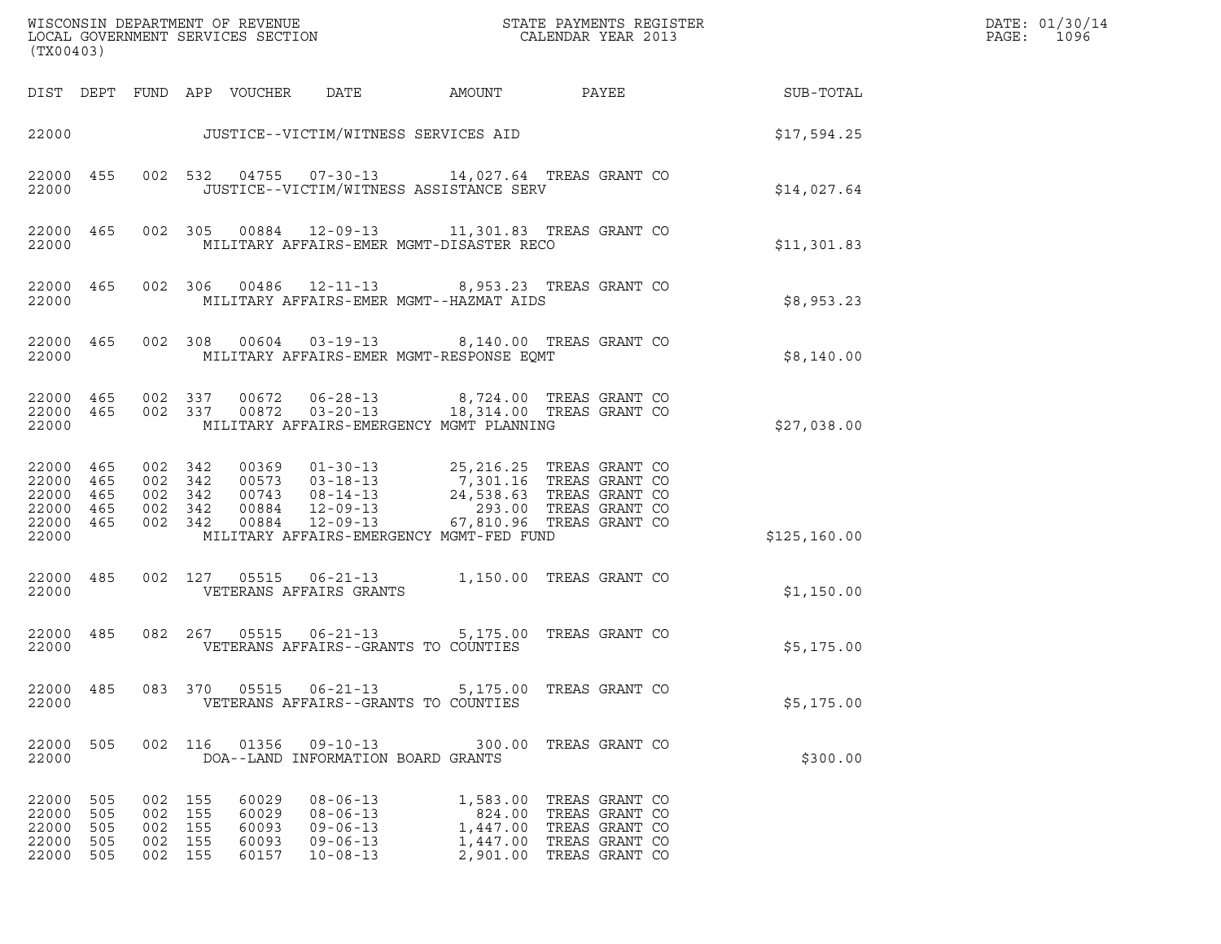| (TX00403)                                                              |                                 |                   |                                         |                                           |                                                                                        |                                          |                                                                                                                                                                                                                                        |               | DATE: 01/30/14<br>$\mathtt{PAGE:}$<br>1096 |
|------------------------------------------------------------------------|---------------------------------|-------------------|-----------------------------------------|-------------------------------------------|----------------------------------------------------------------------------------------|------------------------------------------|----------------------------------------------------------------------------------------------------------------------------------------------------------------------------------------------------------------------------------------|---------------|--------------------------------------------|
|                                                                        |                                 |                   |                                         | DIST DEPT FUND APP VOUCHER                | DATE                                                                                   | AMOUNT                                   | PAYEE                                                                                                                                                                                                                                  | SUB-TOTAL     |                                            |
|                                                                        |                                 |                   |                                         |                                           | 22000 JUSTICE--VICTIM/WITNESS SERVICES AID                                             |                                          |                                                                                                                                                                                                                                        | \$17,594.25   |                                            |
| 22000                                                                  | 22000 455                       |                   |                                         |                                           |                                                                                        | JUSTICE--VICTIM/WITNESS ASSISTANCE SERV  | 002 532 04755 07-30-13 14,027.64 TREAS GRANT CO                                                                                                                                                                                        | \$14,027.64   |                                            |
| 22000                                                                  | 22000 465                       |                   |                                         |                                           |                                                                                        | MILITARY AFFAIRS-EMER MGMT-DISASTER RECO | 002 305 00884 12-09-13 11,301.83 TREAS GRANT CO                                                                                                                                                                                        | \$11,301.83   |                                            |
| 22000                                                                  | 22000 465                       |                   |                                         |                                           |                                                                                        | MILITARY AFFAIRS-EMER MGMT--HAZMAT AIDS  | 002 306 00486 12-11-13 8,953.23 TREAS GRANT CO                                                                                                                                                                                         | \$8,953.23    |                                            |
| 22000                                                                  | 22000 465                       |                   |                                         |                                           |                                                                                        | MILITARY AFFAIRS-EMER MGMT-RESPONSE EQMT | 002 308 00604 03-19-13 8,140.00 TREAS GRANT CO                                                                                                                                                                                         | \$8,140.00    |                                            |
| 22000                                                                  |                                 |                   |                                         |                                           |                                                                                        | MILITARY AFFAIRS-EMERGENCY MGMT PLANNING | $\begin{array}{cccccccc} 22000 & 465 & 002 & 337 & 00672 & 06-28-13 & & 8,724.00 & \text{TREAS GRANT CO} \\ 22000 & 465 & 002 & 337 & 00872 & 03-20-13 & & 18,314.00 & \text{TREAS GRANT CO} \end{array}$                              | \$27,038.00   |                                            |
| 22000 465<br>22000 465<br>22000 465<br>22000 465<br>22000 465<br>22000 |                                 |                   |                                         |                                           |                                                                                        | MILITARY AFFAIRS-EMERGENCY MGMT-FED FUND | 002 342 00369 01-30-13 25,216.25 TREAS GRANT CO<br>002 342 00573 03-18-13 7,301.16 TREAS GRANT CO<br>002 342 00743 08-14-13 24,538.63 TREAS GRANT CO<br>002 342 00884 12-09-13 293.00 TREAS GRANT CO<br>002 342 00884 12-09-13 67,810. | \$125, 160.00 |                                            |
| 22000                                                                  | 22000 485                       |                   |                                         |                                           | VETERANS AFFAIRS GRANTS                                                                |                                          | 002 127 05515 06-21-13 1,150.00 TREAS GRANT CO                                                                                                                                                                                         | \$1,150.00    |                                            |
| 22000 485<br>22000                                                     |                                 |                   |                                         |                                           | VETERANS AFFAIRS--GRANTS TO COUNTIES                                                   |                                          | 082  267  05515  06-21-13  5,175.00  TREAS GRANT CO                                                                                                                                                                                    | \$5,175.00    |                                            |
| 22000<br>22000                                                         | 485                             |                   | 083 370                                 | 05515                                     | VETERANS AFFAIRS--GRANTS TO COUNTIES                                                   |                                          | 06-21-13 5,175.00 TREAS GRANT CO                                                                                                                                                                                                       | \$5,175.00    |                                            |
| 22000<br>22000                                                         | 505                             |                   | 002 116                                 | 01356                                     | $09 - 10 - 13$<br>DOA--LAND INFORMATION BOARD GRANTS                                   |                                          | 300.00 TREAS GRANT CO                                                                                                                                                                                                                  | \$300.00      |                                            |
| 22000<br>22000<br>22000<br>22000<br>22000                              | 505<br>505<br>505<br>505<br>505 | 002<br>002<br>002 | 002 155<br>155<br>155<br>155<br>002 155 | 60029<br>60029<br>60093<br>60093<br>60157 | $08 - 06 - 13$<br>$08 - 06 - 13$<br>$09 - 06 - 13$<br>$09 - 06 - 13$<br>$10 - 08 - 13$ | 824.00                                   | 1,583.00 TREAS GRANT CO<br>TREAS GRANT CO<br>1,447.00 TREAS GRANT CO<br>1,447.00 TREAS GRANT CO<br>2,901.00 TREAS GRANT CO                                                                                                             |               |                                            |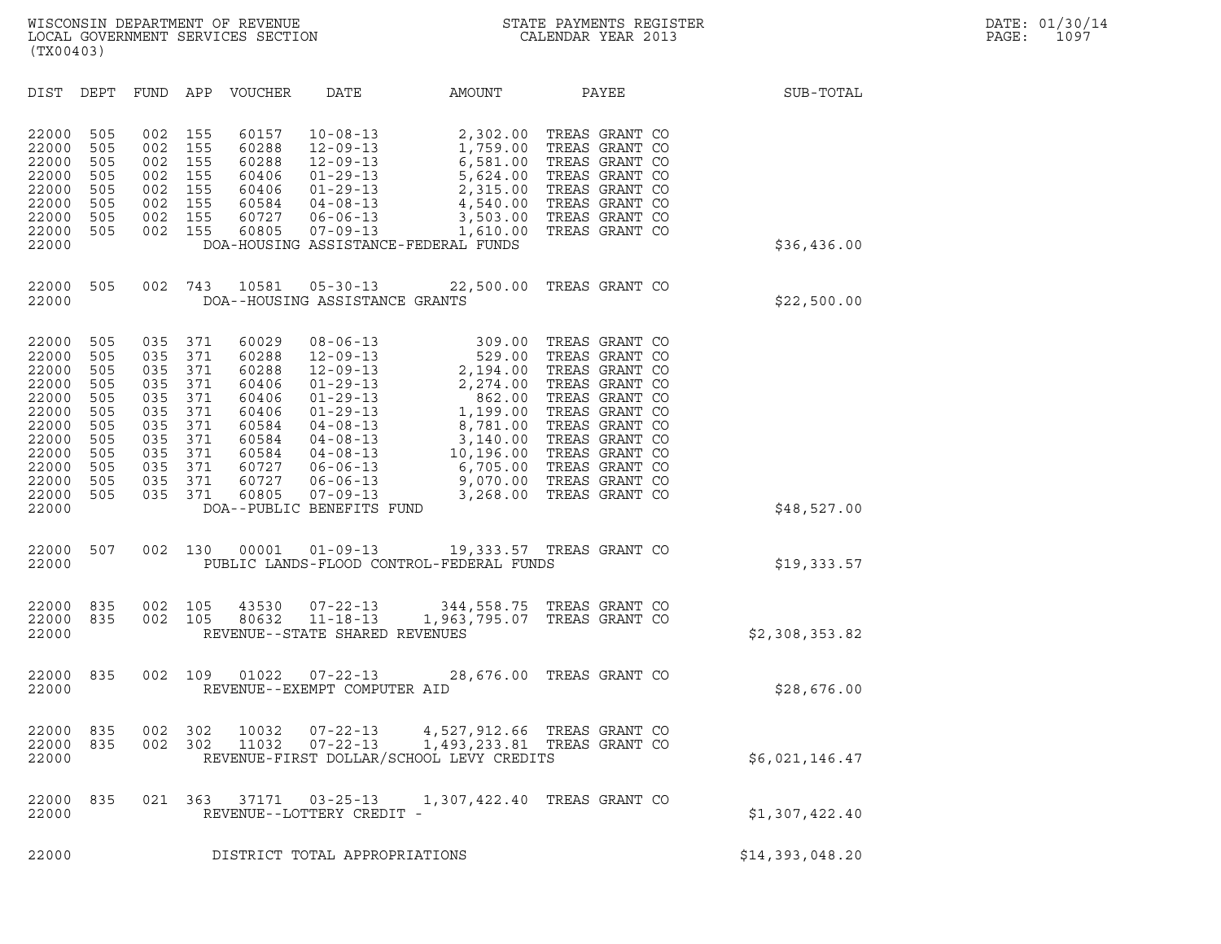| (TX00403)                                                                                                                                                                                                                                                                                 |                                                                                                                                                                                                                                                                                                                                                                                                                                       |                                                                                                                                                       |                                                                                                                                                                                                                      |                 |
|-------------------------------------------------------------------------------------------------------------------------------------------------------------------------------------------------------------------------------------------------------------------------------------------|---------------------------------------------------------------------------------------------------------------------------------------------------------------------------------------------------------------------------------------------------------------------------------------------------------------------------------------------------------------------------------------------------------------------------------------|-------------------------------------------------------------------------------------------------------------------------------------------------------|----------------------------------------------------------------------------------------------------------------------------------------------------------------------------------------------------------------------|-----------------|
| DIST<br>DEPT<br>FUND                                                                                                                                                                                                                                                                      | APP<br>VOUCHER<br>DATE                                                                                                                                                                                                                                                                                                                                                                                                                | AMOUNT                                                                                                                                                | PAYEE                                                                                                                                                                                                                | SUB-TOTAL       |
| 22000<br>505<br>002<br>22000<br>505<br>002<br>22000<br>505<br>002<br>22000<br>505<br>002<br>22000<br>505<br>002<br>22000<br>505<br>002<br>22000<br>505<br>002<br>22000<br>505<br>002<br>22000                                                                                             | 155<br>60157<br>$10 - 08 - 13$<br>155<br>60288<br>$12 - 09 - 13$<br>155<br>60288<br>$12 - 09 - 13$<br>155<br>60406<br>$01 - 29 - 13$<br>155<br>60406<br>$01 - 29 - 13$<br>$04 - 08 - 13$<br>155<br>60584<br>155<br>60727<br>$06 - 06 - 13$<br>155<br>60805<br>$07 - 09 - 13$                                                                                                                                                          | $2,302.5$<br>1,759.00<br>6,581.00<br>5,624.00<br>2,315.00<br>4,540.00<br>3,503.00<br>1,610.00<br>DOA-HOUSING ASSISTANCE-FEDERAL FUNDS                 | TREAS GRANT CO<br>TREAS GRANT CO<br>TREAS GRANT CO<br>TREAS GRANT CO<br>TREAS GRANT CO<br>TREAS GRANT CO<br>TREAS GRANT CO<br>TREAS GRANT CO                                                                         | \$36,436.00     |
| 22000<br>505<br>002<br>22000                                                                                                                                                                                                                                                              | 743<br>10581<br>$05 - 30 - 13$<br>DOA--HOUSING ASSISTANCE GRANTS                                                                                                                                                                                                                                                                                                                                                                      | 22,500.00                                                                                                                                             | TREAS GRANT CO                                                                                                                                                                                                       | \$22,500.00     |
| 22000<br>505<br>035<br>22000<br>505<br>035<br>22000<br>505<br>035<br>22000<br>505<br>035<br>22000<br>505<br>035<br>22000<br>505<br>035<br>22000<br>505<br>035<br>22000<br>505<br>035<br>22000<br>505<br>035<br>22000<br>505<br>035<br>22000<br>505<br>035<br>22000<br>505<br>035<br>22000 | 371<br>60029<br>$08 - 06 - 13$<br>371<br>60288<br>$12 - 09 - 13$<br>371<br>60288<br>$12 - 09 - 13$<br>371<br>60406<br>$01 - 29 - 13$<br>371<br>60406<br>$01 - 29 - 13$<br>371<br>60406<br>$01 - 29 - 13$<br>371<br>60584<br>$04 - 08 - 13$<br>371<br>60584<br>$04 - 08 - 13$<br>371<br>60584<br>$04 - 08 - 13$<br>371<br>06-06-13<br>06-06-13<br>60727<br>371<br>60727<br>371<br>60805<br>$07 - 09 - 13$<br>DOA--PUBLIC BENEFITS FUND | 309.00<br>529.00<br>2,194.00<br>2,274.00<br>862.00<br>1,199.00<br>8,781.00<br>$3,140.00$<br>$10,100$<br>10,196.00<br>6,705.00<br>9,070.00<br>3,268.00 | TREAS GRANT CO<br>TREAS GRANT CO<br>TREAS GRANT CO<br>TREAS GRANT CO<br>TREAS GRANT CO<br>TREAS GRANT CO<br>TREAS GRANT CO<br>TREAS GRANT CO<br>TREAS GRANT CO<br>TREAS GRANT CO<br>TREAS GRANT CO<br>TREAS GRANT CO | \$48,527.00     |
| 002<br>22000<br>507<br>22000                                                                                                                                                                                                                                                              | 130<br>00001                                                                                                                                                                                                                                                                                                                                                                                                                          | $01 - 09 - 13$<br>PUBLIC LANDS-FLOOD CONTROL-FEDERAL FUNDS                                                                                            | 19,333.57 TREAS GRANT CO                                                                                                                                                                                             | \$19,333.57     |
| 22000<br>835<br>002<br>22000<br>835<br>002<br>22000                                                                                                                                                                                                                                       | 105<br>43530<br>$07 - 22 - 13$<br>80632<br>105<br>$11 - 18 - 13$<br>REVENUE--STATE SHARED REVENUES                                                                                                                                                                                                                                                                                                                                    |                                                                                                                                                       | 344,558.75 TREAS GRANT CO<br>1,963,795.07 TREAS GRANT CO                                                                                                                                                             | \$2,308,353.82  |
| 22000<br>835<br>002<br>22000                                                                                                                                                                                                                                                              | 01022<br>109<br>$07 - 22 - 13$<br>REVENUE--EXEMPT COMPUTER AID                                                                                                                                                                                                                                                                                                                                                                        | 28,676.00                                                                                                                                             | TREAS GRANT CO                                                                                                                                                                                                       | \$28,676.00     |
| 22000<br>835<br>002<br>22000<br>835<br>22000                                                                                                                                                                                                                                              | 302<br>10032<br>$07 - 22 - 13$<br>002 302                                                                                                                                                                                                                                                                                                                                                                                             | 4,527,912.66<br>11032  07-22-13  1,493,233.81 TREAS GRANT CO<br>REVENUE-FIRST DOLLAR/SCHOOL LEVY CREDITS                                              | TREAS GRANT CO                                                                                                                                                                                                       | \$6,021,146.47  |
| 22000<br>835<br>22000                                                                                                                                                                                                                                                                     | 021 363<br>37171<br>REVENUE--LOTTERY CREDIT -                                                                                                                                                                                                                                                                                                                                                                                         | $03 - 25 - 13$<br>1,307,422.40                                                                                                                        | TREAS GRANT CO                                                                                                                                                                                                       | \$1,307,422.40  |
| 22000                                                                                                                                                                                                                                                                                     | DISTRICT TOTAL APPROPRIATIONS                                                                                                                                                                                                                                                                                                                                                                                                         |                                                                                                                                                       |                                                                                                                                                                                                                      | \$14,393,048.20 |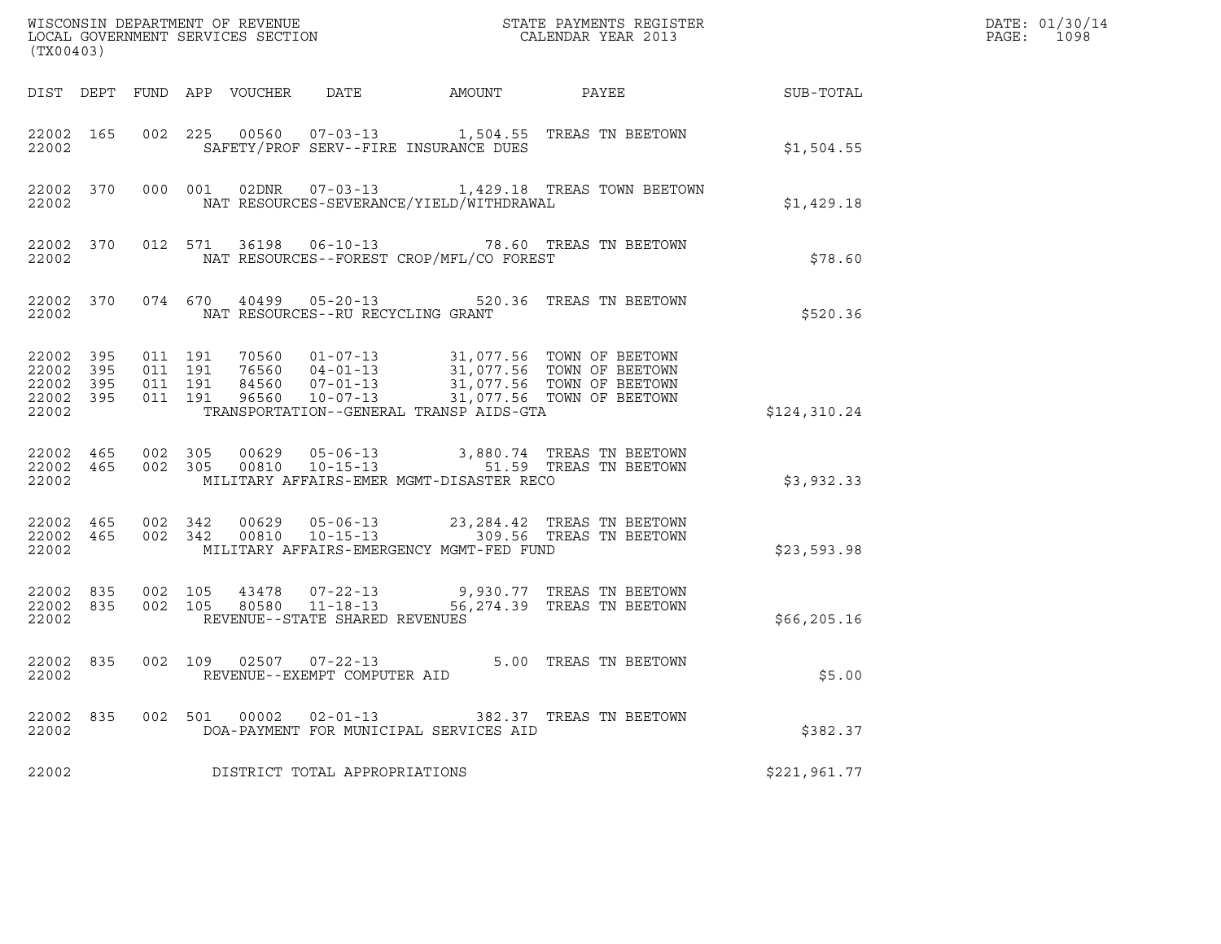| (TX00403)                                             |     |                               |         |                                                        |                                              | $\tt WISCONSIM DEPARTMENT OF REVENUE$ $\tt WISCONSIMENT$ SERVICES SECTION $\tt CALENDAR$ YEAR 2013                                                                                                        |                  | DATE: 01/30/14<br>PAGE:<br>1098 |
|-------------------------------------------------------|-----|-------------------------------|---------|--------------------------------------------------------|----------------------------------------------|-----------------------------------------------------------------------------------------------------------------------------------------------------------------------------------------------------------|------------------|---------------------------------|
|                                                       |     |                               |         |                                                        | DIST DEPT FUND APP VOUCHER DATE AMOUNT PAYEE |                                                                                                                                                                                                           | <b>SUB-TOTAL</b> |                                 |
| 22002 165<br>22002                                    |     |                               |         |                                                        | SAFETY/PROF SERV--FIRE INSURANCE DUES        | 002 225 00560 07-03-13 1,504.55 TREAS TN BEETOWN                                                                                                                                                          | \$1,504.55       |                                 |
| 22002                                                 |     |                               |         |                                                        | NAT RESOURCES-SEVERANCE/YIELD/WITHDRAWAL     | 22002 370 000 001 02DNR 07-03-13 1,429.18 TREAS TOWN BEETOWN                                                                                                                                              | \$1,429.18       |                                 |
| 22002                                                 |     |                               |         |                                                        | NAT RESOURCES--FOREST CROP/MFL/CO FOREST     | 22002 370 012 571 36198 06-10-13 78.60 TREAS TN BEETOWN                                                                                                                                                   | \$78.60          |                                 |
| 22002                                                 |     |                               |         | NAT RESOURCES--RU RECYCLING GRANT                      |                                              | 22002 370 074 670 40499 05-20-13 520.36 TREAS TN BEETOWN                                                                                                                                                  | \$520.36         |                                 |
| 22002 395<br>22002<br>22002 395<br>22002 395<br>22002 | 395 | 011 191<br>011 191<br>011 191 | 011 191 |                                                        | TRANSPORTATION--GENERAL TRANSP AIDS-GTA      |                                                                                                                                                                                                           | \$124,310.24     |                                 |
| 22002                                                 |     |                               |         |                                                        | MILITARY AFFAIRS-EMER MGMT-DISASTER RECO     | $\begin{array}{cccccccc} 22002 & 465 & 002 & 305 & 00629 & 05-06-13 & & 3,880.74 & \text{TREAS TN BEETOWN} \\ 22002 & 465 & 002 & 305 & 00810 & 10-15-13 & & 51.59 & \text{TREAS TN BEETOWN} \end{array}$ | \$3,932.33       |                                 |
| 22002 465<br>22002                                    |     | 22002 465 002 342             |         |                                                        | MILITARY AFFAIRS-EMERGENCY MGMT-FED FUND     | 002 342 00629 05-06-13 23,284.42 TREAS TN BEETOWN<br>002 342 00810 10-15-13 309.56 TREAS TN BEETOWN                                                                                                       | \$23,593.98      |                                 |
| 22002 835<br>22002                                    |     | 002 105<br>22002 835 002 105  |         | REVENUE--STATE SHARED REVENUES                         |                                              | $\begin{array}{cccc} 43478 & 07\text{--}22\text{--}13 & 9,930.77 & \text{TREAS TN BEETOWN} \\ 80580 & 11\text{--}18\text{--}13 & 56,274.39 & \text{TREAS TN BEETOWN} \end{array}$                         | \$66, 205.16     |                                 |
| 22002 835<br>22002                                    |     |                               |         | 002 109 02507 07-22-13<br>REVENUE--EXEMPT COMPUTER AID |                                              | 5.00 TREAS TN BEETOWN                                                                                                                                                                                     | \$5.00           |                                 |
| 22002 835<br>22002                                    |     | 002 501                       |         | 00002  02-01-13                                        | DOA-PAYMENT FOR MUNICIPAL SERVICES AID       | 382.37 TREAS TN BEETOWN                                                                                                                                                                                   | \$382.37         |                                 |
| 22002                                                 |     |                               |         | DISTRICT TOTAL APPROPRIATIONS                          |                                              |                                                                                                                                                                                                           | \$221,961.77     |                                 |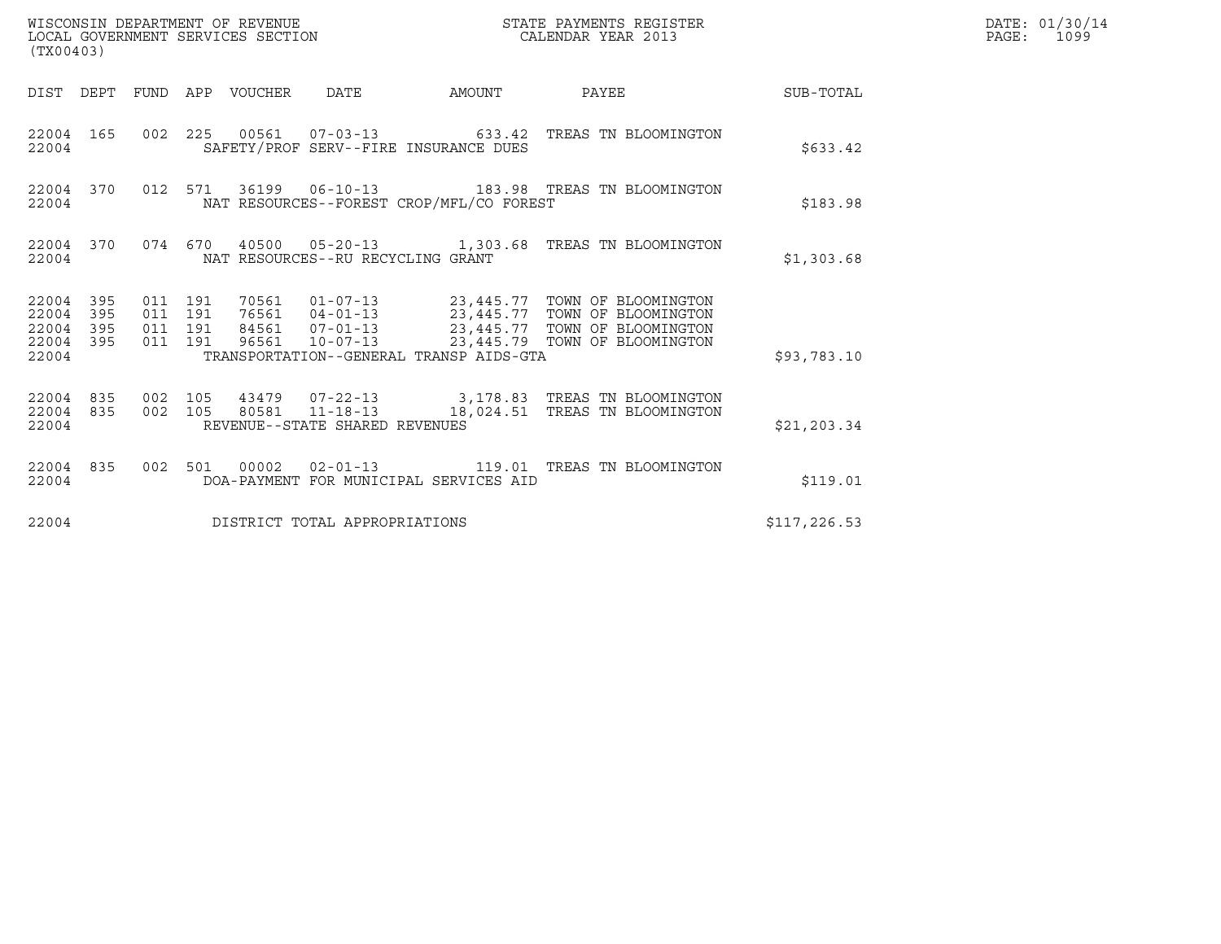| (TX00403)                                |                                |                               |         | WISCONSIN DEPARTMENT OF REVENUE<br>LOCAL GOVERNMENT SERVICES SECTION |                                   |                                          | STATE PAYMENTS REGISTER<br>CALENDAR YEAR 2013                                                                                                                                                                     |               | DATE: 01/30/14<br>PAGE: 1099 |
|------------------------------------------|--------------------------------|-------------------------------|---------|----------------------------------------------------------------------|-----------------------------------|------------------------------------------|-------------------------------------------------------------------------------------------------------------------------------------------------------------------------------------------------------------------|---------------|------------------------------|
|                                          |                                |                               |         | DIST DEPT FUND APP VOUCHER DATE                                      |                                   | AMOUNT                                   | PAYEE SUB-TOTAL                                                                                                                                                                                                   |               |                              |
| 22004                                    | 22004 165                      |                               |         |                                                                      |                                   | SAFETY/PROF SERV--FIRE INSURANCE DUES    | 002  225  00561  07-03-13  633.42  TREAS TN BLOOMINGTON                                                                                                                                                           | \$633.42      |                              |
| 22004                                    | 22004 370                      |                               |         |                                                                      |                                   | NAT RESOURCES--FOREST CROP/MFL/CO FOREST | 012 571 36199 06-10-13 183.98 TREAS TN BLOOMINGTON                                                                                                                                                                | \$183.98      |                              |
| 22004                                    | 22004 370                      |                               |         |                                                                      | NAT RESOURCES--RU RECYCLING GRANT |                                          | 074 670 40500 05-20-13 1,303.68 TREAS TN BLOOMINGTON                                                                                                                                                              | \$1,303.68    |                              |
| 22004 395<br>22004<br>22004 395<br>22004 | 395<br>22004 395               | 011 191<br>011 191<br>011 191 | 011 191 |                                                                      |                                   | TRANSPORTATION--GENERAL TRANSP AIDS-GTA  | 70561   01-07-13   23,445.77   TOWN OF BLOOMINGTON<br>76561   04-01-13   23,445.77   TOWN OF BLOOMINGTON<br>84561   07-01-13   23,445.77   TOWN OF BLOOMINGTON<br>96561  10-07-13  23,445.79  TOWN OF BLOOMINGTON | \$93,783.10   |                              |
| 22004                                    | 22004 835 002 105<br>22004 835 |                               |         |                                                                      | REVENUE--STATE SHARED REVENUES    |                                          | 43479  07-22-13  3,178.83  TREAS TN BLOOMINGTON<br>002 105 80581 11-18-13 18,024.51 TREAS TN BLOOMINGTON                                                                                                          | \$21, 203.34  |                              |
| 22004                                    |                                |                               |         |                                                                      |                                   | DOA-PAYMENT FOR MUNICIPAL SERVICES AID   | 22004 835 002 501 00002 02-01-13 119.01 TREAS TN BLOOMINGTON                                                                                                                                                      | \$119.01      |                              |
| 22004                                    |                                |                               |         |                                                                      | DISTRICT TOTAL APPROPRIATIONS     |                                          |                                                                                                                                                                                                                   | \$117, 226.53 |                              |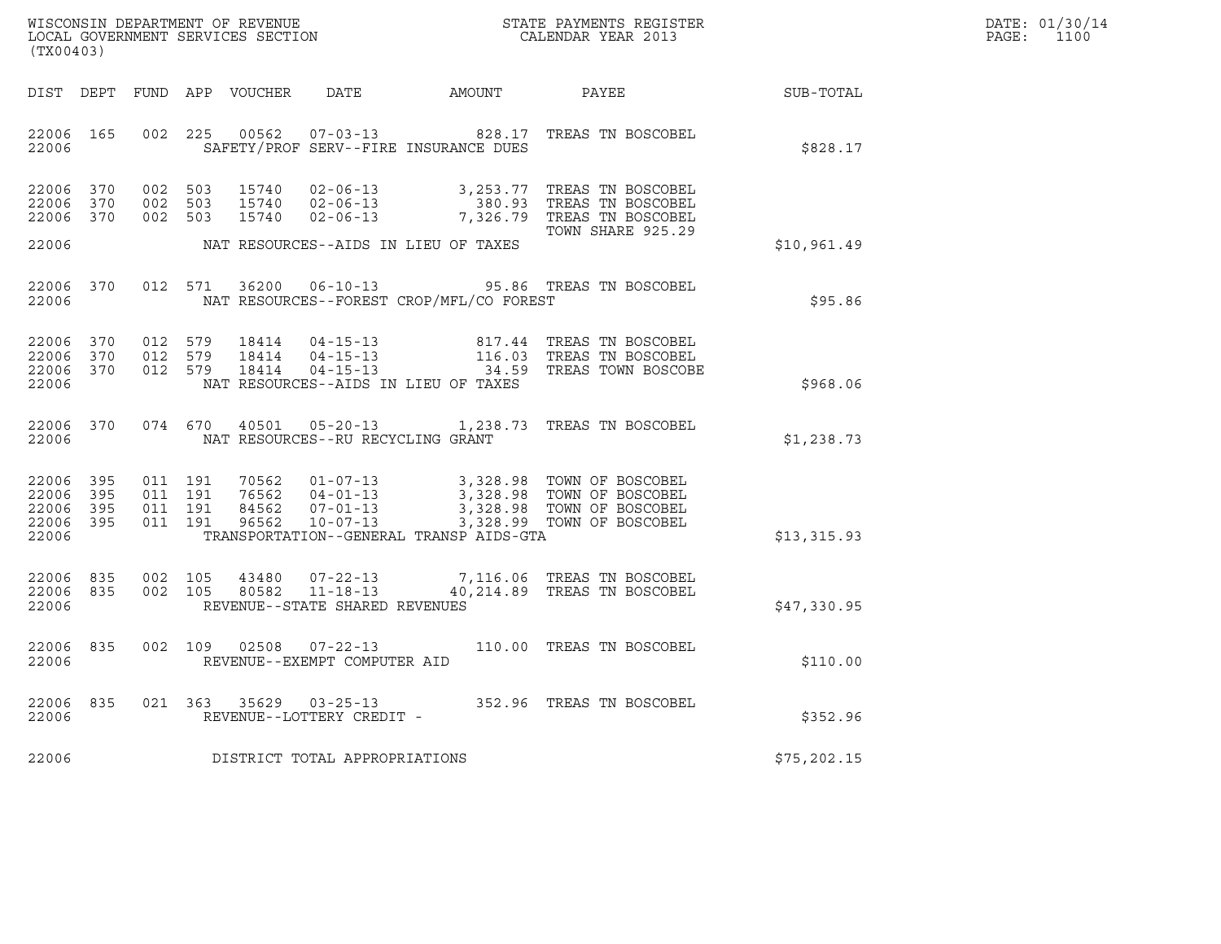|       | DATE: 01/30/14 |
|-------|----------------|
| PAGE: | 1100           |

| (TX00403)                                                 |           |  |                                          |                            |                                                  |                                          |                                                                                                                                                                                          | $R = \frac{1}{2}$ | DATE: 01/30/14<br>PAGE: 1100 |
|-----------------------------------------------------------|-----------|--|------------------------------------------|----------------------------|--------------------------------------------------|------------------------------------------|------------------------------------------------------------------------------------------------------------------------------------------------------------------------------------------|-------------------|------------------------------|
|                                                           |           |  |                                          | DIST DEPT FUND APP VOUCHER | DATE                                             |                                          | AMOUNT PAYEE SUB-TOTAL                                                                                                                                                                   |                   |                              |
| 22006 165<br>22006                                        |           |  |                                          |                            |                                                  | SAFETY/PROF SERV--FIRE INSURANCE DUES    | 002 225 00562 07-03-13 828.17 TREAS TN BOSCOBEL                                                                                                                                          | \$828.17          |                              |
| 22006 370<br>22006 370<br>22006 370<br>22006              |           |  | 002 503<br>002 503<br>002 503            |                            |                                                  | NAT RESOURCES--AIDS IN LIEU OF TAXES     | 15740  02-06-13  3,253.77  TREAS TN BOSCOBEL<br>15740  02-06-13  380.93  TREAS TN BOSCOBEL<br>15740  02-06-13  7,326.79  TREAS TN BOSCOBEL<br>TOWN SHARE 925.29                          | \$10,961.49       |                              |
| 22006                                                     | 22006 370 |  |                                          |                            |                                                  | NAT RESOURCES--FOREST CROP/MFL/CO FOREST | 012 571 36200 06-10-13 95.86 TREAS TN BOSCOBEL                                                                                                                                           | \$95.86           |                              |
| 22006 370<br>22006 370<br>22006 370<br>22006              |           |  | 012 579<br>012 579<br>012 579            |                            |                                                  | NAT RESOURCES--AIDS IN LIEU OF TAXES     | 18414  04-15-13   817.44 TREAS TN BOSCOBEL<br>18414  04-15-13   116.03 TREAS TN BOSCOBEL<br>18414  04-15-13   34.59 TREAS TOWN BOSCOBE                                                   | \$968.06          |                              |
| 22006                                                     | 22006 370 |  |                                          | 074 670 40501              |                                                  | NAT RESOURCES--RU RECYCLING GRANT        | 05-20-13 1,238.73 TREAS TN BOSCOBEL                                                                                                                                                      | \$1,238.73        |                              |
| 22006 395<br>22006 395<br>22006 395<br>22006 395<br>22006 |           |  | 011 191<br>011 191<br>011 191<br>011 191 |                            |                                                  | TRANSPORTATION--GENERAL TRANSP AIDS-GTA  | 70562  01-07-13  3,328.98  TOWN OF BOSCOBEL<br>76562  04-01-13  3,328.98  TOWN OF BOSCOBEL<br>84562  07-01-13  3,328.98  TOWN OF BOSCOBEL<br>96562  10-07-13  3,328.99  TOWN OF BOSCOBEL | \$13,315.93       |                              |
| 22006 835<br>22006                                        | 22006 835 |  | 002 105<br>002 105                       |                            | 43480 07-22-13<br>REVENUE--STATE SHARED REVENUES |                                          | 7,116.06 TREAS TN BOSCOBEL<br>80582    11-18-13    40,214.89    TREAS TN BOSCOBEL                                                                                                        | \$47,330.95       |                              |
| 22006<br>22006                                            | 835       |  |                                          |                            | REVENUE--EXEMPT COMPUTER AID                     |                                          | 002 109 02508 07-22-13 110.00 TREAS TN BOSCOBEL                                                                                                                                          | \$110.00          |                              |
| 22006<br>22006                                            | 835       |  |                                          |                            | REVENUE--LOTTERY CREDIT -                        |                                          | 021 363 35629 03-25-13 352.96 TREAS TN BOSCOBEL                                                                                                                                          | \$352.96          |                              |
| 22006                                                     |           |  |                                          |                            | DISTRICT TOTAL APPROPRIATIONS                    |                                          |                                                                                                                                                                                          | \$75,202.15       |                              |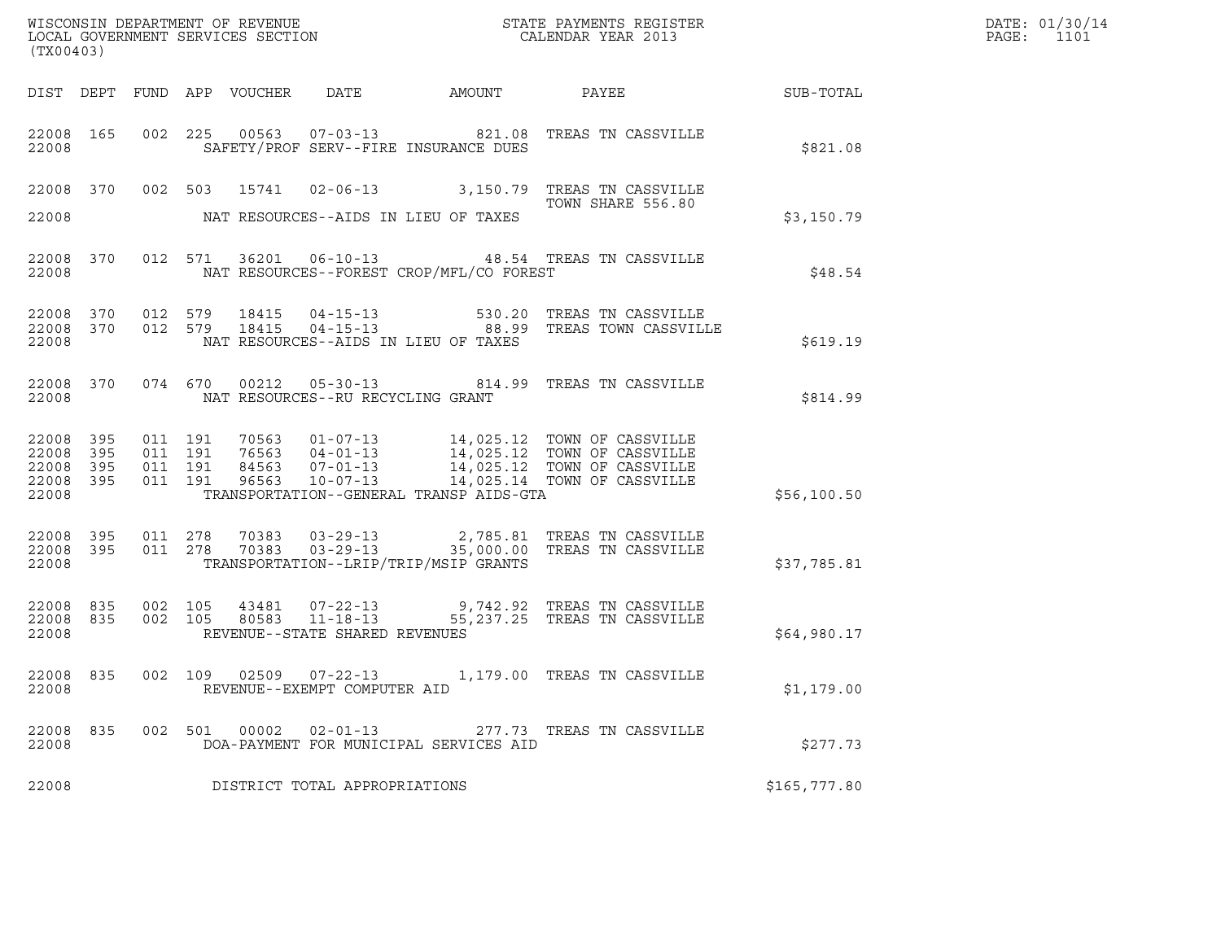| (TX00403)                                     |                   |  |                                   |                                          |                                                                                                                                                                                                                                                                                                   |                  | DATE: 01/30/14<br>PAGE: 1101 |
|-----------------------------------------------|-------------------|--|-----------------------------------|------------------------------------------|---------------------------------------------------------------------------------------------------------------------------------------------------------------------------------------------------------------------------------------------------------------------------------------------------|------------------|------------------------------|
|                                               |                   |  |                                   |                                          |                                                                                                                                                                                                                                                                                                   | <b>SUB-TOTAL</b> |                              |
| 22008                                         |                   |  |                                   | SAFETY/PROF SERV--FIRE INSURANCE DUES    | 22008 165 002 225 00563 07-03-13 0821.08 TREAS TN CASSVILLE                                                                                                                                                                                                                                       | \$821.08         |                              |
| 22008                                         |                   |  |                                   | NAT RESOURCES--AIDS IN LIEU OF TAXES     | 22008 370 002 503 15741 02-06-13 3,150.79 TREAS TN CASSVILLE<br>TOWN SHARE 556.80                                                                                                                                                                                                                 | \$3,150.79       |                              |
| 22008                                         |                   |  |                                   | NAT RESOURCES--FOREST CROP/MFL/CO FOREST | 22008 370 012 571 36201 06-10-13 48.54 TREAS TN CASSVILLE                                                                                                                                                                                                                                         | \$48.54          |                              |
| 22008                                         |                   |  |                                   | NAT RESOURCES--AIDS IN LIEU OF TAXES     | 22008    370     012    579     18415     04-15-13                      530.20    TREAS  TN  CASSVILLE<br>22008    370     012    579     18415     04-15-13                        88.99    TREAS  TOWN  CASSVILLE                                                                               | \$619.19         |                              |
| 22008                                         |                   |  | NAT RESOURCES--RU RECYCLING GRANT |                                          | 22008 370 074 670 00212 05-30-13  814.99 TREAS TN CASSVILLE                                                                                                                                                                                                                                       | \$814.99         |                              |
| 22008 395<br>22008<br>22008<br>22008<br>22008 | 395<br>395<br>395 |  |                                   | TRANSPORTATION--GENERAL TRANSP AIDS-GTA  | $\begin{tabular}{cccc} 011 & 191 & 70563 & 01-07-13 & 14,025.12 & TOWN OF CASVILLE \\ 011 & 191 & 76563 & 04-01-13 & 14,025.12 & TOWN OF CASVILLE \\ 011 & 191 & 84563 & 07-01-13 & 14,025.12 & TOWN OF CASVILLE \\ 011 & 191 & 96563 & 10-07-13 & 14,025.14 & TOWN OF CASVILLE \\ \end{tabular}$ | \$56,100.50      |                              |
| 22008 395<br>22008 395<br>22008               |                   |  |                                   | TRANSPORTATION--LRIP/TRIP/MSIP GRANTS    | 011  278  70383  03-29-13  2,785.81 TREAS TN CASSVILLE<br>011  278  70383  03-29-13  35,000.00 TREAS TN CASSVILLE                                                                                                                                                                                 | \$37,785.81      |                              |
| 22008 835<br>22008 835<br>22008               |                   |  | REVENUE--STATE SHARED REVENUES    |                                          | 002 105 43481 07-22-13 9,742.92 TREAS TN CASSVILLE<br>002 105 80583 11-18-13 55,237.25 TREAS TN CASSVILLE                                                                                                                                                                                         | \$64,980.17      |                              |
| 22008                                         |                   |  | REVENUE--EXEMPT COMPUTER AID      |                                          | 22008 835 002 109 02509 07-22-13 1,179.00 TREAS TN CASSVILLE                                                                                                                                                                                                                                      | \$1,179.00       |                              |
| 22008 835<br>22008                            |                   |  |                                   | DOA-PAYMENT FOR MUNICIPAL SERVICES AID   | 002 501 00002 02-01-13 277.73 TREAS TN CASSVILLE                                                                                                                                                                                                                                                  | \$277.73         |                              |
| 22008                                         |                   |  | DISTRICT TOTAL APPROPRIATIONS     |                                          |                                                                                                                                                                                                                                                                                                   | \$165,777.80     |                              |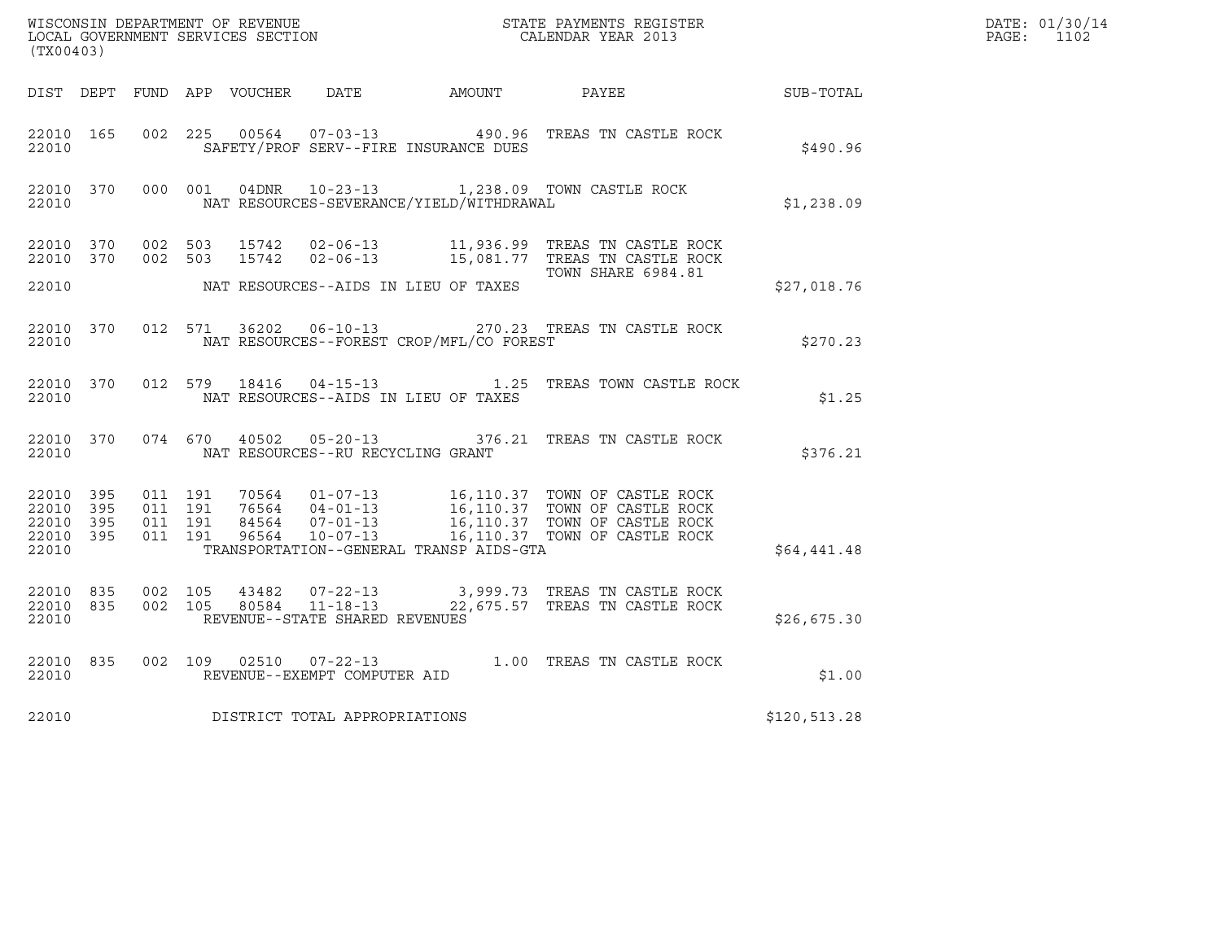| WISCONSIN DEPARTMENT OF REVENUE<br>LOCAL GOVERNMENT SERVICES SECTION CALENDAR YEAR 2013<br>(TX00403) |           |                    |                    |  |                                   |                                              |                                                                                                                                                                                                           |              | DATE: 01/30/14<br>PAGE: 1102 |
|------------------------------------------------------------------------------------------------------|-----------|--------------------|--------------------|--|-----------------------------------|----------------------------------------------|-----------------------------------------------------------------------------------------------------------------------------------------------------------------------------------------------------------|--------------|------------------------------|
|                                                                                                      |           |                    |                    |  |                                   | DIST DEPT FUND APP VOUCHER DATE AMOUNT PAYEE |                                                                                                                                                                                                           | SUB-TOTAL    |                              |
| 22010 165<br>22010                                                                                   |           | 002 225            |                    |  |                                   | SAFETY/PROF SERV--FIRE INSURANCE DUES        | 00564  07-03-13  490.96  TREAS TN CASTLE ROCK                                                                                                                                                             | \$490.96     |                              |
|                                                                                                      |           |                    |                    |  |                                   |                                              | 22010 370 000 001 04DNR 10-23-13 1,238.09 TOWN CASTLE ROCK<br>22010 NAT RESOURCES-SEVERANCE/YIELD/WITHDRAWAL                                                                                              | \$1,238.09   |                              |
|                                                                                                      |           |                    |                    |  |                                   |                                              | 22010 370 002 503 15742 02-06-13 11,936.99 TREAS TN CASTLE ROCK<br>22010 370 002 503 15742 02-06-13 15,081.77 TREAS TN CASTLE ROCK<br>TOWN SHARE 6984.81                                                  |              |                              |
|                                                                                                      |           |                    |                    |  |                                   |                                              |                                                                                                                                                                                                           | \$27,018.76  |                              |
| 22010                                                                                                |           |                    |                    |  |                                   | NAT RESOURCES--FOREST CROP/MFL/CO FOREST     | 22010 370 012 571 36202 06-10-13 270.23 TREAS TN CASTLE ROCK                                                                                                                                              | \$270.23     |                              |
| 22010                                                                                                |           |                    |                    |  |                                   | NAT RESOURCES--AIDS IN LIEU OF TAXES         | 22010 370 012 579 18416 04-15-13 1.25 TREAS TOWN CASTLE ROCK                                                                                                                                              | \$1.25       |                              |
| 22010                                                                                                |           |                    |                    |  | NAT RESOURCES--RU RECYCLING GRANT |                                              | 22010 370 074 670 40502 05-20-13 376.21 TREAS TN CASTLE ROCK                                                                                                                                              | \$376.21     |                              |
| 22010 395<br>22010 395<br>22010 395<br>22010                                                         | 22010 395 | 011 191<br>011 191 | 011 191<br>011 191 |  |                                   | TRANSPORTATION--GENERAL TRANSP AIDS-GTA      |                                                                                                                                                                                                           | \$64,441.48  |                              |
| 22010                                                                                                | 22010 835 | 22010 835 002 105  | 002 105            |  | REVENUE--STATE SHARED REVENUES    |                                              | $\begin{array}{cccccc} 43482 & 07\text{-}22\text{-}13 & & 3\text{,}999.73 & \text{TREAS TN CASTLE ROCK} \\ 80584 & 11\text{-}18\text{-}13 & & 22\text{,}675.57 & \text{TREAS TN CASTLE ROCK} \end{array}$ | \$26,675.30  |                              |
| 22010 835<br>22010                                                                                   |           |                    |                    |  | REVENUE--EXEMPT COMPUTER AID      |                                              | 002 109 02510 07-22-13 1.00 TREAS TN CASTLE ROCK                                                                                                                                                          | \$1.00       |                              |
| 22010                                                                                                |           |                    |                    |  | DISTRICT TOTAL APPROPRIATIONS     |                                              |                                                                                                                                                                                                           | \$120,513.28 |                              |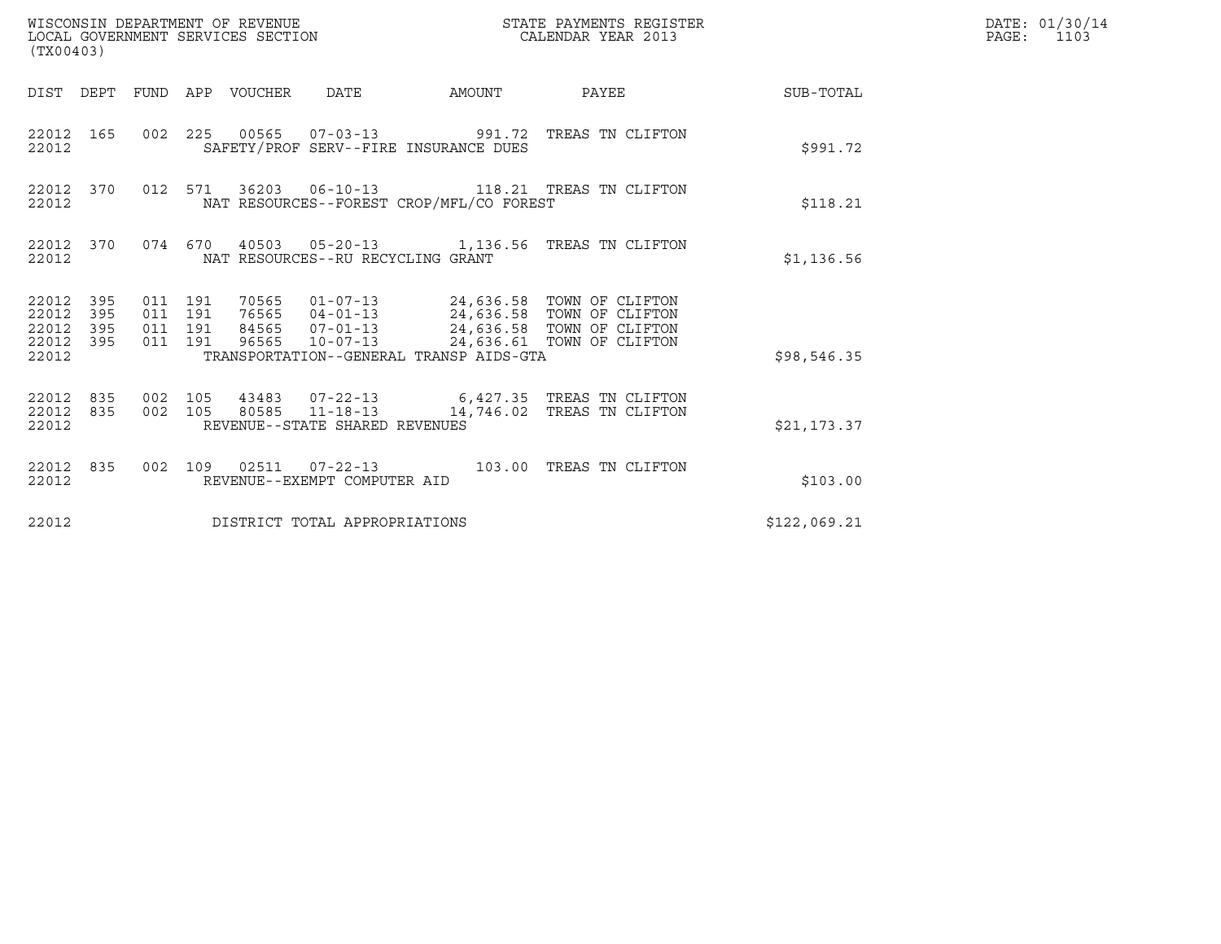| WISCONSIN DEPARTMENT OF REVENUE<br>LOCAL GOVERNMENT SERVICES SECTION<br>(TX00403)                           |                                                                                                                                                                                                     | STATE PAYMENTS REGISTER<br>CALENDAR YEAR 2013 |                  | DATE: 01/30/14<br>$\mathtt{PAGE:}$<br>1103 |
|-------------------------------------------------------------------------------------------------------------|-----------------------------------------------------------------------------------------------------------------------------------------------------------------------------------------------------|-----------------------------------------------|------------------|--------------------------------------------|
|                                                                                                             | DIST DEPT FUND APP VOUCHER DATE<br>AMOUNT                                                                                                                                                           | PAYEE                                         | <b>SUB-TOTAL</b> |                                            |
| 22012 165<br>22012                                                                                          | 002 225 00565 07-03-13 991.72 TREAS TN CLIFTON<br>SAFETY/PROF SERV--FIRE INSURANCE DUES                                                                                                             |                                               | \$991.72         |                                            |
| 22012 370<br>22012                                                                                          | 012 571 36203 06-10-13 118.21 TREAS TN CLIFTON<br>NAT RESOURCES--FOREST CROP/MFL/CO FOREST                                                                                                          |                                               | \$118.21         |                                            |
| 22012 370<br>22012                                                                                          | 074 670 40503 05-20-13 1,136.56 TREAS TN CLIFTON<br>NAT RESOURCES--RU RECYCLING GRANT                                                                                                               |                                               | \$1,136.56       |                                            |
| 22012 395<br>011 191<br>22012<br>011 191<br>395<br>22012<br>011 191<br>395<br>22012 395<br>011 191<br>22012 | 70565   01-07-13   24,636.58   TOWN OF CLIFTON<br>76565   04-01-13   24,636.58   TOWN OF CLIFTON<br>84565  07-01-13  24,636.58  TOWN OF CLIFTON<br>96565<br>TRANSPORTATION--GENERAL TRANSP AIDS-GTA | 10-07-13 24,636.61 TOWN OF CLIFTON            | \$98,546.35      |                                            |
| 22012 835<br>002 105<br>22012 835<br>002 105<br>22012                                                       | 43483  07-22-13    6,427.35    TREAS TN CLIFTON<br>80585 11-18-13<br>REVENUE--STATE SHARED REVENUES                                                                                                 | 14,746.02 TREAS TN CLIFTON                    | \$21,173.37      |                                            |
| 22012 835<br>22012                                                                                          | 002 109 02511 07-22-13 103.00 TREAS TN CLIFTON<br>REVENUE--EXEMPT COMPUTER AID                                                                                                                      |                                               | \$103.00         |                                            |
| 22012                                                                                                       | DISTRICT TOTAL APPROPRIATIONS                                                                                                                                                                       |                                               | \$122,069.21     |                                            |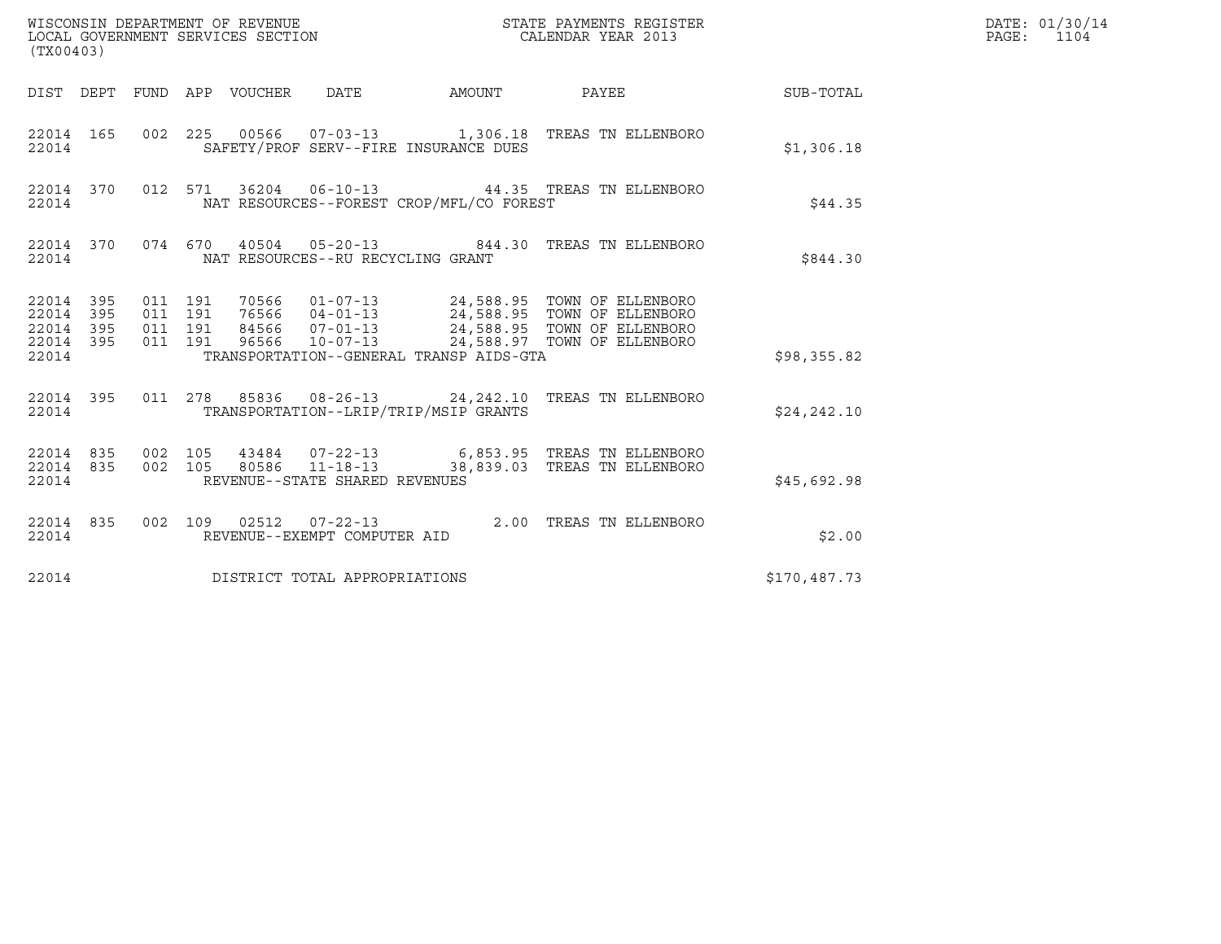| (TX00403)                                             |           |                    |                               |                                 |                                                  |                                          |                                                                                                                                                                                                  |              | DATE: 01/30/14<br>PAGE: 1104 |
|-------------------------------------------------------|-----------|--------------------|-------------------------------|---------------------------------|--------------------------------------------------|------------------------------------------|--------------------------------------------------------------------------------------------------------------------------------------------------------------------------------------------------|--------------|------------------------------|
|                                                       |           |                    |                               | DIST DEPT FUND APP VOUCHER DATE |                                                  | AMOUNT PAYEE                             |                                                                                                                                                                                                  | SUB-TOTAL    |                              |
| 22014                                                 |           |                    |                               |                                 |                                                  | SAFETY/PROF SERV--FIRE INSURANCE DUES    | 22014 165 002 225 00566 07-03-13 1,306.18 TREAS TN ELLENBORO                                                                                                                                     | \$1,306.18   |                              |
| 22014                                                 | 22014 370 |                    |                               |                                 |                                                  | NAT RESOURCES--FOREST CROP/MFL/CO FOREST | 012 571 36204 06-10-13 44.35 TREAS TN ELLENBORO                                                                                                                                                  | \$44.35      |                              |
| 22014                                                 | 22014 370 |                    |                               |                                 |                                                  | NAT RESOURCES--RU RECYCLING GRANT        | 074 670 40504 05-20-13 844.30 TREAS TN ELLENBORO                                                                                                                                                 | \$844.30     |                              |
| 22014 395<br>22014 395<br>22014<br>22014 395<br>22014 | 395       | 011 191            | 011 191<br>011 191<br>011 191 |                                 |                                                  | TRANSPORTATION--GENERAL TRANSP AIDS-GTA  | 70566  01-07-13  24,588.95  TOWN OF ELLENBORO<br>76566  04-01-13  24,588.95  TOWN OF ELLENBORO<br>84566  07-01-13  24,588.95  TOWN OF ELLENBORO<br>96566  10-07-13  24,588.97  TOWN OF ELLENBORO | \$98,355.82  |                              |
| 22014                                                 |           |                    |                               |                                 |                                                  | TRANSPORTATION--LRIP/TRIP/MSIP GRANTS    | 22014 395 011 278 85836 08-26-13 24, 242.10 TREAS TN ELLENBORO                                                                                                                                   | \$24, 242.10 |                              |
| 22014 835<br>22014                                    | 22014 835 | 002 105<br>002 105 |                               |                                 | 80586 11-18-13<br>REVENUE--STATE SHARED REVENUES |                                          | 43484  07-22-13   6,853.95   TREAS TN ELLENBORO<br>38,839.03 TREAS TN ELLENBORO                                                                                                                  | \$45,692.98  |                              |
| 22014                                                 | 22014 835 |                    |                               |                                 | REVENUE--EXEMPT COMPUTER AID                     |                                          | 002 109 02512 07-22-13 2.00 TREAS TN ELLENBORO                                                                                                                                                   | \$2.00       |                              |
| 22014                                                 |           |                    |                               |                                 | DISTRICT TOTAL APPROPRIATIONS                    |                                          |                                                                                                                                                                                                  | \$170,487.73 |                              |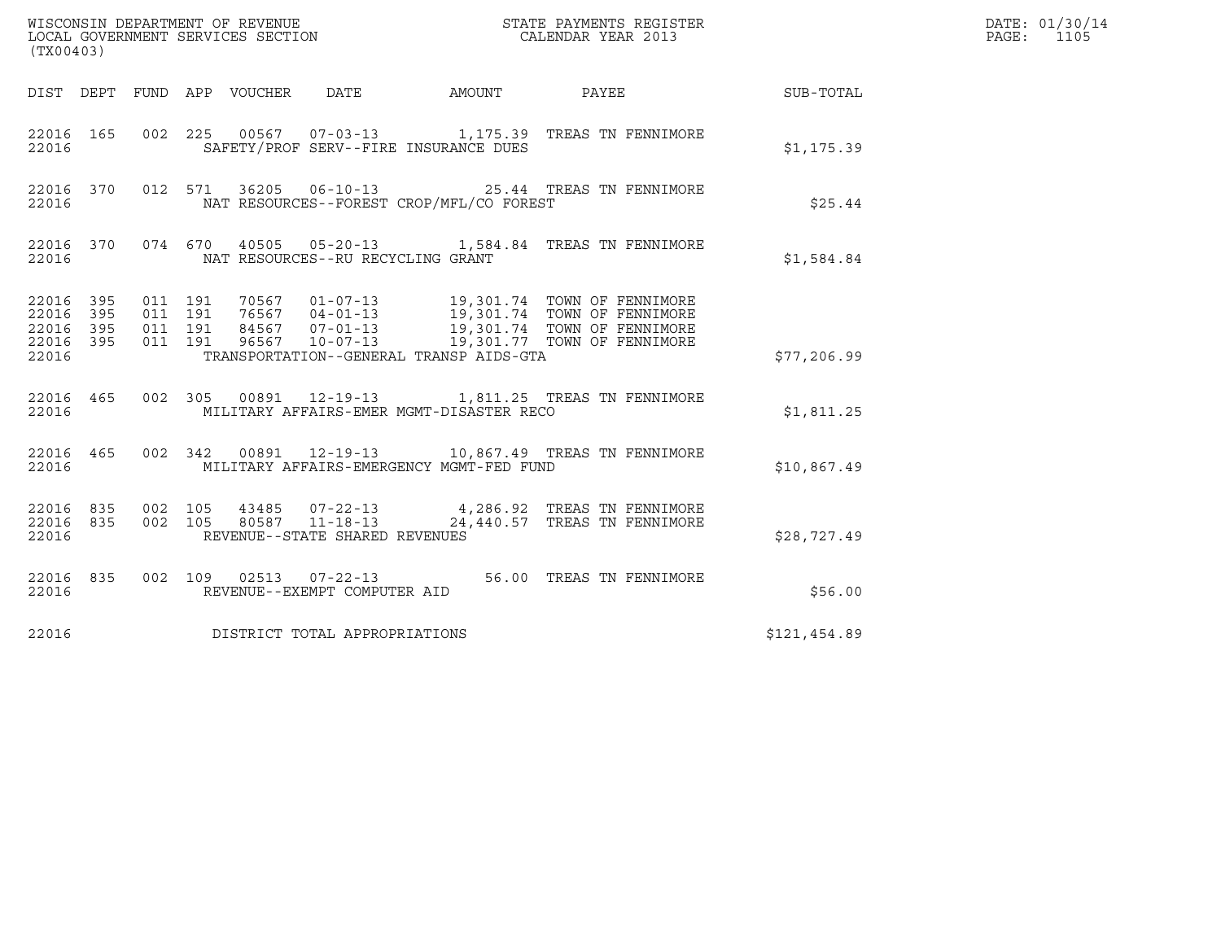| (TX00403)                                         |            |                                          |                                 |                                   |                                          |                                                                                                       |              | DATE: 01/30/14<br>PAGE:<br>1105 |
|---------------------------------------------------|------------|------------------------------------------|---------------------------------|-----------------------------------|------------------------------------------|-------------------------------------------------------------------------------------------------------|--------------|---------------------------------|
|                                                   |            |                                          | DIST DEPT FUND APP VOUCHER DATE |                                   |                                          |                                                                                                       |              |                                 |
| 22016 165<br>22016                                |            | 002 225                                  |                                 |                                   | SAFETY/PROF SERV--FIRE INSURANCE DUES    | 00567  07-03-13   1,175.39   TREAS TN FENNIMORE                                                       | \$1,175.39   |                                 |
| 22016 370<br>22016                                |            |                                          |                                 |                                   | NAT RESOURCES--FOREST CROP/MFL/CO FOREST | 012 571 36205 06-10-13 25.44 TREAS TN FENNIMORE                                                       | \$25.44      |                                 |
| 22016 370<br>22016                                |            |                                          |                                 | NAT RESOURCES--RU RECYCLING GRANT |                                          | 074 670 40505 05-20-13 1,584.84 TREAS TN FENNIMORE                                                    | \$1,584.84   |                                 |
| 22016 395<br>22016<br>22016<br>22016 395<br>22016 | 395<br>395 | 011 191<br>011 191<br>011 191<br>011 191 |                                 |                                   | TRANSPORTATION--GENERAL TRANSP AIDS-GTA  |                                                                                                       | \$77,206.99  |                                 |
| 22016 465<br>22016                                |            |                                          |                                 |                                   | MILITARY AFFAIRS-EMER MGMT-DISASTER RECO | 002 305 00891 12-19-13 1,811.25 TREAS TN FENNIMORE                                                    | \$1,811.25   |                                 |
| 22016                                             |            |                                          |                                 |                                   | MILITARY AFFAIRS-EMERGENCY MGMT-FED FUND | 22016 465 002 342 00891 12-19-13 10,867.49 TREAS TN FENNIMORE                                         | \$10,867.49  |                                 |
| 22016 835 002 105<br>22016 835<br>22016           |            | 002 105                                  |                                 | REVENUE--STATE SHARED REVENUES    |                                          | 43485   07-22-13   4,286.92   TREAS TN FENNIMORE<br>80587   11-18-13   24,440.57   TREAS TN FENNIMORE | \$28,727.49  |                                 |
| 22016 835<br>22016                                |            |                                          |                                 | REVENUE--EXEMPT COMPUTER AID      |                                          | 002 109 02513 07-22-13 56.00 TREAS TN FENNIMORE                                                       | \$56.00      |                                 |
| 22016                                             |            |                                          |                                 | DISTRICT TOTAL APPROPRIATIONS     |                                          |                                                                                                       | \$121,454.89 |                                 |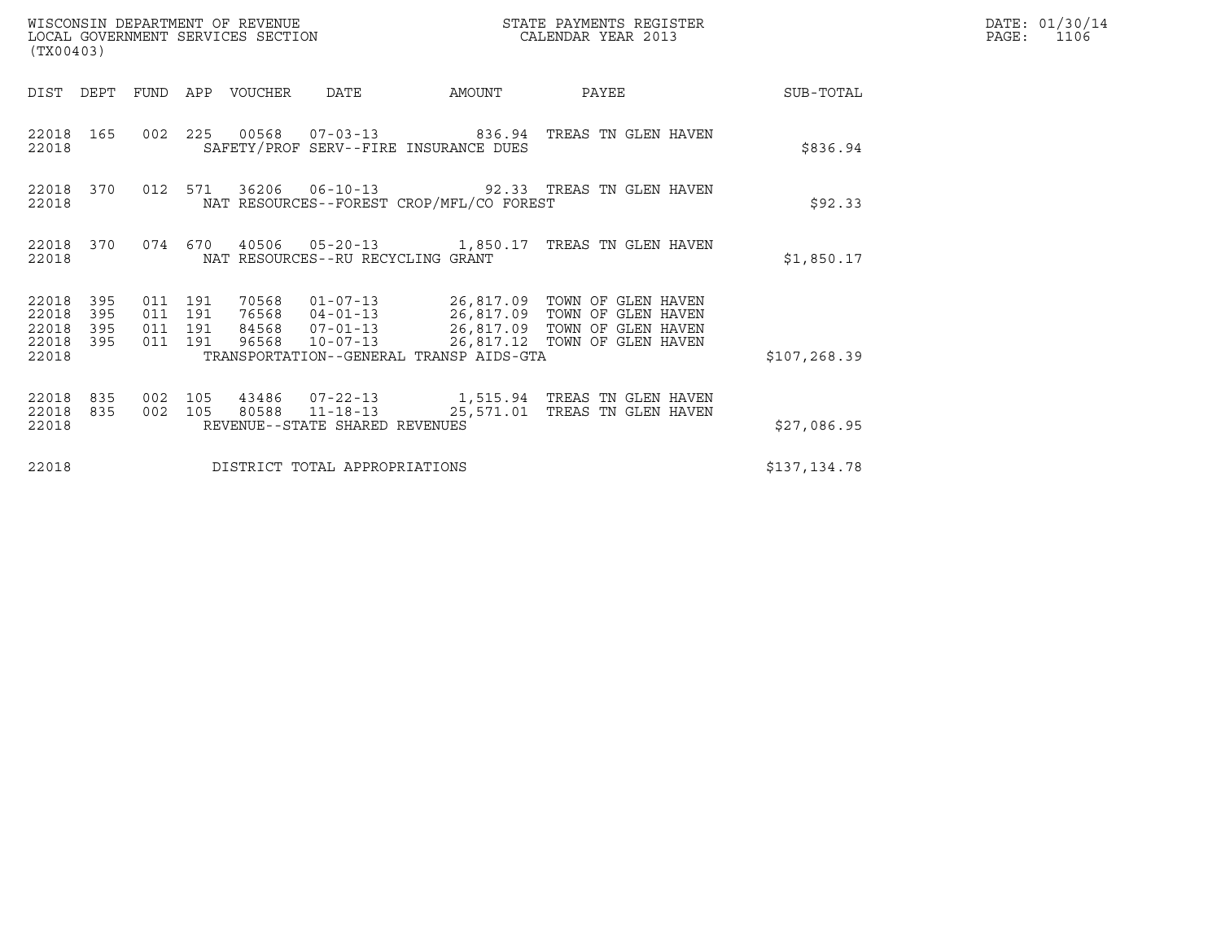| (TX00403)                                                             | WISCONSIN DEPARTMENT OF REVENUE<br>LOCAL GOVERNMENT SERVICES SECTION |                                   |                                          | DATE: 01/30/14<br>$\mathtt{PAGE:}$<br>1106                                                                                                                                   |              |  |
|-----------------------------------------------------------------------|----------------------------------------------------------------------|-----------------------------------|------------------------------------------|------------------------------------------------------------------------------------------------------------------------------------------------------------------------------|--------------|--|
| DIST<br>DEPT                                                          | FUND APP VOUCHER                                                     | DATE                              | AMOUNT                                   | PAYEE                                                                                                                                                                        | SUB-TOTAL    |  |
| 22018 165<br>22018                                                    |                                                                      |                                   | SAFETY/PROF SERV--FIRE INSURANCE DUES    | 002  225  00568  07-03-13  836.94  TREAS TN GLEN HAVEN                                                                                                                       | \$836.94     |  |
| 22018 370<br>22018                                                    | 012 571                                                              |                                   | NAT RESOURCES--FOREST CROP/MFL/CO FOREST | 36206  06-10-13  92.33  TREAS TN GLEN HAVEN                                                                                                                                  | \$92.33      |  |
| 22018 370<br>22018                                                    | 074 670                                                              | NAT RESOURCES--RU RECYCLING GRANT |                                          | 40506  05-20-13  1,850.17  TREAS TN GLEN HAVEN                                                                                                                               | \$1,850.17   |  |
| 22018<br>395<br>22018<br>395<br>22018<br>395<br>395<br>22018<br>22018 | 011 191<br>70568<br>011 191<br>011 191<br>011 191<br>96568           | $10 - 07 - 13$                    | TRANSPORTATION--GENERAL TRANSP AIDS-GTA  | 01-07-13    26,817.09 TOWN OF GLEN HAVEN<br>76568  04-01-13  26,817.09  TOWN OF GLEN HAVEN<br>84568  07-01-13  26,817.09  TOWN OF GLEN HAVEN<br>26,817.12 TOWN OF GLEN HAVEN | \$107,268.39 |  |
| 22018<br>835<br>22018<br>835<br>22018                                 | 002 105<br>002 105<br>80588                                          | REVENUE--STATE SHARED REVENUES    |                                          | 43486  07-22-13  1,515.94  TREAS TN GLEN HAVEN                                                                                                                               | \$27,086.95  |  |
| 22018                                                                 |                                                                      | DISTRICT TOTAL APPROPRIATIONS     |                                          |                                                                                                                                                                              | \$137,134.78 |  |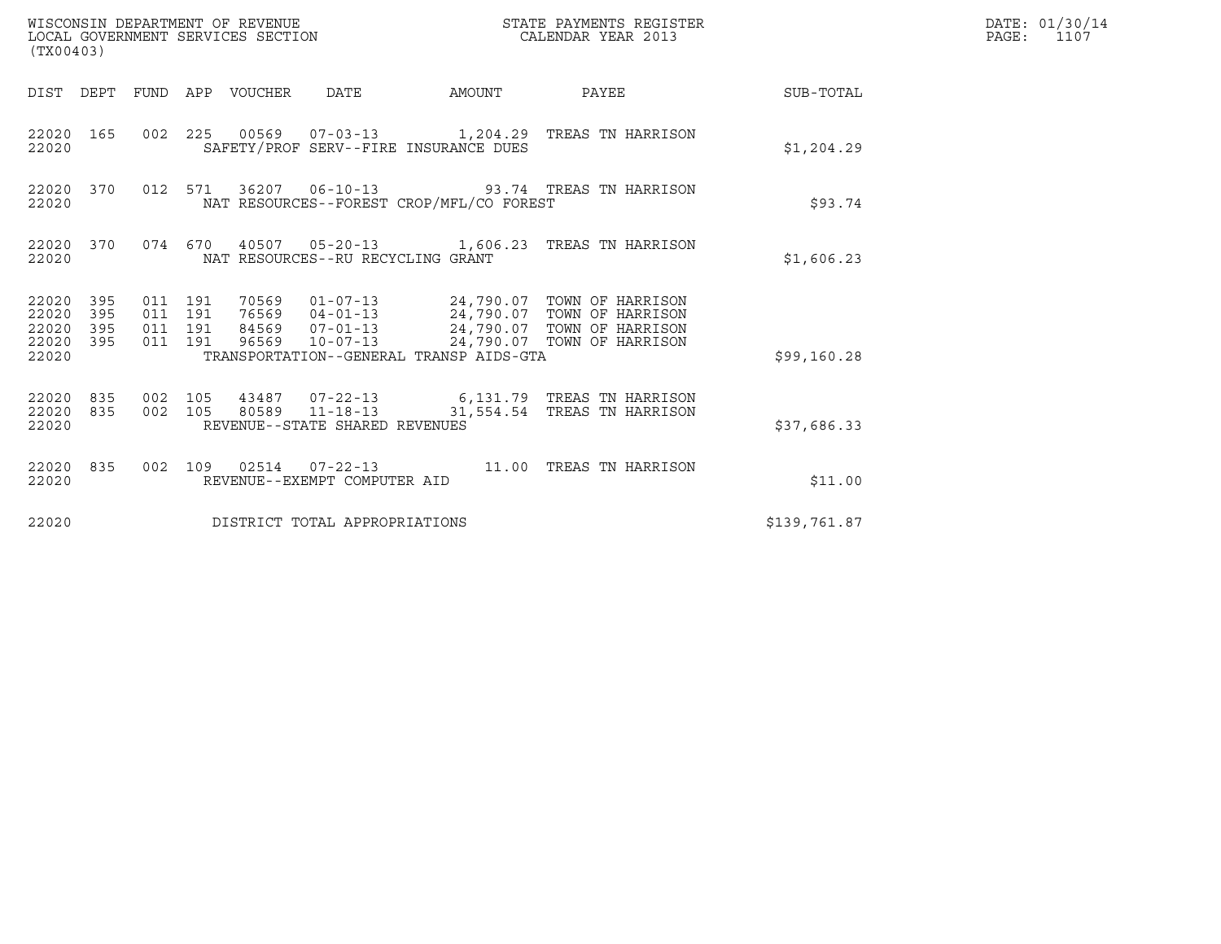| (TX00403)                                                       | WISCONSIN DEPARTMENT OF REVENUE<br>LOCAL GOVERNMENT SERVICES SECTION                                                                                                                                                                                                                         | STATE PAYMENTS REGISTER<br>CALENDAR YEAR 2013 |              | DATE: 01/30/14<br>$\mathtt{PAGE:}$<br>1107 |
|-----------------------------------------------------------------|----------------------------------------------------------------------------------------------------------------------------------------------------------------------------------------------------------------------------------------------------------------------------------------------|-----------------------------------------------|--------------|--------------------------------------------|
|                                                                 | DIST DEPT FUND APP VOUCHER DATE                                                                                                                                                                                                                                                              | AMOUNT PAYEE SUB-TOTAL                        |              |                                            |
| 22020 165<br>22020                                              | 002 225 00569 07-03-13 1,204.29 TREAS TN HARRISON<br>SAFETY/PROF SERV--FIRE INSURANCE DUES                                                                                                                                                                                                   |                                               | \$1,204.29   |                                            |
| 22020 370<br>22020                                              | 012 571 36207 06-10-13 93.74 TREAS TN HARRISON<br>NAT RESOURCES--FOREST CROP/MFL/CO FOREST                                                                                                                                                                                                   |                                               | \$93.74      |                                            |
| 22020 370<br>22020                                              | 074 670 40507 05-20-13 1,606.23 TREAS TN HARRISON<br>NAT RESOURCES--RU RECYCLING GRANT                                                                                                                                                                                                       |                                               | \$1,606.23   |                                            |
| 22020 395<br>22020<br>395<br>22020<br>395<br>22020 395<br>22020 | 70569   01-07-13   24,790.07   TOWN OF HARRISON<br>76569   04-01-13   24,790.07   TOWN OF HARRISON<br>84569   07-01-13   24,790.07   TOWN OF HARRISON<br>011 191<br>011 191<br>011 191<br>96569  10-07-13  24,790.07  TOWN OF HARRISON<br>011 191<br>TRANSPORTATION--GENERAL TRANSP AIDS-GTA |                                               | \$99,160.28  |                                            |
| 22020 835<br>22020 835<br>22020                                 | 43487 07-22-13 6,131.79 TREAS TN HARRISON<br>002 105<br>80589 11-18-13<br>002 105<br>REVENUE--STATE SHARED REVENUES                                                                                                                                                                          | 31,554.54 TREAS TN HARRISON                   | \$37,686.33  |                                            |
| 22020 835<br>22020                                              | 002 109 02514 07-22-13 11.00 TREAS TN HARRISON<br>REVENUE--EXEMPT COMPUTER AID                                                                                                                                                                                                               |                                               | \$11.00      |                                            |
| 22020                                                           | DISTRICT TOTAL APPROPRIATIONS                                                                                                                                                                                                                                                                |                                               | \$139,761.87 |                                            |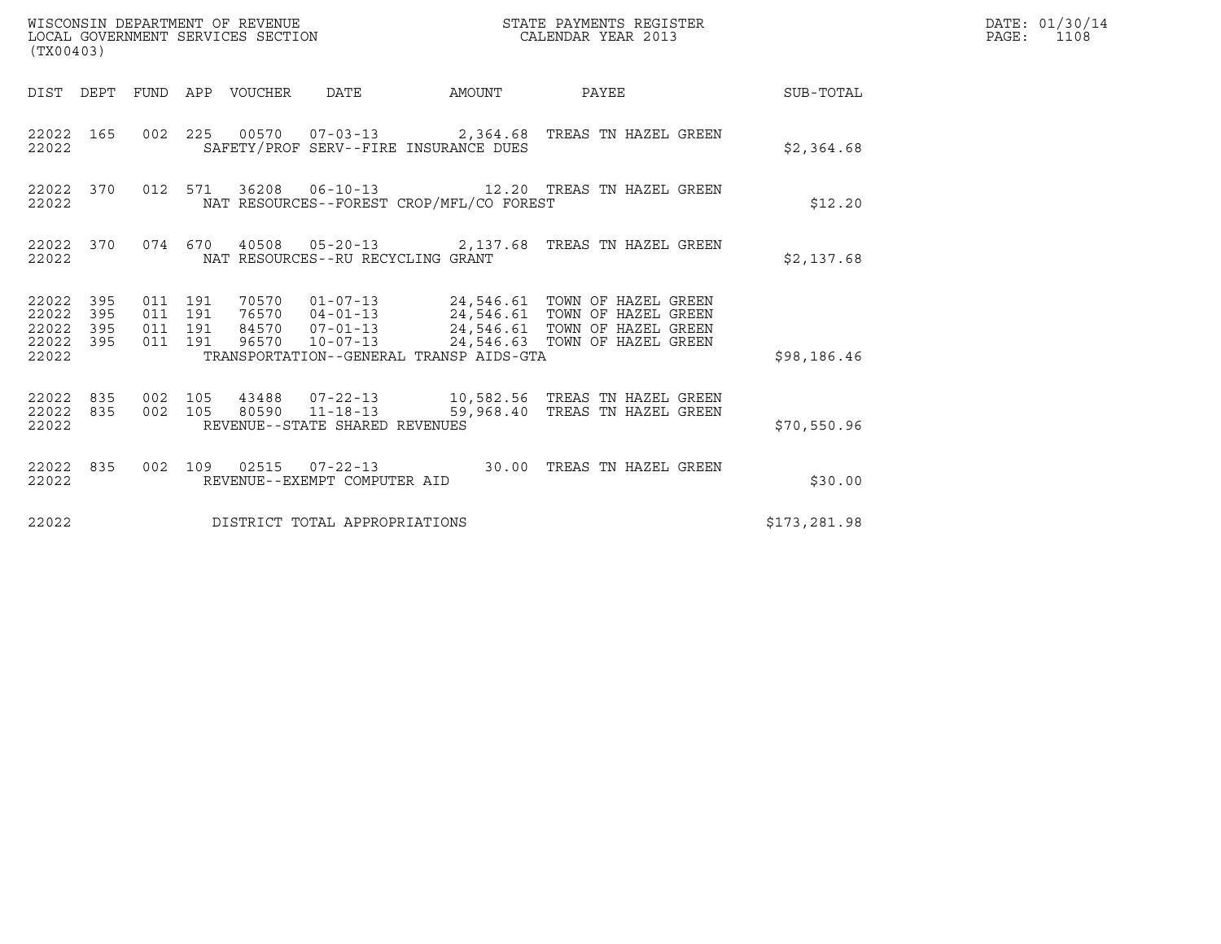| WISCONSIN DEPARTMENT OF REVENUE<br>LOCAL GOVERNMENT SERVICES SECTION<br>STATE PAYMENTS REGISTER<br>CALENDAR YEAR 2013<br>(TX00403) |                        |                               |         |                                 |                                   |                                          |                                                                                                                                                                                                                   |              | DATE: 01/30/14<br>$\mathtt{PAGE:}$<br>1108 |
|------------------------------------------------------------------------------------------------------------------------------------|------------------------|-------------------------------|---------|---------------------------------|-----------------------------------|------------------------------------------|-------------------------------------------------------------------------------------------------------------------------------------------------------------------------------------------------------------------|--------------|--------------------------------------------|
|                                                                                                                                    |                        |                               |         | DIST DEPT FUND APP VOUCHER DATE |                                   |                                          | AMOUNT PAYEE SUB-TOTAL                                                                                                                                                                                            |              |                                            |
| 22022                                                                                                                              | 22022 165              |                               |         |                                 |                                   | SAFETY/PROF SERV--FIRE INSURANCE DUES    | 002 225 00570 07-03-13 2,364.68 TREAS TN HAZEL GREEN                                                                                                                                                              | \$2,364.68   |                                            |
| 22022                                                                                                                              | 22022 370              |                               |         |                                 |                                   | NAT RESOURCES--FOREST CROP/MFL/CO FOREST | 012 571 36208 06-10-13 12.20 TREAS TN HAZEL GREEN                                                                                                                                                                 | \$12.20      |                                            |
| 22022                                                                                                                              | 22022 370              |                               |         |                                 | NAT RESOURCES--RU RECYCLING GRANT |                                          | 074 670 40508 05-20-13 2,137.68 TREAS TN HAZEL GREEN                                                                                                                                                              | \$2,137.68   |                                            |
| 22022 395<br>22022<br>22022 395<br>22022                                                                                           | 395<br>22022 395       | 011 191<br>011 191<br>011 191 | 011 191 |                                 |                                   | TRANSPORTATION--GENERAL TRANSP AIDS-GTA  | 70570   01-07-13   24,546.61   TOWN OF HAZEL GREEN<br>76570   04-01-13   24,546.61   TOWN OF HAZEL GREEN<br>84570   07-01-13   24,546.61   TOWN OF HAZEL GREEN<br>96570  10-07-13  24,546.63  TOWN OF HAZEL GREEN | \$98,186.46  |                                            |
| 22022                                                                                                                              | 22022 835<br>22022 835 | 002 105                       |         |                                 | REVENUE--STATE SHARED REVENUES    |                                          | 002 105 43488 07-22-13 10,582.56 TREAS TN HAZEL GREEN<br>002 105 80590 11-18-13 59,968.40 TREAS TN HAZEL GREEN                                                                                                    | \$70,550.96  |                                            |
| 22022                                                                                                                              | 22022 835              |                               |         |                                 | REVENUE--EXEMPT COMPUTER AID      |                                          | 002 109 02515 07-22-13 30.00 TREAS TN HAZEL GREEN                                                                                                                                                                 | \$30.00      |                                            |
| 22022                                                                                                                              |                        |                               |         |                                 | DISTRICT TOTAL APPROPRIATIONS     |                                          |                                                                                                                                                                                                                   | \$173,281.98 |                                            |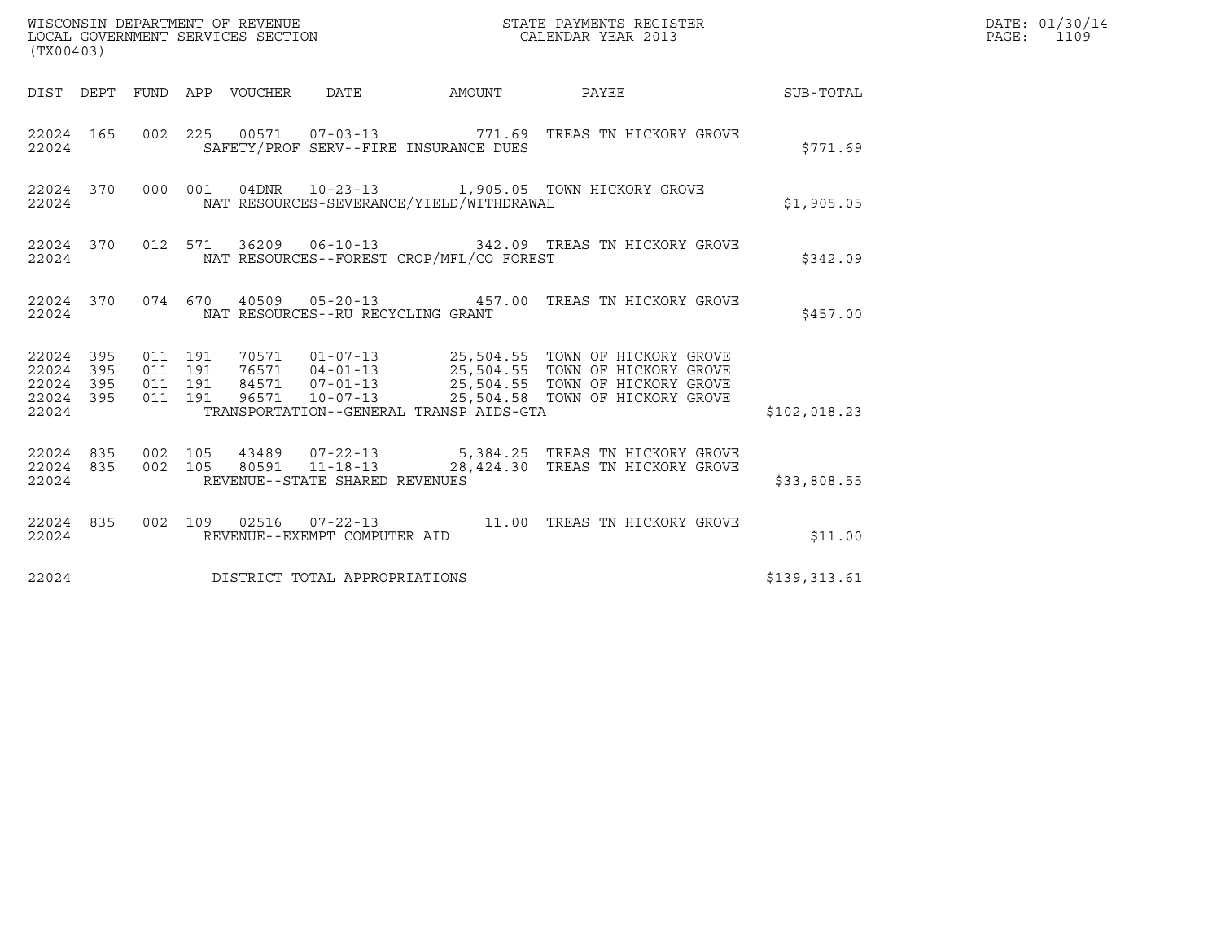| (TX00403)                                                    |         |  |                                   | DATE: 01/30/14<br>PAGE: 1109             |                                                                                                                                                                                                                                 |                  |  |
|--------------------------------------------------------------|---------|--|-----------------------------------|------------------------------------------|---------------------------------------------------------------------------------------------------------------------------------------------------------------------------------------------------------------------------------|------------------|--|
| DIST DEPT FUND APP VOUCHER DATE                              |         |  |                                   | AMOUNT                                   | <b>PAYEE</b>                                                                                                                                                                                                                    | <b>SUB-TOTAL</b> |  |
| 22024                                                        |         |  |                                   | SAFETY/PROF SERV--FIRE INSURANCE DUES    | 22024 165 002 225 00571 07-03-13 771.69 TREAS TN HICKORY GROVE                                                                                                                                                                  | \$771.69         |  |
| 22024                                                        |         |  |                                   | NAT RESOURCES-SEVERANCE/YIELD/WITHDRAWAL | 22024 370 000 001 04DNR 10-23-13 1,905.05 TOWN HICKORY GROVE                                                                                                                                                                    | \$1,905.05       |  |
| 22024                                                        |         |  |                                   | NAT RESOURCES--FOREST CROP/MFL/CO FOREST | 22024 370 012 571 36209 06-10-13 342.09 TREAS TN HICKORY GROVE                                                                                                                                                                  | \$342.09         |  |
| 22024                                                        |         |  | NAT RESOURCES--RU RECYCLING GRANT |                                          | 22024 370 074 670 40509 05-20-13 457.00 TREAS TN HICKORY GROVE                                                                                                                                                                  | \$457.00         |  |
| 22024 395<br>22024<br>395<br>22024 395<br>22024 395<br>22024 | 011 191 |  |                                   | TRANSPORTATION--GENERAL TRANSP AIDS-GTA  | 70571  01-07-13  25,504.55  TOWN OF HICKORY GROVE<br>011 191 76571 04-01-13 25,504.55 TOWN OF HICKORY GROVE<br>011 191 84571 07-01-13 25,504.55 TOWN OF HICKORY GROVE<br>011 191 96571 10-07-13 25,504.58 TOWN OF HICKORY GROVE | \$102,018.23     |  |
| 22024 835 002 105<br>22024 835<br>22024                      | 002 105 |  | REVENUE--STATE SHARED REVENUES    |                                          | 43489  07-22-13  5,384.25  TREAS TN HICKORY GROVE<br>80591  11-18-13  28,424.30 TREAS TN HICKORY GROVE                                                                                                                          | \$33,808.55      |  |
| 22024                                                        |         |  | REVENUE--EXEMPT COMPUTER AID      |                                          | 22024 835 002 109 02516 07-22-13 11.00 TREAS TN HICKORY GROVE                                                                                                                                                                   | \$11.00          |  |
| 22024                                                        |         |  | DISTRICT TOTAL APPROPRIATIONS     |                                          |                                                                                                                                                                                                                                 | \$139,313.61     |  |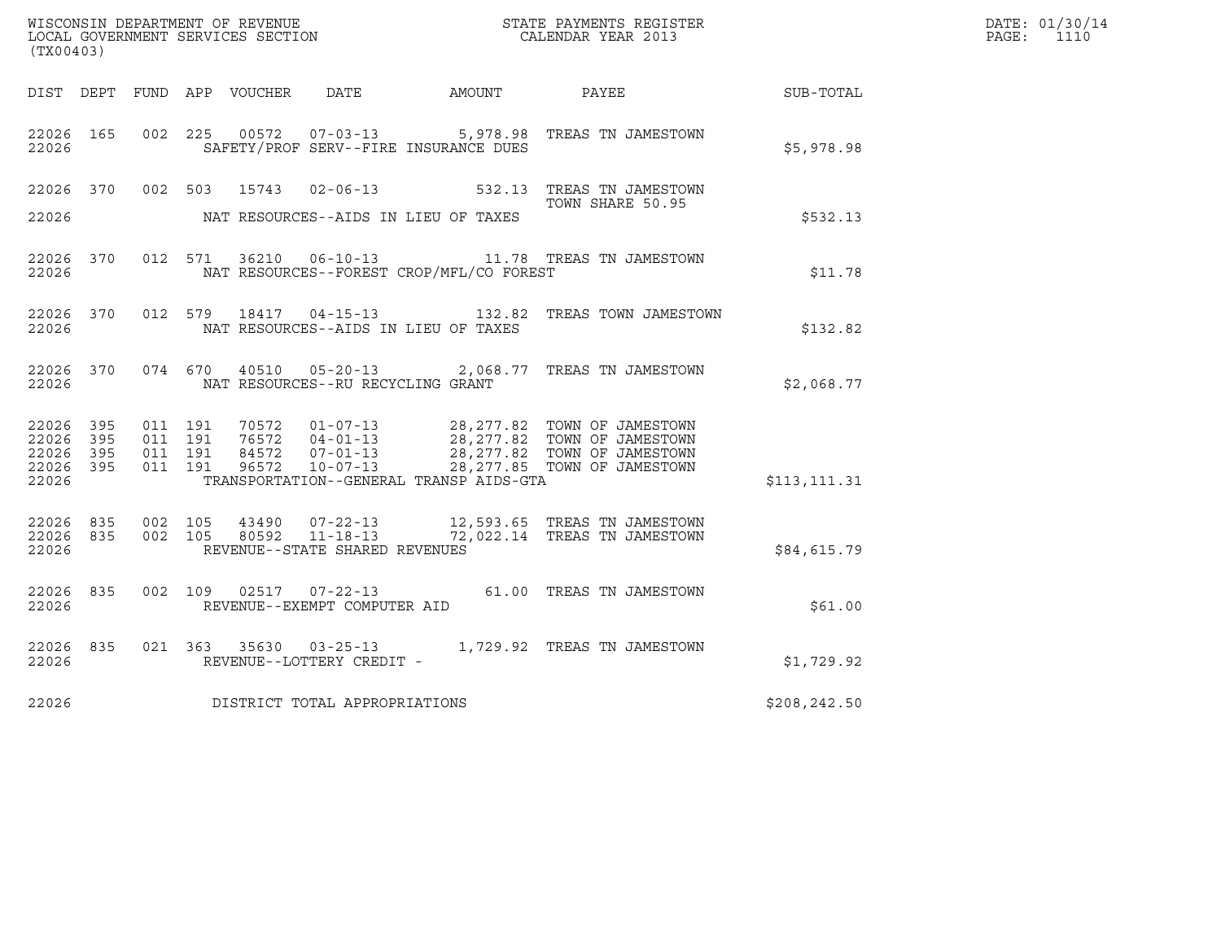| (TX00403)                                     |                   |                               |         |                                   |                                              |                                                                                                                                                                                                  | DATE: 01/30/14<br>PAGE: 1110 |  |
|-----------------------------------------------|-------------------|-------------------------------|---------|-----------------------------------|----------------------------------------------|--------------------------------------------------------------------------------------------------------------------------------------------------------------------------------------------------|------------------------------|--|
|                                               |                   |                               |         |                                   | DIST DEPT FUND APP VOUCHER DATE AMOUNT PAYEE |                                                                                                                                                                                                  | <b>SUB-TOTAL</b>             |  |
| 22026 165<br>22026                            |                   |                               |         |                                   | SAFETY/PROF SERV--FIRE INSURANCE DUES        | 002 225 00572 07-03-13 5,978.98 TREAS TN JAMESTOWN                                                                                                                                               | \$5,978.98                   |  |
| 22026                                         |                   |                               |         |                                   | NAT RESOURCES--AIDS IN LIEU OF TAXES         | 22026 370 002 503 15743 02-06-13 532.13 TREAS TN JAMESTOWN<br>TOWN SHARE 50.95                                                                                                                   | \$532.13                     |  |
| 22026                                         | 22026 370         |                               |         |                                   | NAT RESOURCES--FOREST CROP/MFL/CO FOREST     | 012 571 36210 06-10-13 11.78 TREAS TN JAMESTOWN                                                                                                                                                  | \$11.78                      |  |
| 22026                                         | 22026 370         |                               |         |                                   | NAT RESOURCES--AIDS IN LIEU OF TAXES         | 012 579 18417 04-15-13 132.82 TREAS TOWN JAMESTOWN                                                                                                                                               | \$132.82                     |  |
| 22026                                         | 22026 370         |                               |         | NAT RESOURCES--RU RECYCLING GRANT |                                              | 074 670 40510 05-20-13 2,068.77 TREAS TN JAMESTOWN                                                                                                                                               | \$2,068.77                   |  |
| 22026 395<br>22026<br>22026<br>22026<br>22026 | 395<br>395<br>395 | 011 191<br>011 191<br>011 191 | 011 191 |                                   | TRANSPORTATION--GENERAL TRANSP AIDS-GTA      | 70572  01-07-13  28,277.82  TOWN OF JAMESTOWN<br>76572  04-01-13  28,277.82  TOWN OF JAMESTOWN<br>84572  07-01-13  28,277.82  TOWN OF JAMESTOWN<br>96572  10-07-13  28,277.85  TOWN OF JAMESTOWN | \$113,111.31                 |  |
| 22026                                         | 22026 835         | 22026 835 002 105             | 002 105 | REVENUE--STATE SHARED REVENUES    |                                              | 43490  07-22-13   12,593.65   TREAS TN JAMESTOWN<br>80592  11-18-13   72,022.14   TREAS TN JAMESTOWN                                                                                             | \$84,615.79                  |  |
| 22026                                         | 22026 835         |                               |         | REVENUE--EXEMPT COMPUTER AID      |                                              | 002 109 02517 07-22-13 61.00 TREAS TN JAMESTOWN                                                                                                                                                  | \$61.00                      |  |
| 22026                                         | 22026 835         |                               |         | REVENUE--LOTTERY CREDIT -         |                                              | 021 363 35630 03-25-13 1,729.92 TREAS TN JAMESTOWN                                                                                                                                               | \$1,729.92                   |  |
| 22026                                         |                   |                               |         | DISTRICT TOTAL APPROPRIATIONS     |                                              |                                                                                                                                                                                                  | \$208,242.50                 |  |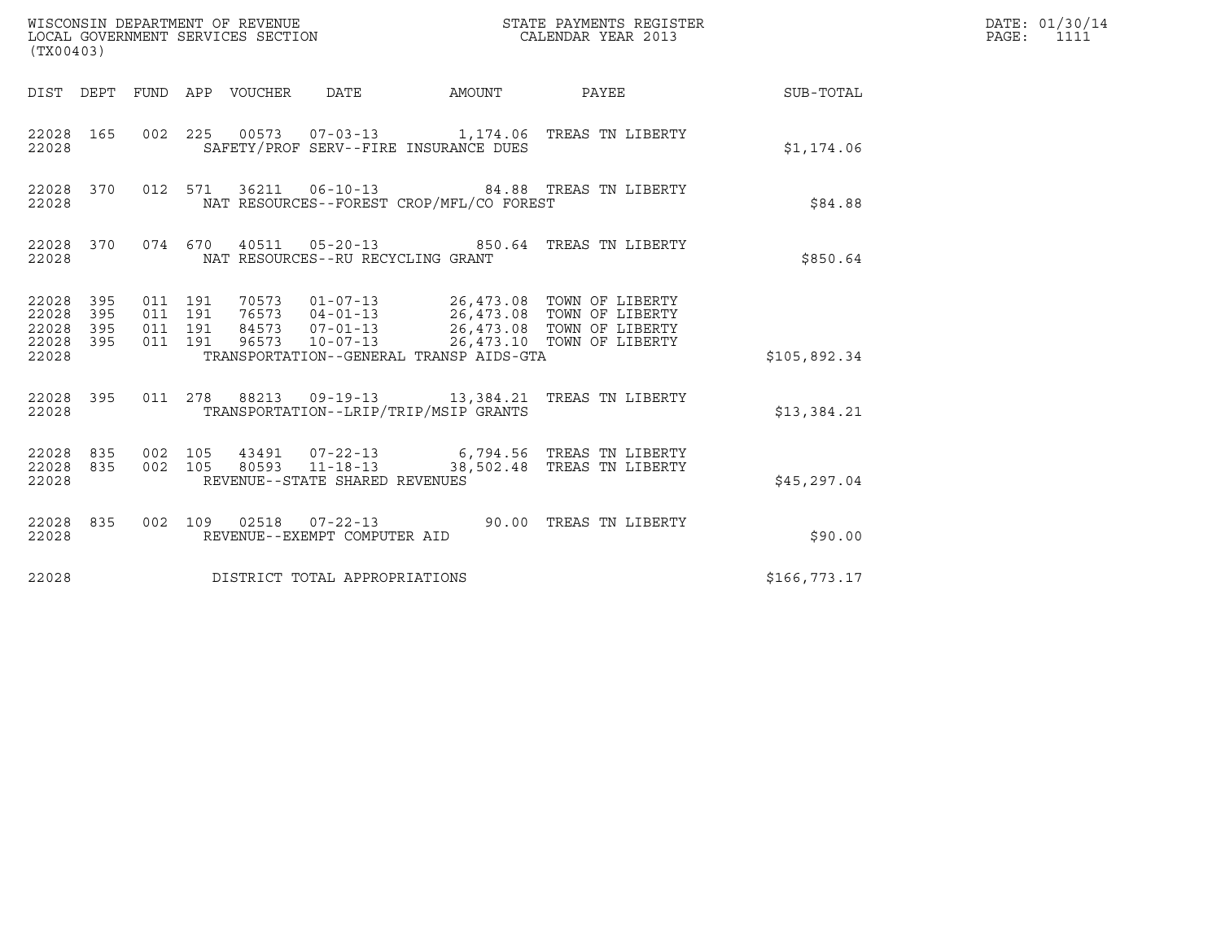| (TX00403)                                     |                   |                                          | WISCONSIN DEPARTMENT OF REVENUE<br>LOCAL GOVERNMENT SERVICES SECTION |                                                  | $\mathbf N$                              | STATE PAYMENTS REGISTER<br>CALENDAR YEAR 2013                                                                                                                                                     |              | DATE: 01/30/14<br>$\mathtt{PAGE:}$<br>1111 |
|-----------------------------------------------|-------------------|------------------------------------------|----------------------------------------------------------------------|--------------------------------------------------|------------------------------------------|---------------------------------------------------------------------------------------------------------------------------------------------------------------------------------------------------|--------------|--------------------------------------------|
|                                               |                   |                                          | DIST DEPT FUND APP VOUCHER DATE                                      |                                                  | AMOUNT                                   | PAYEE                                                                                                                                                                                             | SUB-TOTAL    |                                            |
| 22028 165<br>22028                            |                   |                                          |                                                                      |                                                  | SAFETY/PROF SERV--FIRE INSURANCE DUES    | 002 225 00573 07-03-13 1,174.06 TREAS TN LIBERTY                                                                                                                                                  | \$1,174.06   |                                            |
| 22028                                         | 22028 370         |                                          |                                                                      |                                                  | NAT RESOURCES--FOREST CROP/MFL/CO FOREST | 012 571 36211 06-10-13 84.88 TREAS TN LIBERTY                                                                                                                                                     | \$84.88      |                                            |
| 22028                                         | 22028 370         |                                          |                                                                      | NAT RESOURCES--RU RECYCLING GRANT                |                                          | 074 670 40511 05-20-13 850.64 TREAS TN LIBERTY                                                                                                                                                    | \$850.64     |                                            |
| 22028<br>22028<br>22028<br>22028 395<br>22028 | 395<br>395<br>395 | 011 191<br>011 191<br>011 191<br>011 191 |                                                                      |                                                  | TRANSPORTATION--GENERAL TRANSP AIDS-GTA  | 70573   01-07-13   26,473.08   TOWN OF LIBERTY<br>76573   04-01-13   26,473.08   TOWN OF LIBERTY<br>84573   07-01-13   26,473.08   TOWN OF LIBERTY<br>96573  10-07-13  26,473.10  TOWN OF LIBERTY | \$105,892.34 |                                            |
| 22028                                         | 22028 395         |                                          |                                                                      |                                                  | TRANSPORTATION--LRIP/TRIP/MSIP GRANTS    | 011  278  88213  09-19-13  13,384.21  TREAS TN LIBERTY                                                                                                                                            | \$13,384.21  |                                            |
| 22028 835<br>22028 835<br>22028               |                   | 002 105<br>002 105                       |                                                                      | 80593 11-18-13<br>REVENUE--STATE SHARED REVENUES |                                          | 43491  07-22-13  6,794.56  TREAS TN LIBERTY<br>38,502.48 TREAS TN LIBERTY                                                                                                                         | \$45,297.04  |                                            |
| 22028 835<br>22028                            |                   |                                          |                                                                      | REVENUE--EXEMPT COMPUTER AID                     |                                          | 002 109 02518 07-22-13 90.00 TREAS TN LIBERTY                                                                                                                                                     | \$90.00      |                                            |
| 22028                                         |                   |                                          |                                                                      | DISTRICT TOTAL APPROPRIATIONS                    |                                          |                                                                                                                                                                                                   | \$166,773.17 |                                            |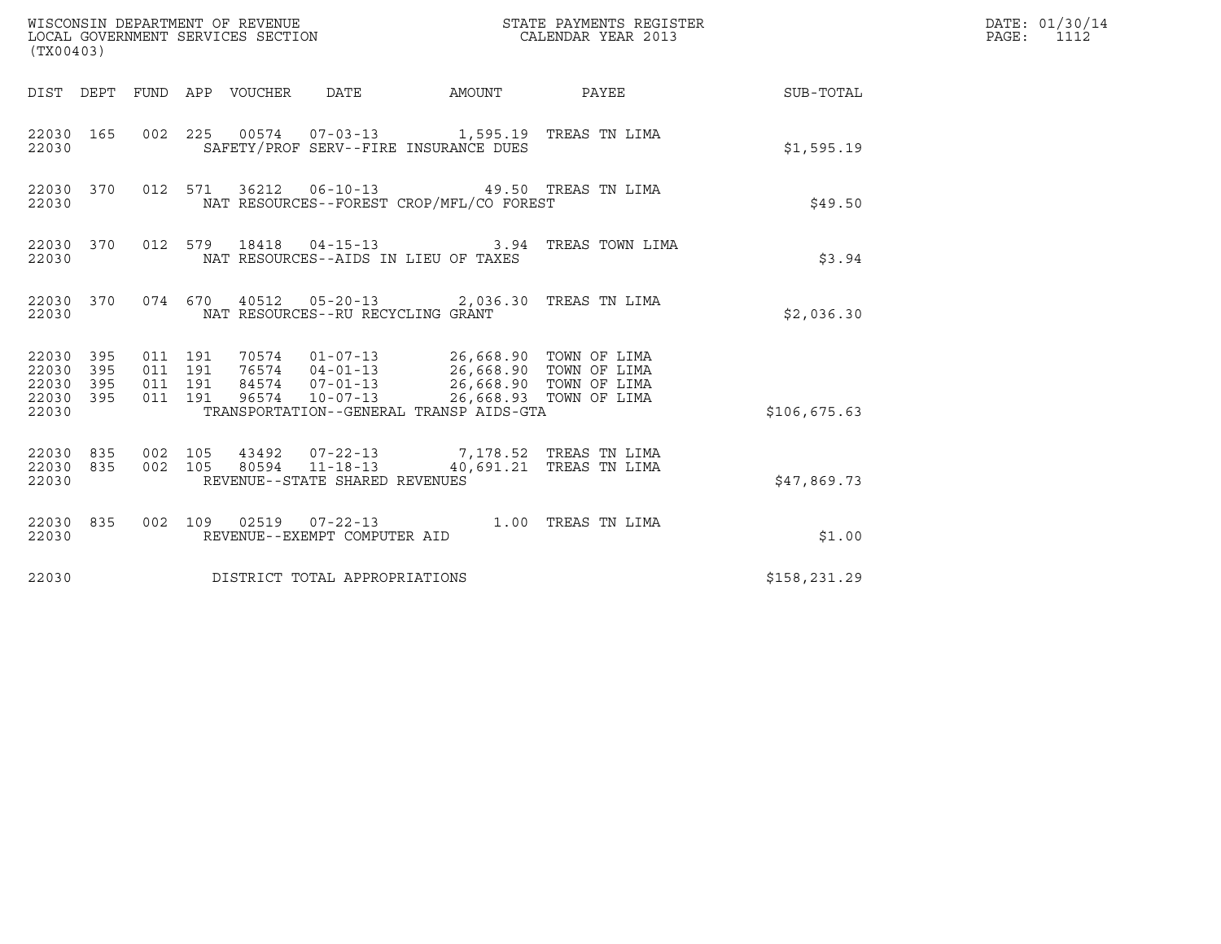| (TX00403)                                         |            |                                          |  |                                                  |                                                                                                                                                                                                                       |                                               |              | DATE: 01/30/14<br>PAGE:<br>1112 |
|---------------------------------------------------|------------|------------------------------------------|--|--------------------------------------------------|-----------------------------------------------------------------------------------------------------------------------------------------------------------------------------------------------------------------------|-----------------------------------------------|--------------|---------------------------------|
|                                                   |            |                                          |  | DIST DEPT FUND APP VOUCHER DATE AMOUNT           |                                                                                                                                                                                                                       | PAYEE                                         | SUB-TOTAL    |                                 |
| 22030 165<br>22030                                |            |                                          |  | SAFETY/PROF SERV--FIRE INSURANCE DUES            |                                                                                                                                                                                                                       | 002 225 00574 07-03-13 1,595.19 TREAS TN LIMA | \$1,595.19   |                                 |
| 22030 370<br>22030                                |            |                                          |  |                                                  | NAT RESOURCES--FOREST CROP/MFL/CO FOREST                                                                                                                                                                              | 012 571 36212 06-10-13 49.50 TREAS TN LIMA    | \$49.50      |                                 |
| 22030 370<br>22030                                |            |                                          |  | NAT RESOURCES--AIDS IN LIEU OF TAXES             |                                                                                                                                                                                                                       | 012 579 18418 04-15-13 3.94 TREAS TOWN LIMA   | \$3.94       |                                 |
| 22030 370<br>22030                                |            |                                          |  | NAT RESOURCES--RU RECYCLING GRANT                |                                                                                                                                                                                                                       | 074 670 40512 05-20-13 2,036.30 TREAS TN LIMA | \$2,036.30   |                                 |
| 22030 395<br>22030<br>22030<br>22030 395<br>22030 | 395<br>395 | 011 191<br>011 191<br>011 191<br>011 191 |  |                                                  | 70574  01-07-13  26,668.90  TOWN OF LIMA<br>76574  04-01-13  26,668.90  TOWN OF LIMA<br>84574  07-01-13  26,668.90 TOWN OF LIMA<br>96574  10-07-13  26,668.93 TOWN OF LIMA<br>TRANSPORTATION--GENERAL TRANSP AIDS-GTA |                                               | \$106,675.63 |                                 |
| 22030 835<br>22030 835<br>22030                   |            | 002 105<br>002 105                       |  | 80594 11-18-13<br>REVENUE--STATE SHARED REVENUES | 43492  07-22-13  7,178.52  TREAS TN LIMA                                                                                                                                                                              | 40,691.21 TREAS TN LIMA                       | \$47,869.73  |                                 |
| 22030 835<br>22030                                |            |                                          |  | REVENUE--EXEMPT COMPUTER AID                     |                                                                                                                                                                                                                       | 002 109 02519 07-22-13 1.00 TREAS TN LIMA     | \$1.00       |                                 |
| 22030                                             |            |                                          |  | DISTRICT TOTAL APPROPRIATIONS                    |                                                                                                                                                                                                                       |                                               | \$158,231.29 |                                 |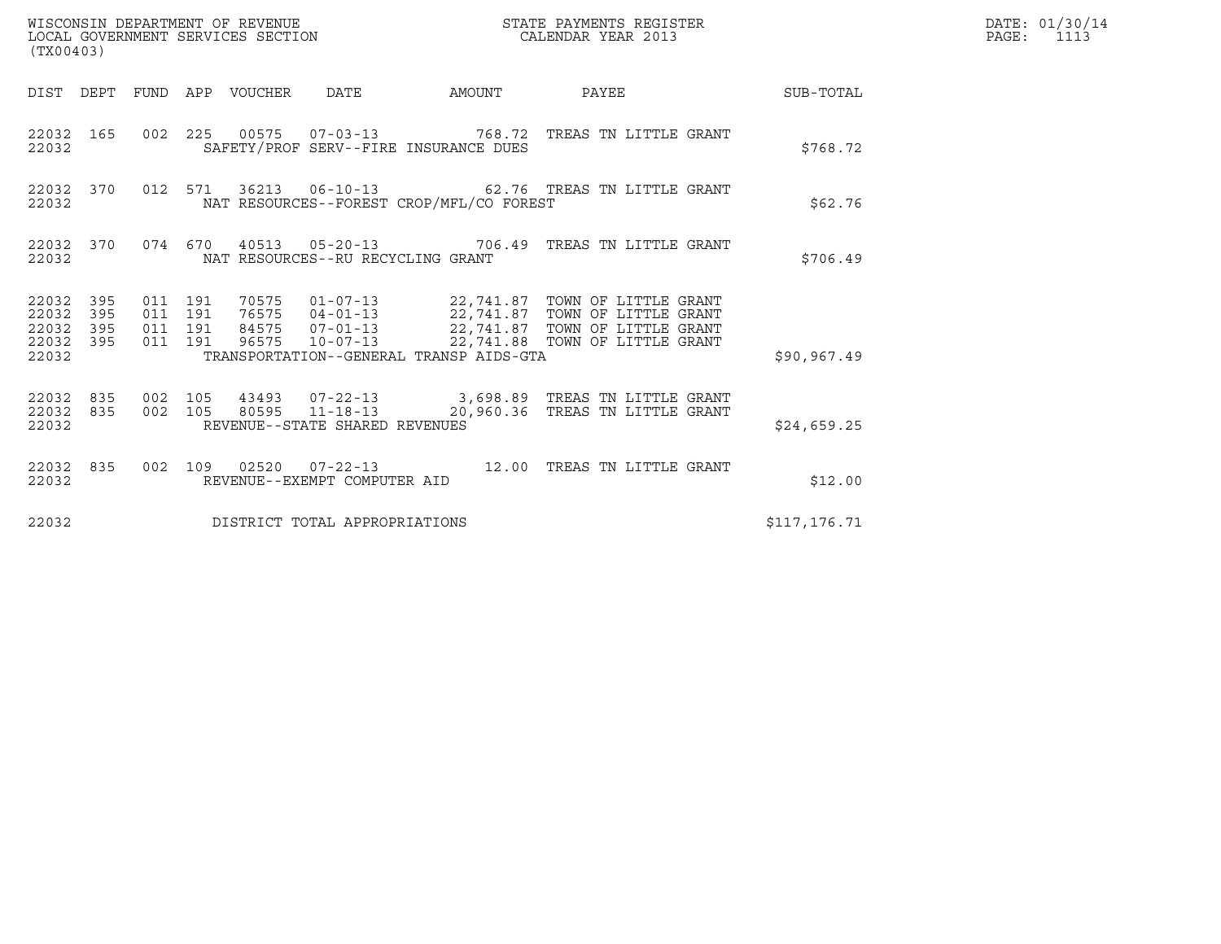| (TX00403)                                    |           |                               |         |  |                                   |                                          |                                                                                                                                                                                                                         |              | DATE: 01/30/14<br>PAGE:<br>1113 |
|----------------------------------------------|-----------|-------------------------------|---------|--|-----------------------------------|------------------------------------------|-------------------------------------------------------------------------------------------------------------------------------------------------------------------------------------------------------------------------|--------------|---------------------------------|
|                                              |           |                               |         |  |                                   |                                          | DIST DEPT FUND APP VOUCHER DATE AMOUNT PAYEE TO SUB-TOTAL                                                                                                                                                               |              |                                 |
| 22032                                        | 22032 165 |                               |         |  |                                   | SAFETY/PROF SERV--FIRE INSURANCE DUES    | 002 225 00575 07-03-13 768.72 TREAS TN LITTLE GRANT                                                                                                                                                                     | \$768.72     |                                 |
| 22032                                        | 22032 370 |                               |         |  |                                   | NAT RESOURCES--FOREST CROP/MFL/CO FOREST | 012 571 36213 06-10-13 62.76 TREAS TN LITTLE GRANT                                                                                                                                                                      | \$62.76      |                                 |
| 22032                                        |           |                               |         |  | NAT RESOURCES--RU RECYCLING GRANT |                                          | 22032 370 074 670 40513 05-20-13 706.49 TREAS TN LITTLE GRANT                                                                                                                                                           | \$706.49     |                                 |
| 22032 395<br>22032 395<br>22032 395<br>22032 | 22032 395 | 011 191<br>011 191<br>011 191 | 011 191 |  |                                   | TRANSPORTATION--GENERAL TRANSP AIDS-GTA  | 70575   01-07-13   22,741.87   TOWN OF LITTLE GRANT<br>76575   04-01-13   22,741.87   TOWN OF LITTLE GRANT<br>84575   07-01-13   22,741.87   TOWN OF LITTLE GRANT<br>96575  10-07-13  22,741.88  TOWN OF LITTLE GRANT   | \$90, 967.49 |                                 |
| 22032                                        |           |                               |         |  | REVENUE--STATE SHARED REVENUES    |                                          | $\begin{array}{cccccccc} 22032 & 835 & 002 & 105 & 43493 & 07-22-13 & & 3,698.89 & \text{TREAS TN LITTLE GRANT} \\ 22032 & 835 & 002 & 105 & 80595 & 11-18-13 & & 20,960.36 & \text{TREAS TN LITTLE GRANT} \end{array}$ | \$24,659.25  |                                 |
| 22032                                        |           |                               |         |  | REVENUE--EXEMPT COMPUTER AID      |                                          | 22032 835 002 109 02520 07-22-13 12.00 TREAS TN LITTLE GRANT                                                                                                                                                            | \$12.00      |                                 |
| 22032                                        |           |                               |         |  | DISTRICT TOTAL APPROPRIATIONS     |                                          |                                                                                                                                                                                                                         | \$117,176.71 |                                 |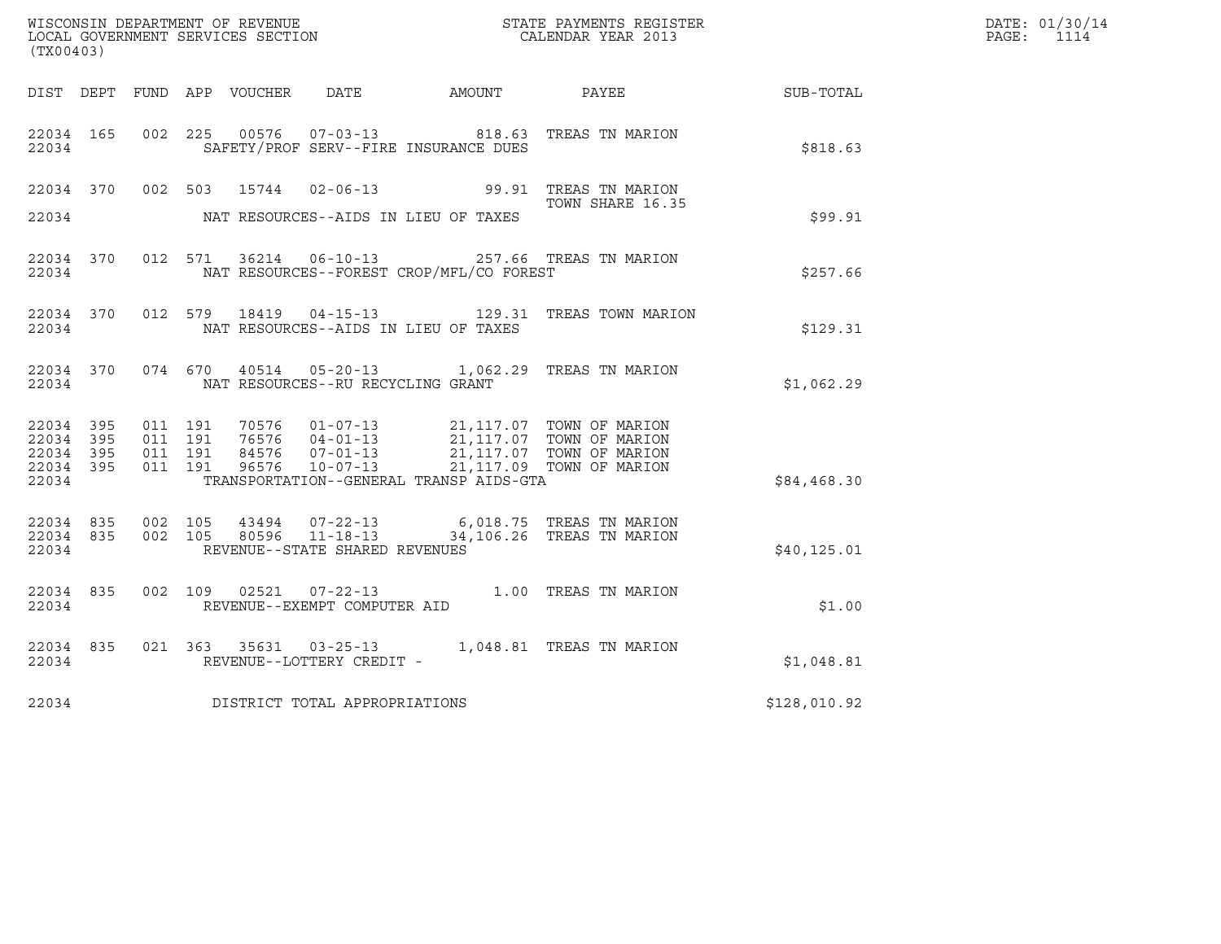| (TX00403)                       |                        |                    |                    |                                   |                                                | WISCONSIN DEPARTMENT OF REVENUE<br>LOCAL GOVERNMENT SERVICES SECTION<br>CALENDAR YEAR 2013                                                                                                                        |              | DATE: 01/30/14<br>PAGE: 1114 |
|---------------------------------|------------------------|--------------------|--------------------|-----------------------------------|------------------------------------------------|-------------------------------------------------------------------------------------------------------------------------------------------------------------------------------------------------------------------|--------------|------------------------------|
|                                 |                        |                    |                    |                                   |                                                | DIST DEPT FUND APP VOUCHER DATE AMOUNT PAYEE SUB-TOTAL                                                                                                                                                            |              |                              |
| 22034                           | 22034 165              |                    |                    |                                   | SAFETY/PROF SERV--FIRE INSURANCE DUES          | 002 225 00576 07-03-13 818.63 TREAS TN MARION                                                                                                                                                                     | \$818.63     |                              |
|                                 |                        |                    |                    |                                   | 22034 NAT RESOURCES--AIDS IN LIEU OF TAXES     | 22034 370 002 503 15744 02-06-13 99.91 TREAS TN MARION<br>TOWN SHARE 16.35<br>TOWN SHARE 16.35                                                                                                                    | \$99.91      |                              |
|                                 |                        |                    |                    |                                   | 22034 NAT RESOURCES--FOREST CROP/MFL/CO FOREST | 22034 370 012 571 36214 06-10-13 257.66 TREAS TN MARION                                                                                                                                                           | \$257.66     |                              |
|                                 |                        |                    |                    |                                   | 22034 NAT RESOURCES--AIDS IN LIEU OF TAXES     | 22034 370 012 579 18419 04-15-13 129.31 TREAS TOWN MARION                                                                                                                                                         | \$129.31     |                              |
| 22034                           |                        |                    |                    | NAT RESOURCES--RU RECYCLING GRANT |                                                | 22034 370 074 670 40514 05-20-13 1,062.29 TREAS TN MARION                                                                                                                                                         | \$1,062.29   |                              |
| 22034 395<br>22034 395<br>22034 | 22034 395<br>22034 395 | 011 191<br>011 191 | 011 191<br>011 191 |                                   | TRANSPORTATION--GENERAL TRANSP AIDS-GTA        | 70576  01-07-13  21,117.07 TOWN OF MARION<br>76576  04-01-13  21,117.07 TOWN OF MARION<br>84576  07-01-13  21,117.07 TOWN OF MARION<br>96576  10-07-13  21,117.09 TOWN OF MARION                                  | \$84,468.30  |                              |
|                                 | 22034                  |                    |                    | REVENUE--STATE SHARED REVENUES    |                                                | $\begin{array}{cccccccc} 22034 & 835 & 002 & 105 & 43494 & 07-22-13 & & & & 6,018.75 & \text{TREAS TN MARION} \\ 22034 & 835 & 002 & 105 & 80596 & 11-18-13 & & & 34,106.26 & \text{TREAS TN MARION} \end{array}$ | \$40, 125.01 |                              |
| 22034                           | 22034 835              |                    |                    | REVENUE--EXEMPT COMPUTER AID      |                                                | 002 109 02521 07-22-13 1.00 TREAS TN MARION                                                                                                                                                                       | \$1.00       |                              |
| 22034                           | 22034 835              |                    |                    | REVENUE--LOTTERY CREDIT -         |                                                | 021 363 35631 03-25-13 1,048.81 TREAS TN MARION                                                                                                                                                                   | \$1,048.81   |                              |
| 22034                           |                        |                    |                    | DISTRICT TOTAL APPROPRIATIONS     |                                                |                                                                                                                                                                                                                   | \$128,010.92 |                              |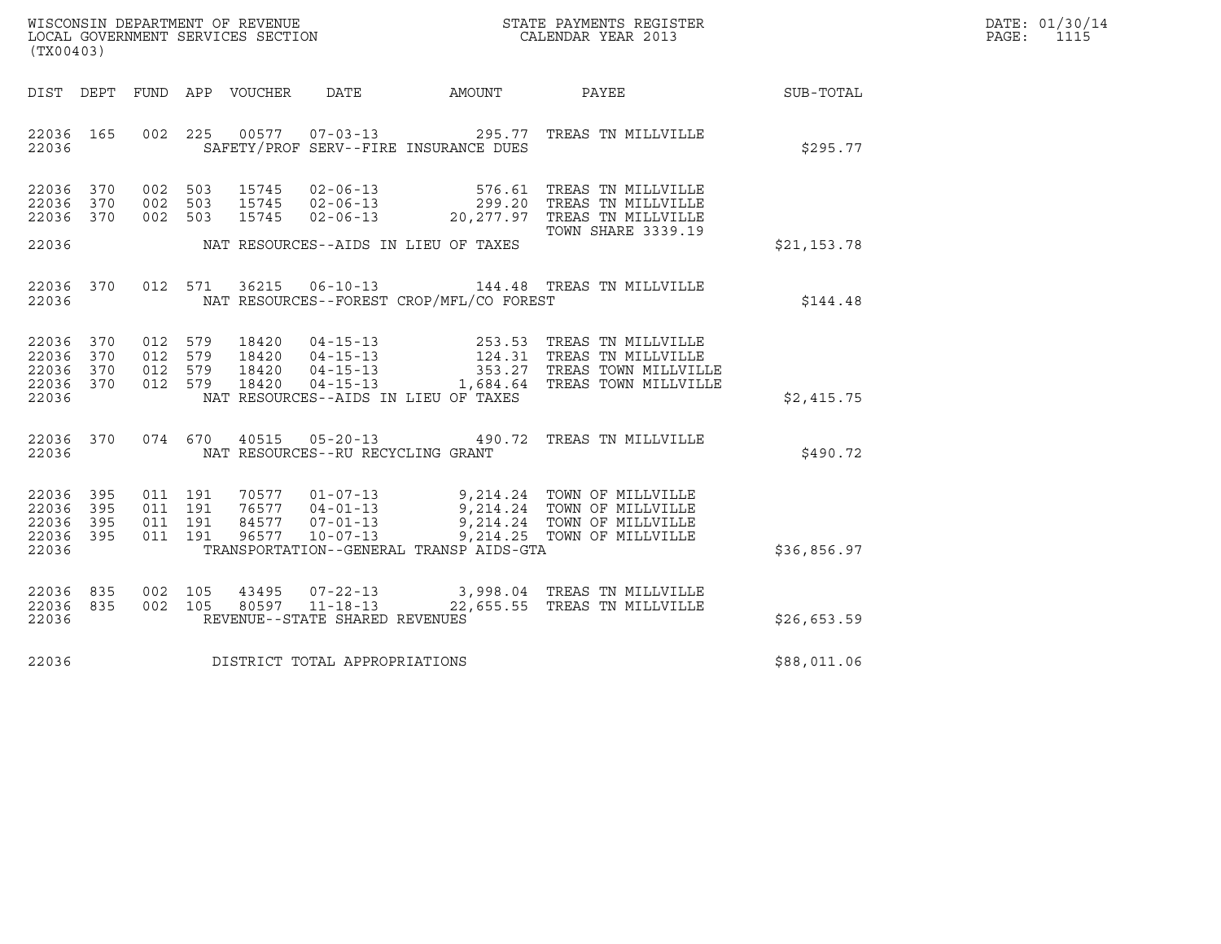| WISCONSIN DEPARTMENT OF REVENUE   | STATE PAYMENTS REGISTER | DATE: 01/30/14 |
|-----------------------------------|-------------------------|----------------|
| LOCAL GOVERNMENT SERVICES SECTION | CALENDAR YEAR 2013      | PAGE:          |

| WISCONSIN DEPARTMENT OF REVENUE<br>LOCAL GOVERNMENT SERVICES SECTION<br>(TY00403)<br>(TX00403) |  |  |  |  |                                     |                                                |                                                                                                                                                                                                                                                                                                                            |             | DATE: 01/30/14<br>PAGE: 1115 |
|------------------------------------------------------------------------------------------------|--|--|--|--|-------------------------------------|------------------------------------------------|----------------------------------------------------------------------------------------------------------------------------------------------------------------------------------------------------------------------------------------------------------------------------------------------------------------------------|-------------|------------------------------|
|                                                                                                |  |  |  |  |                                     |                                                | DIST DEPT FUND APP VOUCHER DATE AMOUNT PAYEE SUB-TOTAL                                                                                                                                                                                                                                                                     |             |                              |
|                                                                                                |  |  |  |  |                                     | 22036 SAFETY/PROF SERV--FIRE INSURANCE DUES    | 22036 165 002 225 00577 07-03-13 295.77 TREAS TN MILLVILLE                                                                                                                                                                                                                                                                 | \$295.77    |                              |
| 22036 370<br>22036 370<br>22036 370                                                            |  |  |  |  |                                     |                                                | 002 503 15745 02-06-13 576.61 TREAS TN MILLVILLE<br>002 503 15745 02-06-13 299.20 TREAS TN MILLVILLE<br>002 503 15745 02-06-13 20,277.97 TREAS TN MILLVILLE<br>TOWN SHARE 3339.19                                                                                                                                          |             |                              |
|                                                                                                |  |  |  |  |                                     | 22036 MAT RESOURCES--AIDS IN LIEU OF TAXES     |                                                                                                                                                                                                                                                                                                                            | \$21,153.78 |                              |
|                                                                                                |  |  |  |  |                                     | 22036 NAT RESOURCES--FOREST CROP/MFL/CO FOREST | 22036 370 012 571 36215 06-10-13 144.48 TREAS TN MILLVILLE                                                                                                                                                                                                                                                                 | \$144.48    |                              |
|                                                                                                |  |  |  |  |                                     | 22036 NAT RESOURCES--AIDS IN LIEU OF TAXES     | $\begin{array}{cccccc} 22036 & 370 & 012 & 579 & 18420 & 04-15-13 & 253.53 & \text{TREAS TN MILUVILLE} \\ 22036 & 370 & 012 & 579 & 18420 & 04-15-13 & 124.31 & \text{TREAS TN MILLVILLE} \\ 22036 & 370 & 012 & 579 & 18420 & 04-15-13 & 353.27 & \text{TREAS TOWN MILLVILLE} \\ 22036 & 370 & 012 & 579 & 18420 & 04-15$ | \$2,415.75  |                              |
|                                                                                                |  |  |  |  |                                     | 22036 NAT RESOURCES--RU RECYCLING GRANT        | 22036 370 074 670 40515 05-20-13 490.72 TREAS TN MILLVILLE                                                                                                                                                                                                                                                                 | \$490.72    |                              |
| 22036 395<br>22036 395<br>22036 395<br>22036 395<br>22036                                      |  |  |  |  |                                     |                                                | 011 191 70577 01-07-13 9,214.24 TOWN OF MILLVILLE<br>011 191 76577 04-01-13 9,214.24 TOWN OF MILLVILLE<br>011 191 96577 10-07-13 9,214.25 TOWN OF MILLVILLE<br>011 191 96577 10-07-13 9,214.25 TOWN OF MILLVILLE<br>TRANSPORTATION--GENERAL TRANSP AIDS-GTA                                                                | \$36,856.97 |                              |
| 22036 835<br>22036 835<br>22036                                                                |  |  |  |  | REVENUE--STATE SHARED REVENUES      |                                                | 002 105 43495 07-22-13 3,998.04 TREAS TN MILLVILLE<br>002 105 80597 11-18-13 22,655.55 TREAS TN MILLVILLE                                                                                                                                                                                                                  | \$26,653.59 |                              |
|                                                                                                |  |  |  |  | 22036 DISTRICT TOTAL APPROPRIATIONS |                                                |                                                                                                                                                                                                                                                                                                                            | \$88,011.06 |                              |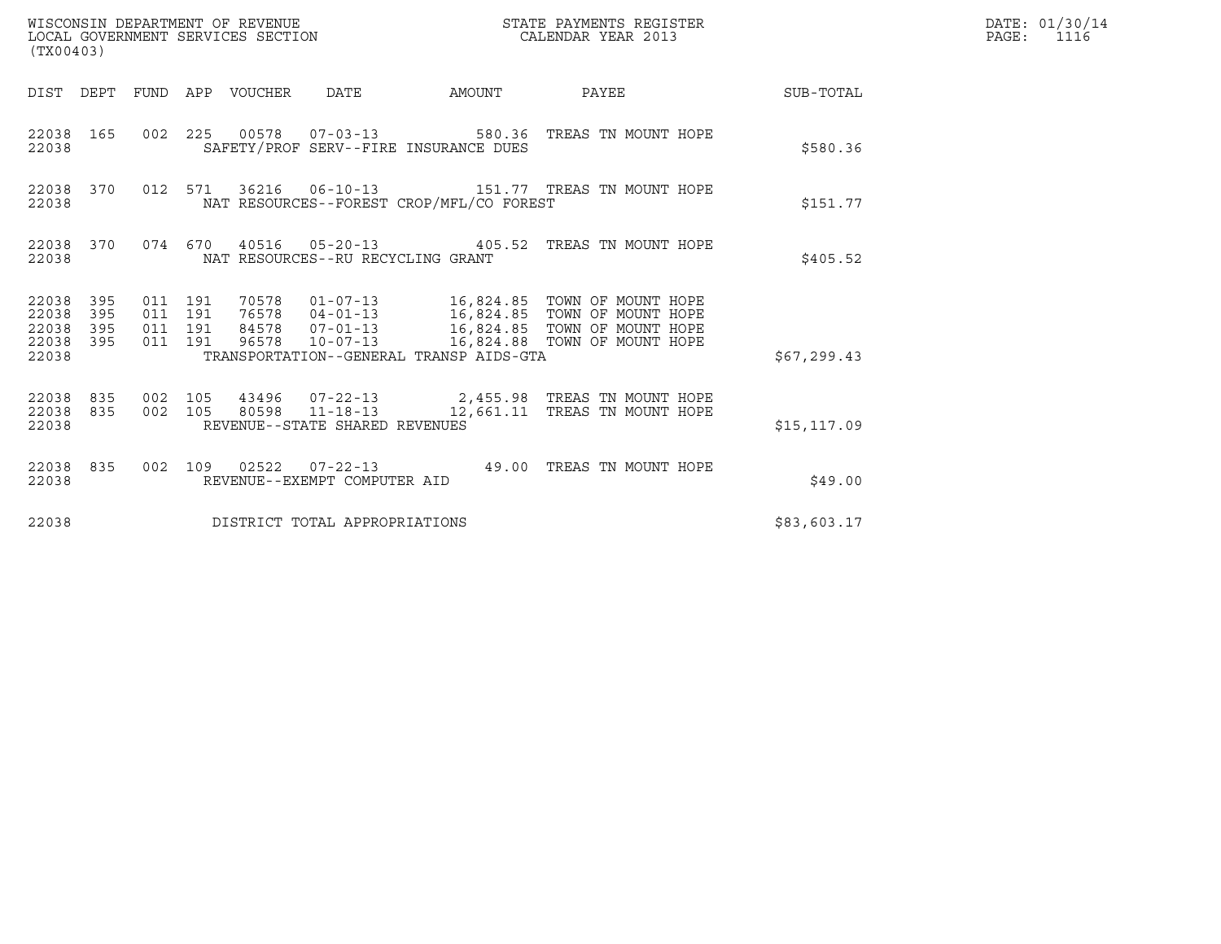|                                                                                                                                                                                                                                                                                                                | DATE: 01/30/14<br>PAGE: 1116                                                                                                                                                                                                                                                                                                                                                                                                                                                                                                                                                            |
|----------------------------------------------------------------------------------------------------------------------------------------------------------------------------------------------------------------------------------------------------------------------------------------------------------------|-----------------------------------------------------------------------------------------------------------------------------------------------------------------------------------------------------------------------------------------------------------------------------------------------------------------------------------------------------------------------------------------------------------------------------------------------------------------------------------------------------------------------------------------------------------------------------------------|
|                                                                                                                                                                                                                                                                                                                |                                                                                                                                                                                                                                                                                                                                                                                                                                                                                                                                                                                         |
| \$580.36                                                                                                                                                                                                                                                                                                       |                                                                                                                                                                                                                                                                                                                                                                                                                                                                                                                                                                                         |
| \$151.77                                                                                                                                                                                                                                                                                                       |                                                                                                                                                                                                                                                                                                                                                                                                                                                                                                                                                                                         |
| \$405.52                                                                                                                                                                                                                                                                                                       |                                                                                                                                                                                                                                                                                                                                                                                                                                                                                                                                                                                         |
| \$67, 299.43                                                                                                                                                                                                                                                                                                   |                                                                                                                                                                                                                                                                                                                                                                                                                                                                                                                                                                                         |
| \$15, 117.09                                                                                                                                                                                                                                                                                                   |                                                                                                                                                                                                                                                                                                                                                                                                                                                                                                                                                                                         |
| \$49.00                                                                                                                                                                                                                                                                                                        |                                                                                                                                                                                                                                                                                                                                                                                                                                                                                                                                                                                         |
| \$83,603.17                                                                                                                                                                                                                                                                                                    |                                                                                                                                                                                                                                                                                                                                                                                                                                                                                                                                                                                         |
| DIST DEPT FUND APP VOUCHER DATE AMOUNT<br>SAFETY/PROF SERV--FIRE INSURANCE DUES<br>NAT RESOURCES--FOREST CROP/MFL/CO FOREST<br>NAT RESOURCES--RU RECYCLING GRANT<br>TRANSPORTATION--GENERAL TRANSP AIDS-GTA<br>REVENUE--STATE SHARED REVENUES<br>REVENUE--EXEMPT COMPUTER AID<br>DISTRICT TOTAL APPROPRIATIONS | PAYEE SUB-TOTAL<br>002 225 00578 07-03-13 580.36 TREAS TN MOUNT HOPE<br>012 571 36216 06-10-13 151.77 TREAS TN MOUNT HOPE<br>074  670  40516  05-20-13  405.52  TREAS TN MOUNT HOPE<br>011 191 70578 01-07-13 16,824.85 TOWN OF MOUNT HOPE<br>011 191 76578 04-01-13 16,824.85 TOWN OF MOUNT HOPE<br>011 191 84578 07-01-13 16,824.85 TOWN OF MOUNT HOPE<br>011 191 96578 10-07-13 16,824.88 TOWN OF MOUNT HOPE<br>002  105  43496  07-22-13  2,455.98  TREAS TN MOUNT HOPE<br>002 105 80598 11-18-13 12,661.11 TREAS TN MOUNT HOPE<br>002 109 02522 07-22-13 49.00 TREAS TN MOUNT HOPE |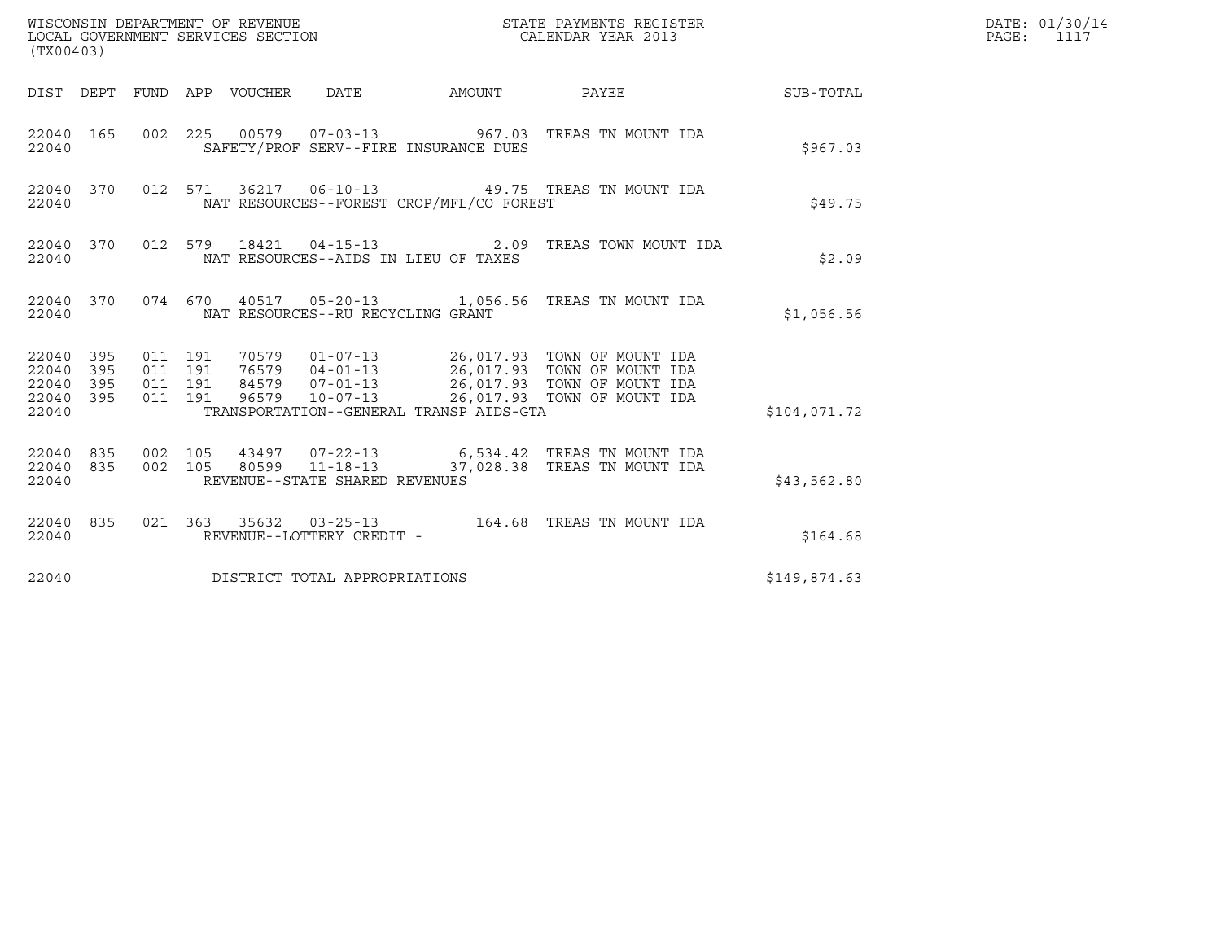| (TX00403)                                     |                   |                                          |         |                         | WISCONSIN DEPARTMENT OF REVENUE<br>LOCAL GOVERNMENT SERVICES SECTION |                                          | STATE PAYMENTS REGISTER<br>CALENDAR YEAR 2013                                                                                              |              | DATE: 01/30/14<br>$\mathtt{PAGE}$ :<br>1117 |
|-----------------------------------------------|-------------------|------------------------------------------|---------|-------------------------|----------------------------------------------------------------------|------------------------------------------|--------------------------------------------------------------------------------------------------------------------------------------------|--------------|---------------------------------------------|
| DIST DEPT                                     |                   |                                          |         | FUND APP VOUCHER DATE   |                                                                      | AMOUNT                                   | <b>PAYEE</b>                                                                                                                               | SUB-TOTAL    |                                             |
| 22040 165<br>22040                            |                   |                                          |         |                         |                                                                      | SAFETY/PROF SERV--FIRE INSURANCE DUES    | 002 225 00579 07-03-13 967.03 TREAS TN MOUNT IDA                                                                                           | \$967.03     |                                             |
| 22040 370<br>22040                            |                   |                                          | 012 571 |                         |                                                                      | NAT RESOURCES--FOREST CROP/MFL/CO FOREST | 36217  06-10-13  49.75  TREAS TN MOUNT IDA                                                                                                 | \$49.75      |                                             |
| 22040 370<br>22040                            |                   |                                          | 012 579 |                         |                                                                      | NAT RESOURCES--AIDS IN LIEU OF TAXES     | 18421  04-15-13  2.09 TREAS TOWN MOUNT IDA                                                                                                 | \$2.09       |                                             |
| 22040 370<br>22040                            |                   |                                          |         |                         | NAT RESOURCES--RU RECYCLING GRANT                                    |                                          | 074 670 40517 05-20-13 1,056.56 TREAS TN MOUNT IDA                                                                                         | \$1,056.56   |                                             |
| 22040 395<br>22040<br>22040<br>22040<br>22040 | 395<br>395<br>395 | 011 191<br>011 191<br>011 191<br>011 191 |         | 70579<br>76579<br>96579 | 84579 07-01-13<br>$10 - 07 - 13$                                     | TRANSPORTATION--GENERAL TRANSP AIDS-GTA  | 01-07-13 26,017.93 TOWN OF MOUNT IDA<br>04-01-13 26,017.93 TOWN OF MOUNT IDA<br>26,017.93 TOWN OF MOUNT IDA<br>26,017.93 TOWN OF MOUNT IDA | \$104,071.72 |                                             |
| 22040<br>22040<br>22040                       | 835<br>835        | 002 105<br>002 105                       |         | 43497<br>80599          | $11 - 18 - 13$<br>REVENUE--STATE SHARED REVENUES                     |                                          | 07-22-13 6,534.42 TREAS TN MOUNT IDA<br>37,028.38 TREAS TN MOUNT IDA                                                                       | \$43,562.80  |                                             |
| 22040 835<br>22040                            |                   |                                          |         |                         | REVENUE--LOTTERY CREDIT -                                            |                                          |                                                                                                                                            | \$164.68     |                                             |
| 22040                                         |                   |                                          |         |                         | DISTRICT TOTAL APPROPRIATIONS                                        |                                          |                                                                                                                                            | \$149,874.63 |                                             |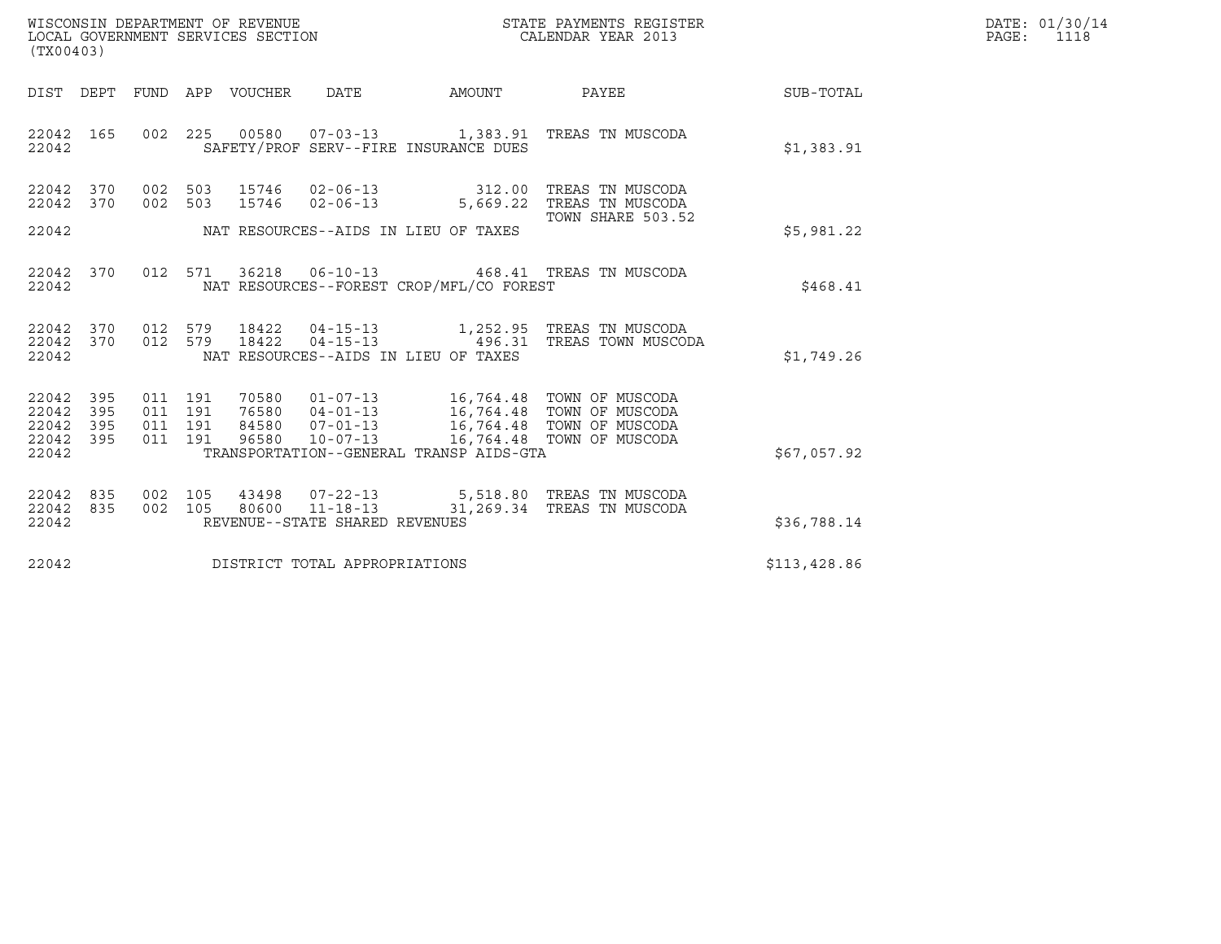| WISCONSIN DEPARTMENT OF REVENUE   | STATE PAYMENTS REGISTER | DATE: 01/30/14 |
|-----------------------------------|-------------------------|----------------|
| LOCAL GOVERNMENT SERVICES SECTION | CALENDAR YEAR 2013      | PAGE:          |

| (TX00403)                                         |            |                                          |                                 |                                |                                          |                                                                                                                                                                                                              |              | DATE: 01/30/14<br>PAGE: 1118 |
|---------------------------------------------------|------------|------------------------------------------|---------------------------------|--------------------------------|------------------------------------------|--------------------------------------------------------------------------------------------------------------------------------------------------------------------------------------------------------------|--------------|------------------------------|
|                                                   |            |                                          | DIST DEPT FUND APP VOUCHER DATE |                                |                                          | AMOUNT PAYEE                                                                                                                                                                                                 | SUB-TOTAL    |                              |
| 22042                                             |            |                                          |                                 |                                | SAFETY/PROF SERV--FIRE INSURANCE DUES    | 22042 165 002 225 00580 07-03-13 1,383.91 TREAS TN MUSCODA                                                                                                                                                   | \$1,383.91   |                              |
|                                                   |            |                                          |                                 |                                |                                          | 22042 370 002 503 15746 02-06-13 312.00 TREAS TN MUSCODA<br>22042 370 002 503 15746 02-06-13 5,669.22 TREAS TN MUSCODA                                                                                       |              |                              |
|                                                   |            |                                          |                                 |                                |                                          | TOWN SHARE 503.52                                                                                                                                                                                            | \$5,981.22   |                              |
| 22042                                             |            |                                          |                                 |                                | NAT RESOURCES--FOREST CROP/MFL/CO FOREST | 22042 370 012 571 36218 06-10-13 468.41 TREAS TN MUSCODA                                                                                                                                                     | \$468.41     |                              |
| 22042                                             |            |                                          |                                 |                                | NAT RESOURCES--AIDS IN LIEU OF TAXES     | $\begin{array}{cccccccc} 22042 & 370 & 012 & 579 & 18422 & 04-15-13 & & 1,252.95 & \text{TREAS TN MUSCODA} \\ 22042 & 370 & 012 & 579 & 18422 & 04-15-13 & & 496.31 & \text{TREAS TOWN MUSCODA} \end{array}$ | \$1,749.26   |                              |
| 22042 395<br>22042<br>22042<br>22042 395<br>22042 | 395<br>395 | 011 191<br>011 191<br>011 191<br>011 191 |                                 |                                | TRANSPORTATION--GENERAL TRANSP AIDS-GTA  | 70580  01-07-13  16,764.48  TOWN OF MUSCODA<br>76580  04-01-13  16,764.48  TOWN OF MUSCODA<br>84580  07-01-13  16,764.48  TOWN OF MUSCODA<br>96580  10-07-13  16,764.48  TOWN OF MUSCODA                     | \$67,057.92  |                              |
| 22042 835<br>22042                                |            | 002 105                                  |                                 | REVENUE--STATE SHARED REVENUES |                                          | 22042 835 002 105 43498 07-22-13 5,518.80 TREAS TN MUSCODA<br>80600  11-18-13  31,269.34 TREAS TN MUSCODA                                                                                                    | \$36,788.14  |                              |
| 22042                                             |            |                                          |                                 | DISTRICT TOTAL APPROPRIATIONS  |                                          |                                                                                                                                                                                                              | \$113,428.86 |                              |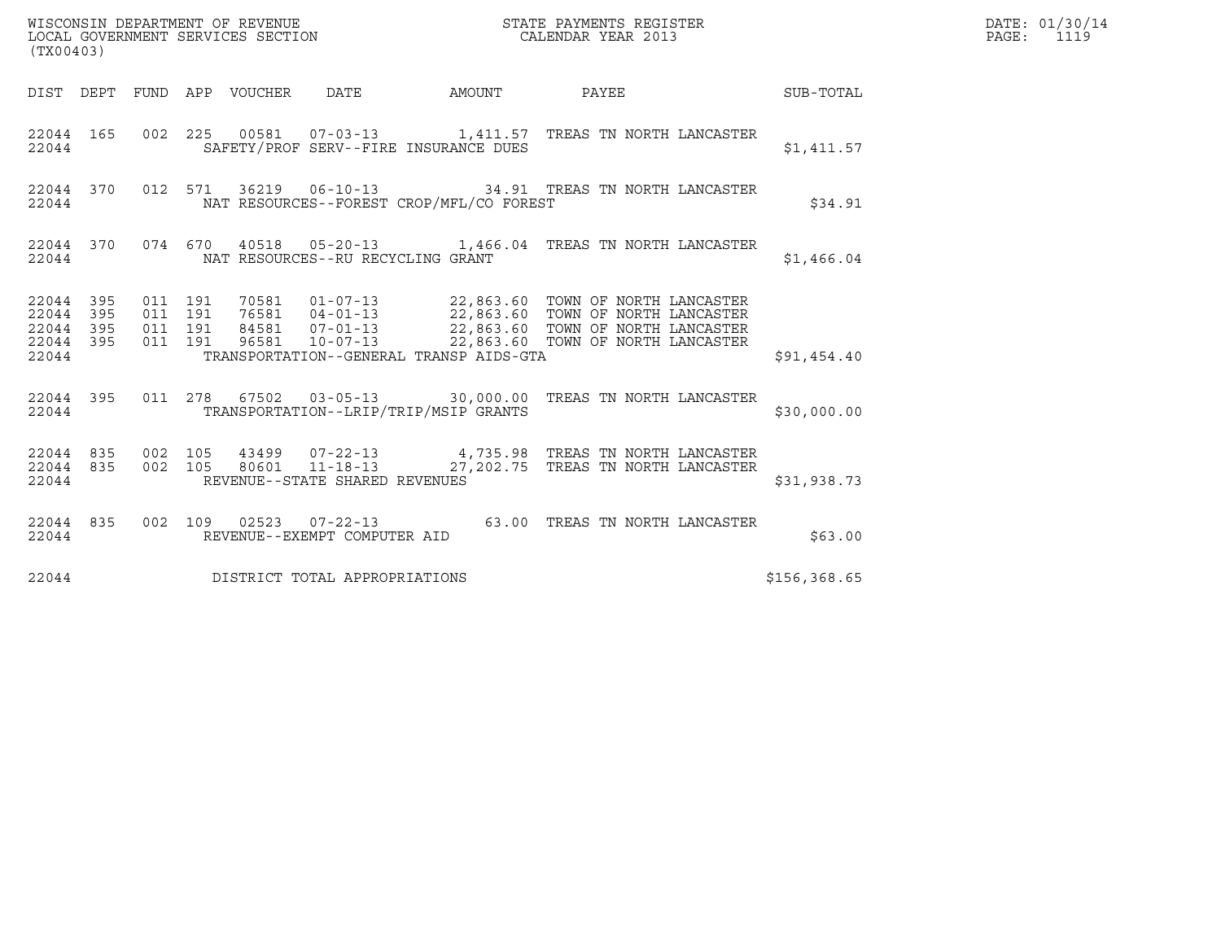| (TX00403)                                                 |                               |         |                                   |                                          |                                                                                                                                                                                                                      |              | DATE: 01/30/14<br>PAGE: 1119 |
|-----------------------------------------------------------|-------------------------------|---------|-----------------------------------|------------------------------------------|----------------------------------------------------------------------------------------------------------------------------------------------------------------------------------------------------------------------|--------------|------------------------------|
|                                                           |                               |         |                                   |                                          | DIST DEPT FUND APP VOUCHER DATE AMOUNT PAYEE THE SUB-TOTAL                                                                                                                                                           |              |                              |
| 22044                                                     |                               |         |                                   | SAFETY/PROF SERV--FIRE INSURANCE DUES    | 22044 165 002 225 00581 07-03-13 1,411.57 TREAS TN NORTH LANCASTER                                                                                                                                                   | \$1,411.57   |                              |
| 22044                                                     |                               |         |                                   | NAT RESOURCES--FOREST CROP/MFL/CO FOREST | 22044 370 012 571 36219 06-10-13 34.91 TREAS TN NORTH LANCASTER                                                                                                                                                      | \$34.91      |                              |
| 22044                                                     |                               |         | NAT RESOURCES--RU RECYCLING GRANT |                                          | 22044 370 074 670 40518 05-20-13 1,466.04 TREAS TN NORTH LANCASTER                                                                                                                                                   | \$1,466.04   |                              |
| 22044 395<br>22044 395<br>22044 395<br>22044 395<br>22044 | 011 191<br>011 191<br>011 191 | 011 191 |                                   | TRANSPORTATION--GENERAL TRANSP AIDS-GTA  | 70581  01-07-13  22,863.60 TOWN OF NORTH LANCASTER<br>76581  04-01-13  22,863.60 TOWN OF NORTH LANCASTER<br>84581  07-01-13  22,863.60 TOWN OF NORTH LANCASTER<br>96581  10-07-13  22,863.60 TOWN OF NORTH LANCASTER | \$91,454.40  |                              |
| 22044                                                     |                               |         |                                   | TRANSPORTATION--LRIP/TRIP/MSIP GRANTS    | 22044 395 011 278 67502 03-05-13 30,000.00 TREAS TN NORTH LANCASTER                                                                                                                                                  | \$30,000.00  |                              |
| 22044                                                     |                               |         | REVENUE--STATE SHARED REVENUES    |                                          | $22044$ 835 002 105 43499 07-22-13 4,735.98 TREAS TN NORTH LANCASTER<br>22044 835 002 105 80601 11-18-13 27,202.75 TREAS TN NORTH LANCASTER                                                                          | \$31,938.73  |                              |
| 22044 835<br>22044                                        |                               |         | REVENUE--EXEMPT COMPUTER AID      |                                          | 002 109 02523 07-22-13 63.00 TREAS TN NORTH LANCASTER                                                                                                                                                                | \$63.00      |                              |
| 22044                                                     |                               |         | DISTRICT TOTAL APPROPRIATIONS     |                                          |                                                                                                                                                                                                                      | \$156,368.65 |                              |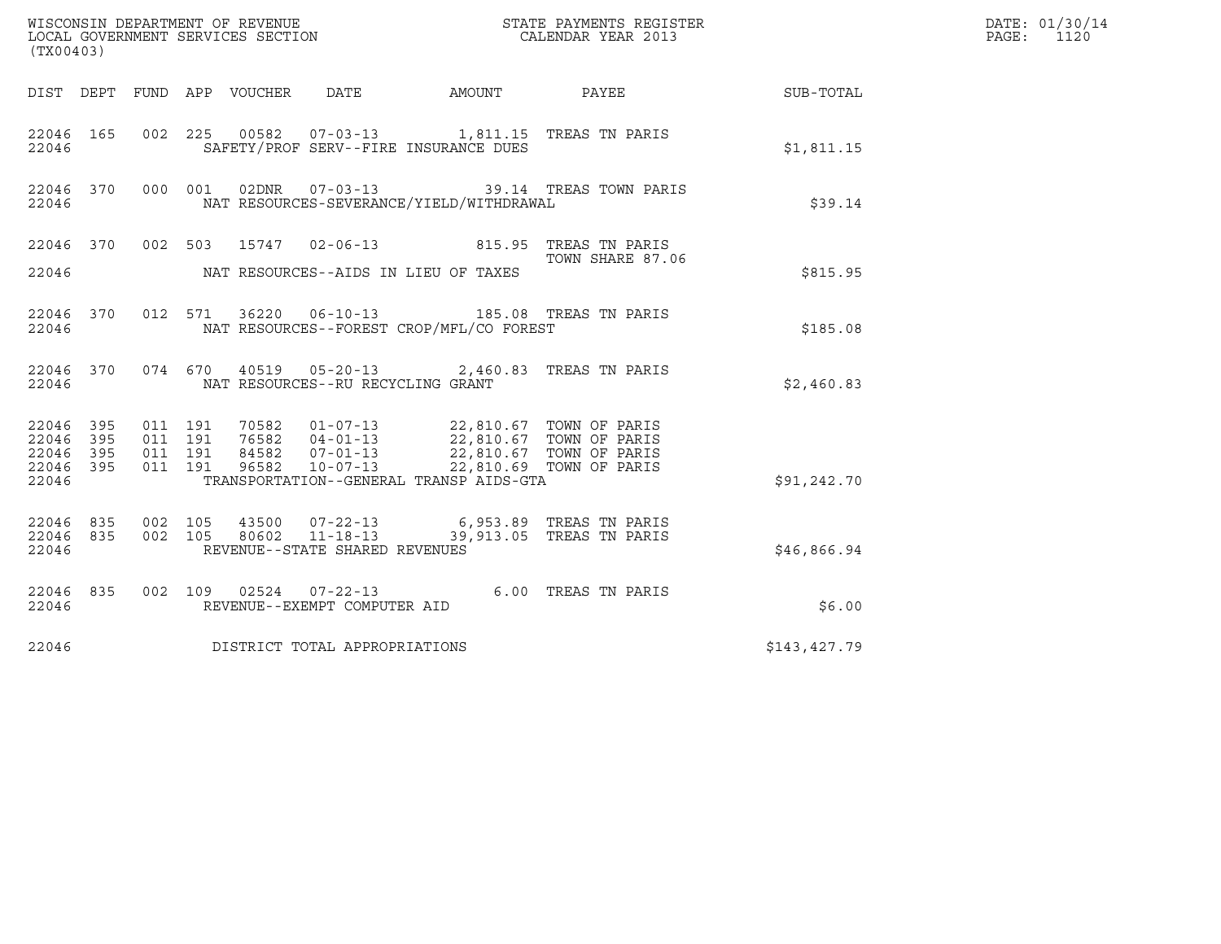| WISCONSIN DEPARTMENT OF REVENUE<br>LOCAL GOVERNMENT SERVICES SECTION<br>CALENDAR YEAR 2013<br>(TX00403) |     |                    |                    |  |                                   |                                                                                                                                                                                                                                         |                                              |                  | DATE: 01/30/14<br>PAGE:<br>1120 |
|---------------------------------------------------------------------------------------------------------|-----|--------------------|--------------------|--|-----------------------------------|-----------------------------------------------------------------------------------------------------------------------------------------------------------------------------------------------------------------------------------------|----------------------------------------------|------------------|---------------------------------|
|                                                                                                         |     |                    |                    |  |                                   |                                                                                                                                                                                                                                         | DIST DEPT FUND APP VOUCHER DATE AMOUNT PAYEE | <b>SUB-TOTAL</b> |                                 |
| 22046 165<br>22046                                                                                      |     |                    |                    |  |                                   | 002 225 00582 07-03-13 1,811.15 TREAS TN PARIS<br>SAFETY/PROF SERV--FIRE INSURANCE DUES                                                                                                                                                 |                                              | \$1,811.15       |                                 |
| 22046 370 000 001<br>22046                                                                              |     |                    |                    |  |                                   | NAT RESOURCES-SEVERANCE/YIELD/WITHDRAWAL                                                                                                                                                                                                | 02DNR  07-03-13    39.14 TREAS TOWN PARIS    | \$39.14          |                                 |
|                                                                                                         |     |                    |                    |  |                                   | 22046 370 002 503 15747 02-06-13 815.95 TREAS TN PARIS                                                                                                                                                                                  | TOWN SHARE 87.06                             |                  |                                 |
| 22046                                                                                                   |     |                    |                    |  |                                   | NAT RESOURCES--AIDS IN LIEU OF TAXES                                                                                                                                                                                                    |                                              | \$815.95         |                                 |
| 22046                                                                                                   |     |                    |                    |  |                                   | 22046 370 012 571 36220 06-10-13 185.08 TREAS TN PARIS<br>NAT RESOURCES--FOREST CROP/MFL/CO FOREST                                                                                                                                      |                                              | \$185.08         |                                 |
| 22046                                                                                                   |     |                    |                    |  | NAT RESOURCES--RU RECYCLING GRANT | 22046 370 074 670 40519 05-20-13 2,460.83 TREAS TN PARIS                                                                                                                                                                                |                                              | \$2,460.83       |                                 |
| 22046 395<br>22046<br>22046 395<br>22046 395<br>22046                                                   | 395 | 011 191<br>011 191 | 011 191<br>011 191 |  |                                   | 70582   01-07-13   22,810.67   TOWN OF PARIS<br>76582   04-01-13   22,810.67   TOWN OF PARIS<br>84582   07-01-13   22,810.67   TOWN OF PARIS<br>96582   10-07-13   22,810.69   TOWN OF PARIS<br>TRANSPORTATION--GENERAL TRANSP AIDS-GTA |                                              | \$91,242.70      |                                 |
| 22046 835 002 105<br>22046 835<br>22046                                                                 |     |                    |                    |  | REVENUE--STATE SHARED REVENUES    | 002 105 43500 07-22-13 6,953.89 TREAS TN PARIS<br>002 105 80602 11-18-13 39,913.05 TREAS TN PARIS                                                                                                                                       |                                              | \$46,866.94      |                                 |
| 22046 835<br>22046                                                                                      |     |                    |                    |  | REVENUE--EXEMPT COMPUTER AID      | 002 109 02524 07-22-13 6.00 TREAS TN PARIS                                                                                                                                                                                              |                                              | \$6.00           |                                 |
| 22046                                                                                                   |     |                    |                    |  | DISTRICT TOTAL APPROPRIATIONS     |                                                                                                                                                                                                                                         |                                              | \$143,427.79     |                                 |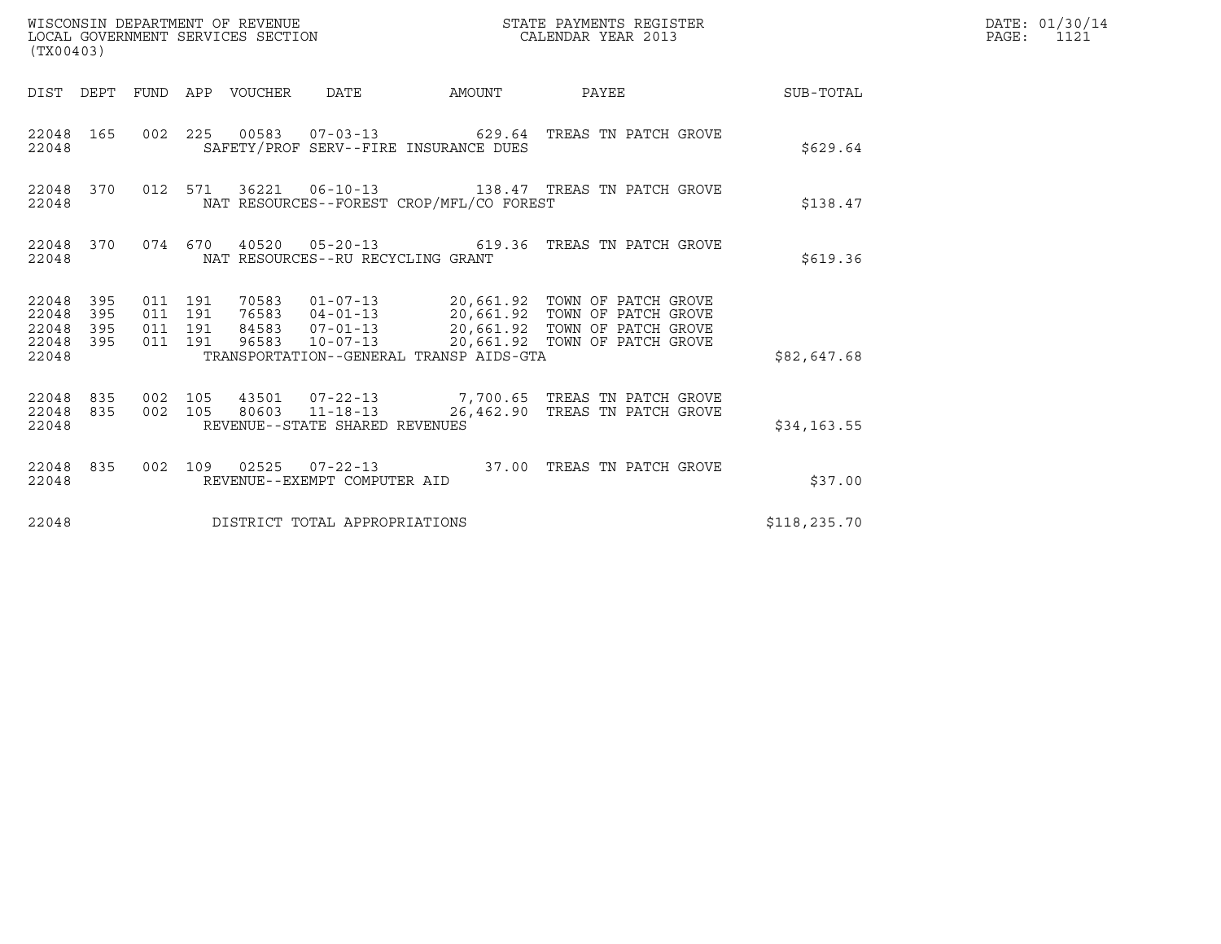| (TX00403)                                                       |                                          |                                 | WISCONSIN DEPARTMENT OF REVENUE<br>LOCAL GOVERNMENT SERVICES SECTION |                                          | STATE PAYMENTS REGISTER<br>CALENDAR YEAR 2013                                                                                                                                                                     |              | DATE: 01/30/14<br>PAGE:<br>1121 |
|-----------------------------------------------------------------|------------------------------------------|---------------------------------|----------------------------------------------------------------------|------------------------------------------|-------------------------------------------------------------------------------------------------------------------------------------------------------------------------------------------------------------------|--------------|---------------------------------|
|                                                                 |                                          | DIST DEPT FUND APP VOUCHER DATE |                                                                      | AMOUNT                                   | PAYEE SUB-TOTAL                                                                                                                                                                                                   |              |                                 |
| 22048 165<br>22048                                              |                                          |                                 |                                                                      | SAFETY/PROF SERV--FIRE INSURANCE DUES    | 002  225  00583  07-03-13  629.64  TREAS TN PATCH GROVE                                                                                                                                                           | \$629.64     |                                 |
| 22048 370<br>22048                                              |                                          |                                 |                                                                      | NAT RESOURCES--FOREST CROP/MFL/CO FOREST | 012 571 36221 06-10-13 138.47 TREAS TN PATCH GROVE                                                                                                                                                                | \$138.47     |                                 |
| 22048 370<br>22048                                              |                                          |                                 | NAT RESOURCES--RU RECYCLING GRANT                                    |                                          | 074 670 40520 05-20-13 619.36 TREAS TN PATCH GROVE                                                                                                                                                                | \$619.36     |                                 |
| 22048<br>395<br>22048<br>395<br>22048 395<br>22048 395<br>22048 | 011 191<br>011 191<br>011 191<br>011 191 |                                 |                                                                      | TRANSPORTATION--GENERAL TRANSP AIDS-GTA  | 70583   01-07-13   20,661.92   TOWN OF PATCH GROVE<br>76583   04-01-13   20,661.92   TOWN OF PATCH GROVE<br>84583   07-01-13   20,661.92   TOWN OF PATCH GROVE<br>96583  10-07-13  20,661.92  TOWN OF PATCH GROVE | \$82,647.68  |                                 |
| 22048 835<br>22048 835<br>22048                                 | 002 105                                  |                                 | 002 105 80603 11-18-13<br>REVENUE--STATE SHARED REVENUES             |                                          | 43501  07-22-13  7,700.65  TREAS TN PATCH GROVE<br>26,462.90 TREAS TN PATCH GROVE                                                                                                                                 | \$34,163.55  |                                 |
| 22048 835<br>22048                                              |                                          |                                 | REVENUE--EXEMPT COMPUTER AID                                         |                                          | 002 109 02525 07-22-13 37.00 TREAS TN PATCH GROVE                                                                                                                                                                 | \$37.00      |                                 |
| 22048                                                           |                                          |                                 | DISTRICT TOTAL APPROPRIATIONS                                        |                                          |                                                                                                                                                                                                                   | \$118,235.70 |                                 |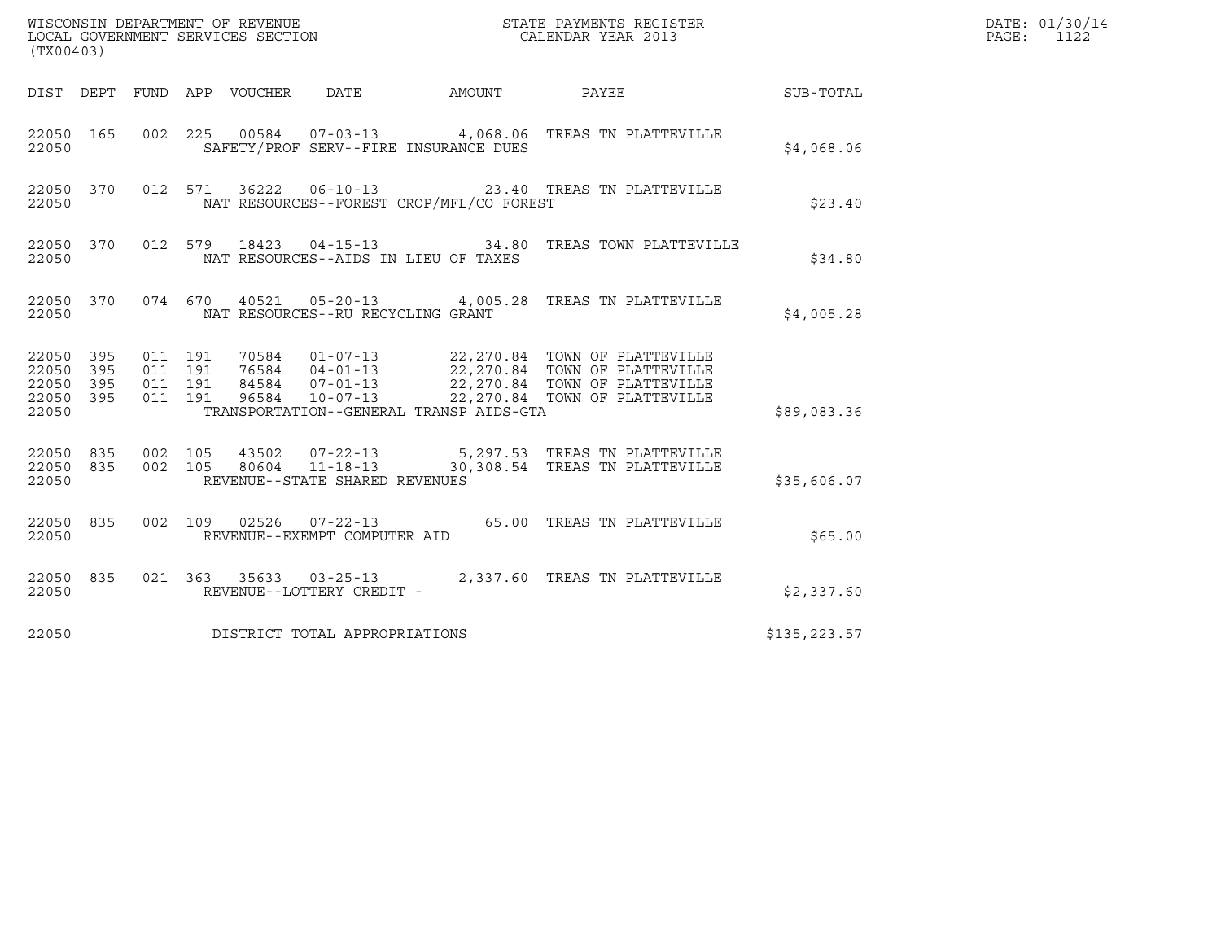| (TX00403)                                         |            |                               |         |                                 |                                   |                                          |                                                                                                                                                                                                          |               | DATE: 01/30/14<br>PAGE:<br>1122 |
|---------------------------------------------------|------------|-------------------------------|---------|---------------------------------|-----------------------------------|------------------------------------------|----------------------------------------------------------------------------------------------------------------------------------------------------------------------------------------------------------|---------------|---------------------------------|
|                                                   |            |                               |         | DIST DEPT FUND APP VOUCHER DATE |                                   |                                          | AMOUNT PAYEE SUB-TOTAL                                                                                                                                                                                   |               |                                 |
| 22050 165<br>22050                                |            | 002 225                       |         |                                 |                                   | SAFETY/PROF SERV--FIRE INSURANCE DUES    | 00584  07-03-13  4,068.06  TREAS TN PLATTEVILLE                                                                                                                                                          | \$4,068.06    |                                 |
| 22050 370<br>22050                                |            |                               |         |                                 |                                   | NAT RESOURCES--FOREST CROP/MFL/CO FOREST | 012 571 36222 06-10-13 23.40 TREAS TN PLATTEVILLE                                                                                                                                                        | \$23.40       |                                 |
| 22050                                             |            |                               |         |                                 |                                   | NAT RESOURCES--AIDS IN LIEU OF TAXES     | 22050 370 012 579 18423 04-15-13 34.80 TREAS TOWN PLATTEVILLE                                                                                                                                            | \$34.80       |                                 |
| 22050                                             |            |                               |         |                                 | NAT RESOURCES--RU RECYCLING GRANT |                                          | 22050 370 074 670 40521 05-20-13 4,005.28 TREAS TN PLATTEVILLE                                                                                                                                           | \$4,005.28    |                                 |
| 22050 395<br>22050<br>22050<br>22050 395<br>22050 | 395<br>395 | 011 191<br>011 191<br>011 191 | 011 191 |                                 |                                   | TRANSPORTATION--GENERAL TRANSP AIDS-GTA  | 70584  01-07-13  22,270.84  TOWN OF PLATTEVILLE<br>76584  04-01-13  22,270.84  TOWN OF PLATTEVILLE<br>84584  07-01-13  22,270.84  TOWN OF PLATTEVILLE<br>96584  10-07-13  22,270.84  TOWN OF PLATTEVILLE | \$89,083.36   |                                 |
| 22050 835 002 105<br>22050 835<br>22050           |            |                               |         |                                 | REVENUE--STATE SHARED REVENUES    |                                          | 002 105 43502 07-22-13 5,297.53 TREAS TN PLATTEVILLE<br>002 105 80604 11-18-13 30,308.54 TREAS TN PLATTEVILLE                                                                                            | \$35,606.07   |                                 |
| 22050 835<br>22050                                |            |                               |         |                                 | REVENUE--EXEMPT COMPUTER AID      |                                          | 002 109 02526 07-22-13 65.00 TREAS TN PLATTEVILLE                                                                                                                                                        | \$65.00       |                                 |
| 22050 835<br>22050                                |            |                               |         |                                 | REVENUE--LOTTERY CREDIT -         |                                          | 021 363 35633 03-25-13 2,337.60 TREAS TN PLATTEVILLE                                                                                                                                                     | \$2,337.60    |                                 |
| 22050                                             |            |                               |         |                                 | DISTRICT TOTAL APPROPRIATIONS     |                                          |                                                                                                                                                                                                          | \$135, 223.57 |                                 |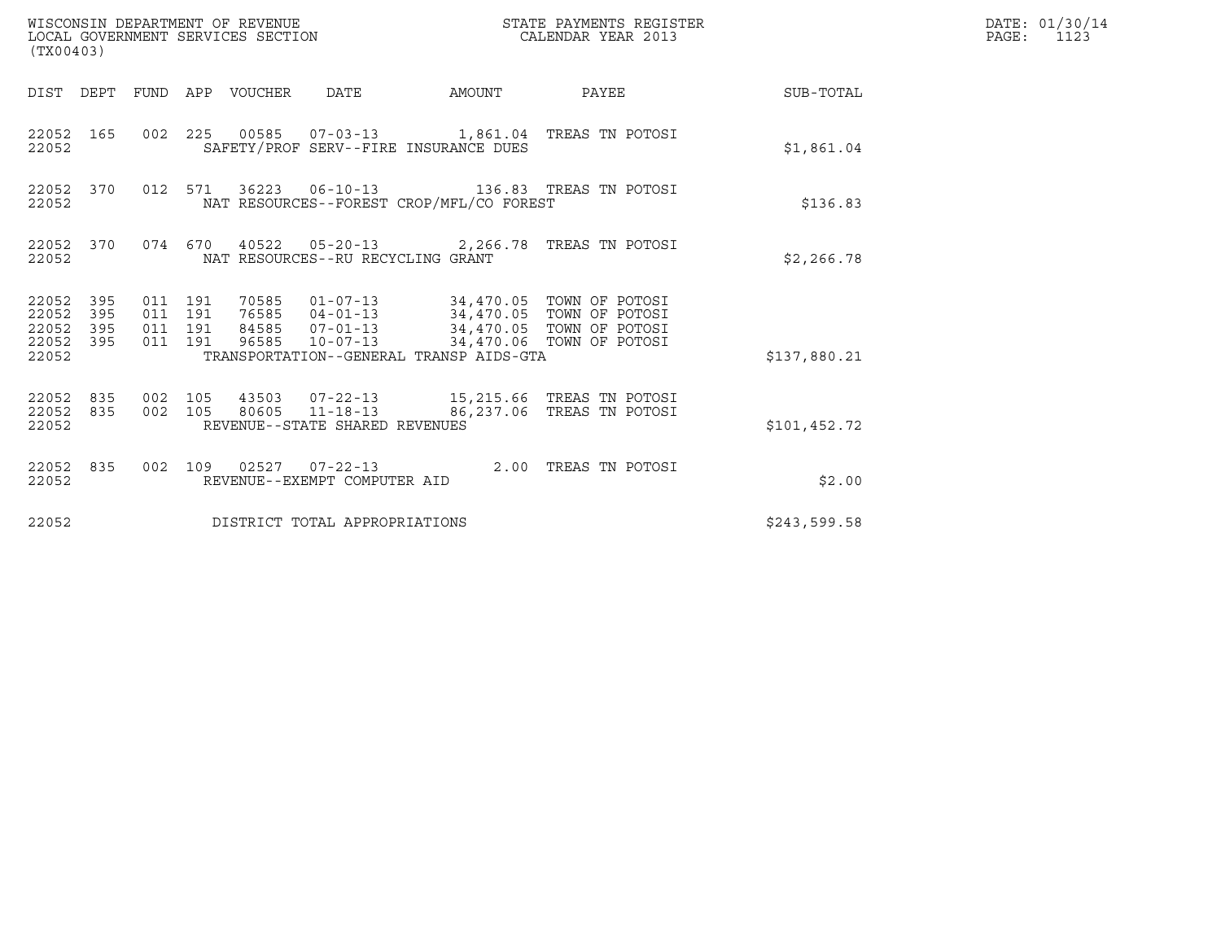| WISCONSIN DEPARTMENT OF REVENUE<br>LOCAL GOVERNMENT SERVICES SECTION<br>(TX00403) |                                          |       |                                          |        | STATE PAYMENTS REGISTER<br>CALENDAR YEAR 2013                                                                                                                                     |              | DATE: 01/30/14<br>$\mathtt{PAGE:}$<br>1123 |
|-----------------------------------------------------------------------------------|------------------------------------------|-------|------------------------------------------|--------|-----------------------------------------------------------------------------------------------------------------------------------------------------------------------------------|--------------|--------------------------------------------|
| DIST DEPT FUND APP VOUCHER DATE                                                   |                                          |       |                                          | AMOUNT | PAYEE SUB-TOTAL                                                                                                                                                                   |              |                                            |
| 22052 165<br>22052                                                                |                                          |       | SAFETY/PROF SERV--FIRE INSURANCE DUES    |        | 002  225  00585  07-03-13  1,861.04  TREAS TN POTOSI                                                                                                                              | \$1,861.04   |                                            |
| 22052 370<br>22052                                                                |                                          |       | NAT RESOURCES--FOREST CROP/MFL/CO FOREST |        | 012 571 36223 06-10-13 136.83 TREAS TN POTOSI                                                                                                                                     | \$136.83     |                                            |
| 22052 370<br>22052                                                                |                                          |       | NAT RESOURCES--RU RECYCLING GRANT        |        | 074  670  40522  05-20-13  2,266.78  TREAS TN POTOSI                                                                                                                              | \$2,266.78   |                                            |
| 22052<br>395<br>22052<br>395<br>22052<br>395<br>22052 395<br>22052                | 011 191<br>011 191<br>011 191<br>011 191 | 96585 | TRANSPORTATION--GENERAL TRANSP AIDS-GTA  |        | 70585   01-07-13   34,470.05   TOWN OF POTOSI<br>76585   04-01-13   34,470.05   TOWN OF POTOSI<br>84585  07-01-13  34,470.05  TOWN OF POTOSI<br>10-07-13 34,470.06 TOWN OF POTOSI | \$137,880.21 |                                            |
| 22052 835<br>22052 835<br>22052                                                   | 002 105<br>002 105                       |       | REVENUE--STATE SHARED REVENUES           |        | 43503  07-22-13  15,215.66 TREAS TN POTOSI<br>80605 11-18-13 86,237.06 TREAS TN POTOSI                                                                                            | \$101,452.72 |                                            |
| 22052 835<br>22052                                                                |                                          |       | REVENUE--EXEMPT COMPUTER AID             |        | 002 109 02527 07-22-13 2.00 TREAS TN POTOSI                                                                                                                                       | \$2.00       |                                            |
| 22052                                                                             |                                          |       | DISTRICT TOTAL APPROPRIATIONS            |        |                                                                                                                                                                                   | \$243,599.58 |                                            |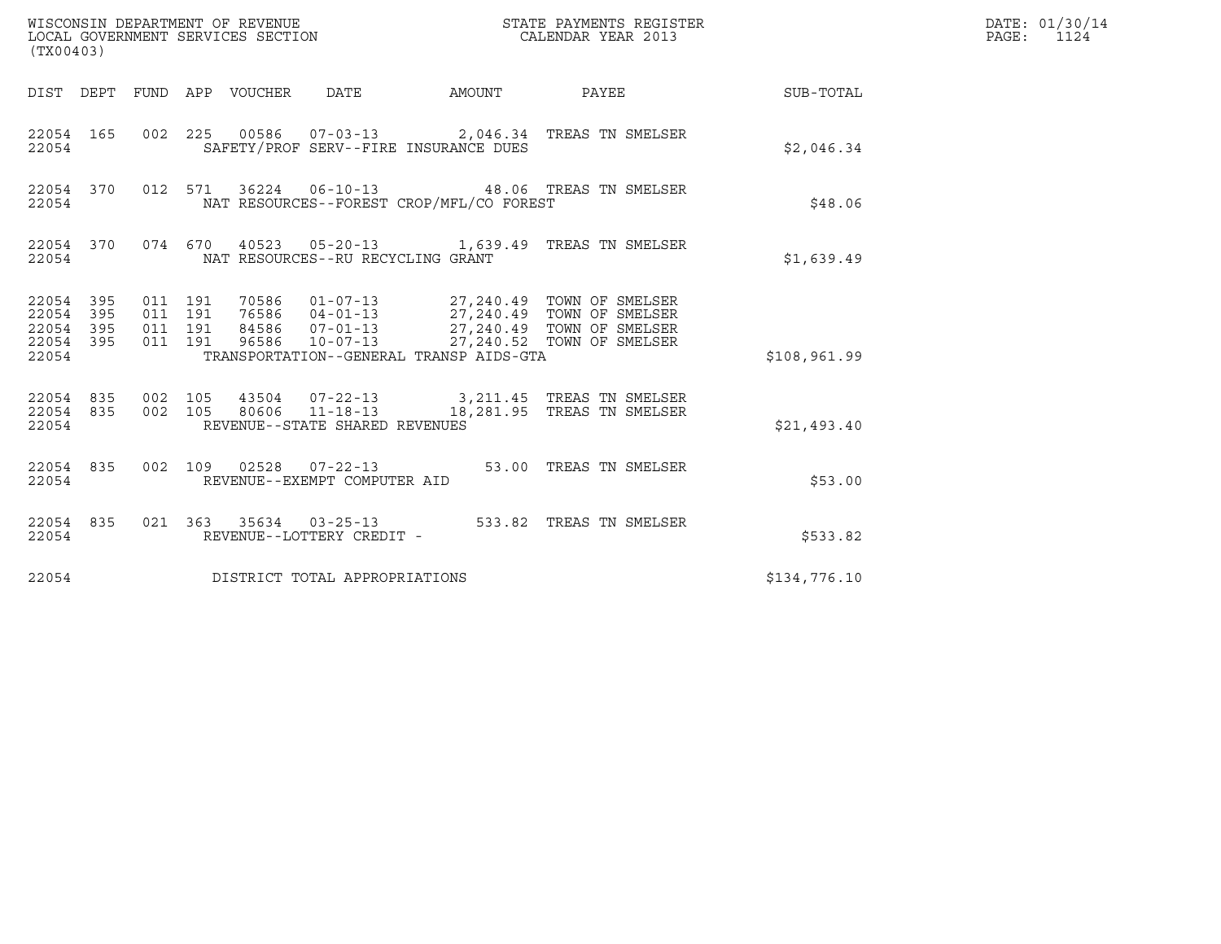| (TX00403)                                             |     |                                          |  |                                          |                                                                                                                                                                                                               |                                                            | DATE: 01/30/14<br>PAGE: 1124 |
|-------------------------------------------------------|-----|------------------------------------------|--|------------------------------------------|---------------------------------------------------------------------------------------------------------------------------------------------------------------------------------------------------------------|------------------------------------------------------------|------------------------------|
|                                                       |     |                                          |  |                                          |                                                                                                                                                                                                               | DIST DEPT FUND APP VOUCHER DATE AMOUNT PAYEE THE SUB-TOTAL |                              |
| 22054                                                 |     |                                          |  | SAFETY/PROF SERV--FIRE INSURANCE DUES    | 22054 165 002 225 00586 07-03-13 2,046.34 TREAS TN SMELSER                                                                                                                                                    | \$2,046.34                                                 |                              |
| 22054 370<br>22054                                    |     |                                          |  | NAT RESOURCES--FOREST CROP/MFL/CO FOREST | 012 571 36224 06-10-13 48.06 TREAS TN SMELSER                                                                                                                                                                 | \$48.06                                                    |                              |
| 22054                                                 |     |                                          |  | NAT RESOURCES--RU RECYCLING GRANT        | 22054 370 074 670 40523 05-20-13 1,639.49 TREAS TN SMELSER                                                                                                                                                    | \$1,639.49                                                 |                              |
| 22054 395<br>22054 395<br>22054<br>22054 395<br>22054 | 395 | 011 191<br>011 191<br>011 191<br>011 191 |  | TRANSPORTATION--GENERAL TRANSP AIDS-GTA  | 70586  01-07-13  27,240.49  TOWN OF SMELSER<br>76586  04-01-13  27,240.49  TOWN OF SMELSER<br>84586  07-01-13  27,240.49  TOWN OF SMELSER<br>96586  10-07-13  27,240.52  TOWN OF SMELSER                      | \$108,961.99                                               |                              |
| 22054                                                 |     |                                          |  | REVENUE--STATE SHARED REVENUES           | $\begin{array}{cccccccc} 22054 & 835 & 002 & 105 & 43504 & 07-22-13 & & 3,211.45 & \text{TREAS TN SMELSER} \\ 22054 & 835 & 002 & 105 & 80606 & 11-18-13 & & 18,281.95 & \text{TREAS TN SMELSER} \end{array}$ | \$21,493.40                                                |                              |
| 22054                                                 |     |                                          |  | REVENUE--EXEMPT COMPUTER AID             | 22054 835 002 109 02528 07-22-13 53.00 TREAS TN SMELSER                                                                                                                                                       | \$53.00                                                    |                              |
| 22054 835<br>22054                                    |     |                                          |  | REVENUE--LOTTERY CREDIT -                |                                                                                                                                                                                                               | \$533.82                                                   |                              |
| 22054                                                 |     |                                          |  | DISTRICT TOTAL APPROPRIATIONS            |                                                                                                                                                                                                               | \$134,776.10                                               |                              |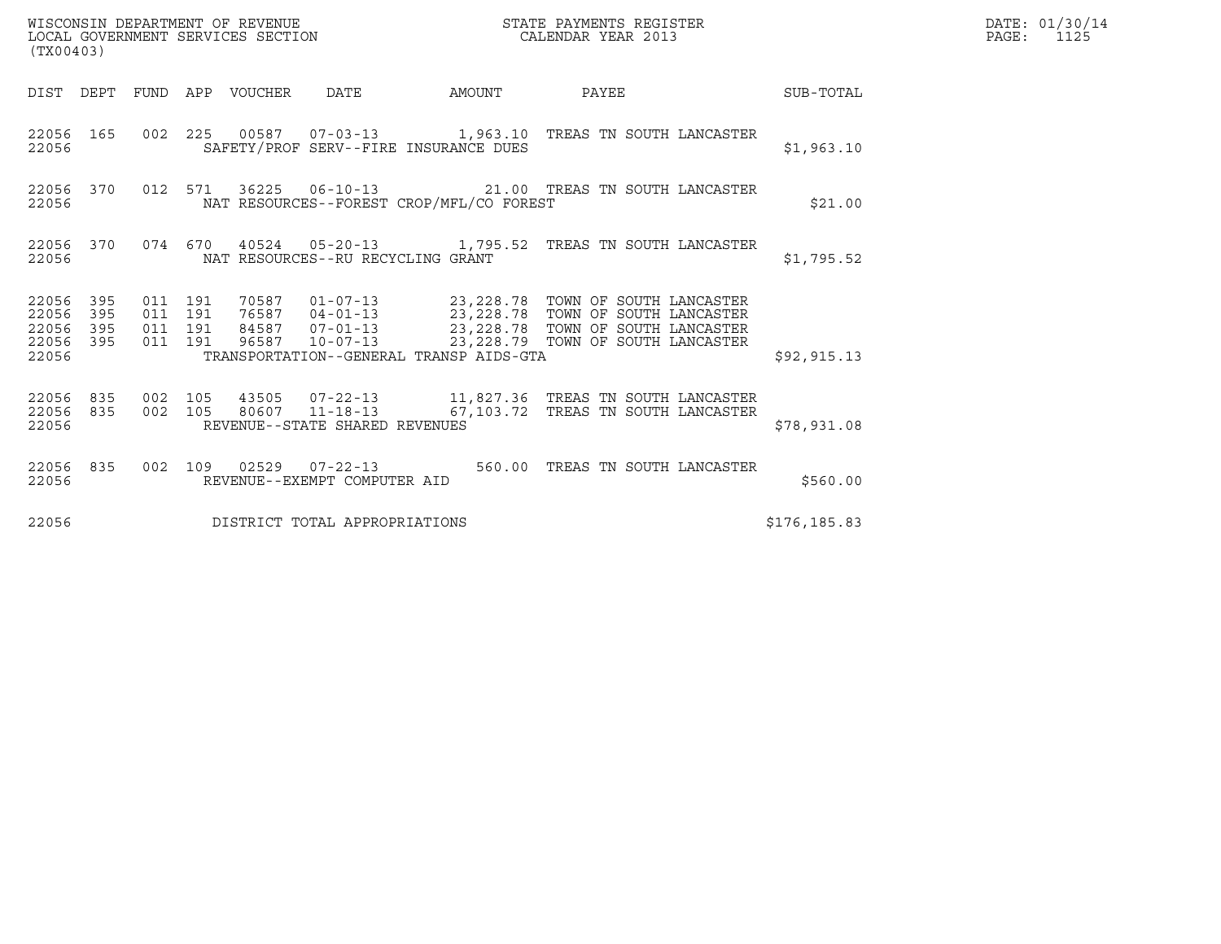| (TX00403)                                                       |                                          | WISCONSIN DEPARTMENT OF REVENUE<br>LOCAL GOVERNMENT SERVICES SECTION |                                          | STATE PAYMENTS REGISTER<br>CALENDAR YEAR 2013                                                                                                                                                                                     |               | DATE: 01/30/14<br>$\mathtt{PAGE:}$<br>1125 |
|-----------------------------------------------------------------|------------------------------------------|----------------------------------------------------------------------|------------------------------------------|-----------------------------------------------------------------------------------------------------------------------------------------------------------------------------------------------------------------------------------|---------------|--------------------------------------------|
|                                                                 |                                          |                                                                      |                                          | DIST DEPT FUND APP VOUCHER DATE AMOUNT PAYEE THE SUB-TOTAL                                                                                                                                                                        |               |                                            |
| 22056 165<br>22056                                              |                                          |                                                                      | SAFETY/PROF SERV--FIRE INSURANCE DUES    | 002 225 00587 07-03-13 1,963.10 TREAS TN SOUTH LANCASTER                                                                                                                                                                          | \$1,963.10    |                                            |
| 22056 370<br>22056                                              |                                          |                                                                      | NAT RESOURCES--FOREST CROP/MFL/CO FOREST | 012 571 36225 06-10-13 21.00 TREAS TN SOUTH LANCASTER                                                                                                                                                                             | \$21.00       |                                            |
| 22056                                                           |                                          | NAT RESOURCES--RU RECYCLING GRANT                                    |                                          | 22056 370 074 670 40524 05-20-13 1,795.52 TREAS TN SOUTH LANCASTER                                                                                                                                                                | \$1,795.52    |                                            |
| 22056 395<br>22056<br>395<br>22056<br>395<br>22056 395<br>22056 | 011 191<br>011 191<br>011 191<br>011 191 |                                                                      | TRANSPORTATION--GENERAL TRANSP AIDS-GTA  | 70587   01-07-13   23,228.78   TOWN OF SOUTH LANCASTER<br>76587   04-01-13   23,228.78   TOWN OF SOUTH LANCASTER<br>84587   07-01-13   23,228.78   TOWN OF SOUTH LANCASTER<br>96587  10-07-13  23,228.79  TOWN OF SOUTH LANCASTER | \$92, 915.13  |                                            |
| 22056 835 002 105<br>22056 835<br>22056                         |                                          | REVENUE--STATE SHARED REVENUES                                       |                                          | $\begin{array}{cccc} 002 & 105 & 43505 & 07\text{-}22\text{-}13 \\ 002 & 105 & 80607 & 11\text{-}18\text{-}13 & 67,103.72 & \text{TREAS TN SOUTH LANCASTER} \end{array}$                                                          | \$78,931.08   |                                            |
| 22056                                                           |                                          | REVENUE--EXEMPT COMPUTER AID                                         |                                          | 22056 835 002 109 02529 07-22-13 560.00 TREAS TN SOUTH LANCASTER                                                                                                                                                                  | \$560.00      |                                            |
| 22056                                                           |                                          | DISTRICT TOTAL APPROPRIATIONS                                        |                                          |                                                                                                                                                                                                                                   | \$176, 185.83 |                                            |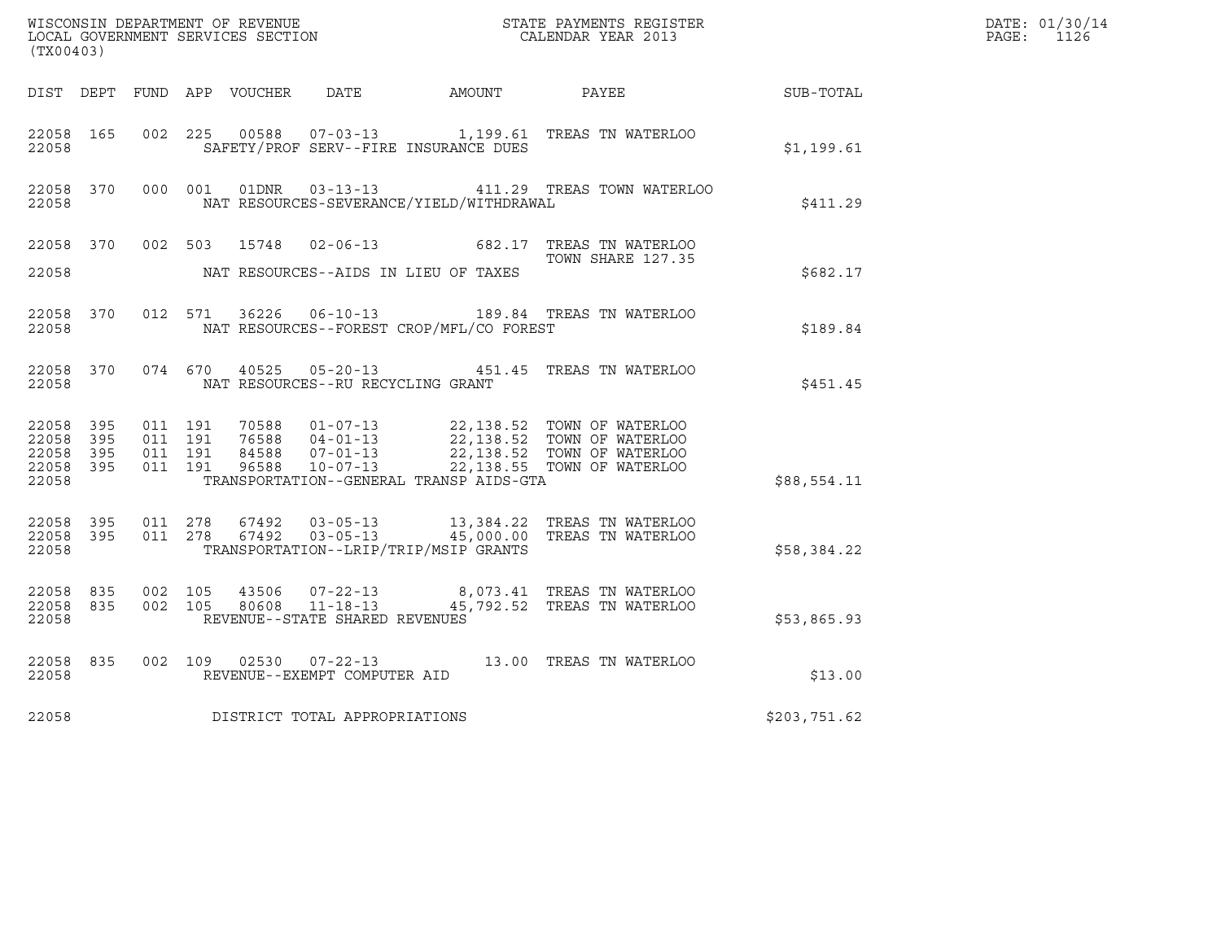| (TX00403)                                |                  |                                          | WISCONSIN DEPARTMENT OF REVENUE<br>LOCAL GOVERNMENT SERVICES SECTION |                                                  |                                              | STATE PAYMENTS REGISTER<br>CALENDAR YEAR 2013                                                                                                                                |                  | DATE: 01/30/14<br>PAGE: 1126 |
|------------------------------------------|------------------|------------------------------------------|----------------------------------------------------------------------|--------------------------------------------------|----------------------------------------------|------------------------------------------------------------------------------------------------------------------------------------------------------------------------------|------------------|------------------------------|
|                                          |                  |                                          |                                                                      |                                                  | DIST DEPT FUND APP VOUCHER DATE AMOUNT PAYEE |                                                                                                                                                                              | <b>SUB-TOTAL</b> |                              |
| 22058 165<br>22058                       |                  | 002 225                                  | 00588                                                                |                                                  | SAFETY/PROF SERV--FIRE INSURANCE DUES        | 07-03-13 1,199.61 TREAS TN WATERLOO                                                                                                                                          | \$1,199.61       |                              |
| 22058                                    | 22058 370        |                                          |                                                                      |                                                  | NAT RESOURCES-SEVERANCE/YIELD/WITHDRAWAL     | 000 001 01DNR 03-13-13 411.29 TREAS TOWN WATERLOO                                                                                                                            | \$411.29         |                              |
| 22058 370<br>22058                       |                  | 002 503                                  | 15748                                                                |                                                  | NAT RESOURCES--AIDS IN LIEU OF TAXES         | 02-06-13 682.17 TREAS TN WATERLOO<br>TOWN SHARE 127.35                                                                                                                       | \$682.17         |                              |
| 22058 370<br>22058                       |                  |                                          |                                                                      |                                                  | NAT RESOURCES--FOREST CROP/MFL/CO FOREST     | 012 571 36226 06-10-13 189.84 TREAS TN WATERLOO                                                                                                                              | \$189.84         |                              |
| 22058                                    | 22058 370        |                                          |                                                                      | NAT RESOURCES--RU RECYCLING GRANT                |                                              | 074 670 40525 05-20-13 451.45 TREAS TN WATERLOO                                                                                                                              | \$451.45         |                              |
| 22058 395<br>22058 395<br>22058<br>22058 | 395<br>22058 395 | 011 191<br>011 191<br>011 191<br>011 191 | 84588<br>96588                                                       |                                                  | TRANSPORTATION--GENERAL TRANSP AIDS-GTA      | 70588  01-07-13  22,138.52  TOWN OF WATERLOO<br>76588  04-01-13  22,138.52  TOWN OF WATERLOO<br>07-01-13  22,138.52 TOWN OF WATERLOO<br>10-07-13  22,138.55 TOWN OF WATERLOO | \$88,554.11      |                              |
| 22058 395<br>22058                       |                  | 22058 395 011 278                        | 67492<br>011 278 67492                                               | $03 - 05 - 13$<br>$03 - 05 - 13$                 | TRANSPORTATION--LRIP/TRIP/MSIP GRANTS        | 13,384.22   TREAS  TN  WATERLOO<br>45,000.00 TREAS TN WATERLOO                                                                                                               | \$58,384.22      |                              |
| 22058 835<br>22058 835<br>22058          |                  | 002 105<br>002 105                       | 80608                                                                | $11 - 18 - 13$<br>REVENUE--STATE SHARED REVENUES |                                              | 43506  07-22-13  8,073.41  TREAS TN WATERLOO<br>45,792.52 TREAS TN WATERLOO                                                                                                  | \$53,865.93      |                              |
| 22058 835<br>22058                       |                  | 002 109                                  |                                                                      | REVENUE--EXEMPT COMPUTER AID                     |                                              | 02530  07-22-13  13.00 TREAS TN WATERLOO                                                                                                                                     | \$13.00          |                              |
| 22058                                    |                  |                                          |                                                                      | DISTRICT TOTAL APPROPRIATIONS                    |                                              |                                                                                                                                                                              | \$203,751.62     |                              |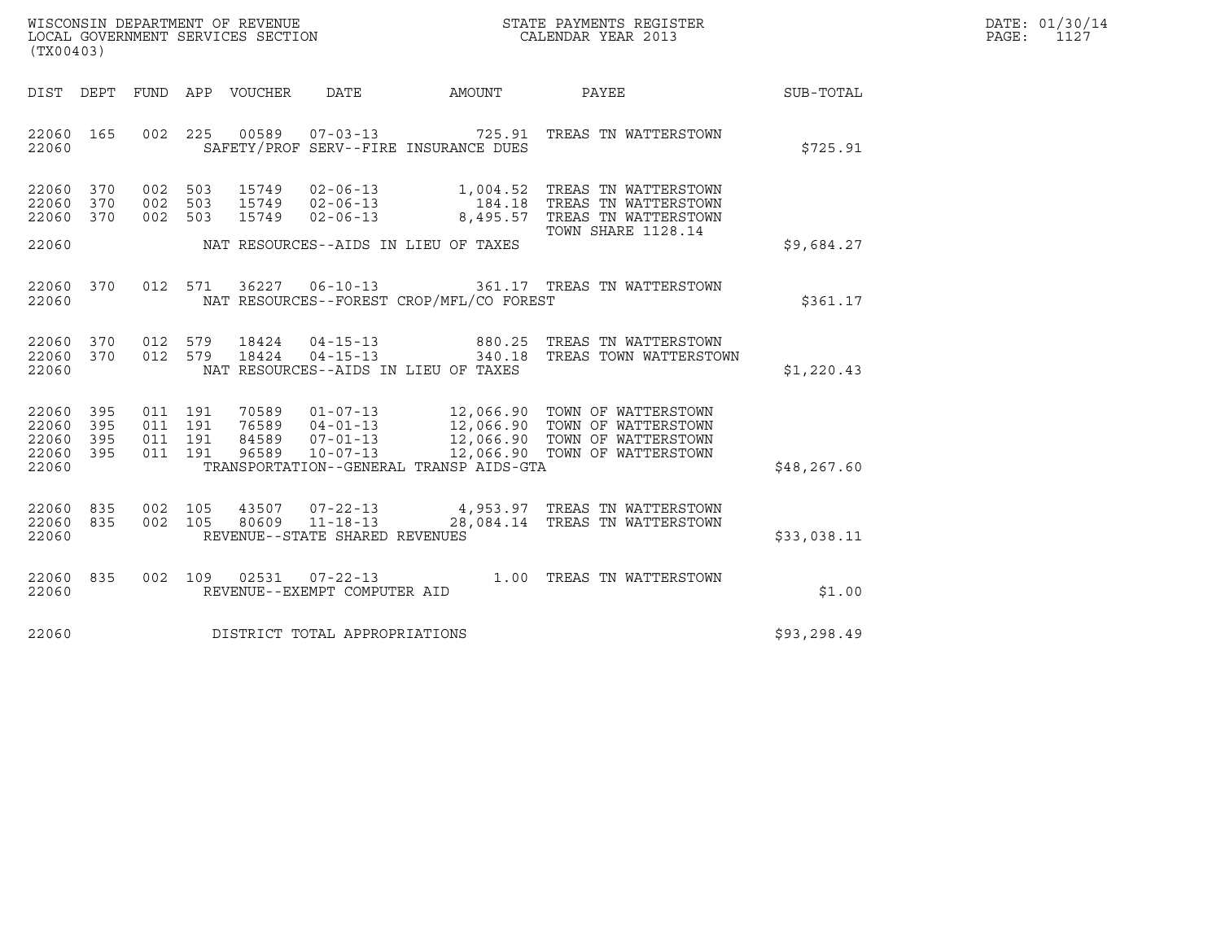| WISCONSIN DEPARTMENT OF REVENUE   | STATE PAYMENTS REGISTER | DATE: 01/30/14 |
|-----------------------------------|-------------------------|----------------|
| LOCAL GOVERNMENT SERVICES SECTION | CALENDAR YEAR 2013      | PAGE:          |

| WISCONSIN DEPARTMENT OF REVENUE<br>LOCAL GOVERNMENT SERVICES SECTION<br>CALENDAR YEAR 2013<br>(TX00403) |  |         |  |  |                                |                                          |                                                                                                                                                                                                                              |              | DATE: 01/30/14<br>$\mathtt{PAGE:}$<br>1127 |
|---------------------------------------------------------------------------------------------------------|--|---------|--|--|--------------------------------|------------------------------------------|------------------------------------------------------------------------------------------------------------------------------------------------------------------------------------------------------------------------------|--------------|--------------------------------------------|
| DIST DEPT                                                                                               |  |         |  |  |                                |                                          |                                                                                                                                                                                                                              |              |                                            |
| 22060 165<br>22060                                                                                      |  |         |  |  |                                | SAFETY/PROF SERV--FIRE INSURANCE DUES    | 002 225 00589 07-03-13 725.91 TREAS TN WATTERSTOWN                                                                                                                                                                           | \$725.91     |                                            |
| 22060 370<br>22060 370<br>22060 370                                                                     |  |         |  |  |                                |                                          | 002 503 15749 02-06-13 1,004.52 TREAS TN WATTERSTOWN<br>002 503 15749 02-06-13 184.18 TREAS TN WATTERSTOWN<br>002 503 15749 02-06-13 8,495.57 TREAS TN WATTERSTOWN<br><b>TOWN SHARE 1128.14</b>                              |              |                                            |
| 22060                                                                                                   |  |         |  |  |                                | NAT RESOURCES--AIDS IN LIEU OF TAXES     |                                                                                                                                                                                                                              | \$9,684.27   |                                            |
| 22060 370<br>22060                                                                                      |  |         |  |  |                                | NAT RESOURCES--FOREST CROP/MFL/CO FOREST | 012 571 36227 06-10-13 361.17 TREAS TN WATTERSTOWN                                                                                                                                                                           | \$361.17     |                                            |
| 22060 370<br>22060 370<br>22060                                                                         |  | 012 579 |  |  |                                | NAT RESOURCES--AIDS IN LIEU OF TAXES     | 012 579 18424 04-15-13 880.25 TREAS TN WATTERSTOWN<br>012 579 18424 04-15-13 340.18 TREAS TOWN WATTERSTOWN                                                                                                                   | \$1,220.43   |                                            |
| 22060 395<br>22060 395<br>22060 395<br>22060 395<br>22060                                               |  |         |  |  |                                | TRANSPORTATION--GENERAL TRANSP AIDS-GTA  | 011 191 70589 01-07-13 12,066.90 TOWN OF WATTERSTOWN<br>011 191 76589 04-01-13 12,066.90 TOWN OF WATTERSTOWN<br>011 191 84589 07-01-13 12,066.90 TOWN OF WATTERSTOWN<br>011 191 96589 10-07-13 12,066.90 TOWN OF WATTERSTOWN | \$48, 267.60 |                                            |
| 22060 835<br>22060 835<br>22060                                                                         |  |         |  |  | REVENUE--STATE SHARED REVENUES |                                          | 002 105 43507 07-22-13 4,953.97 TREAS TN WATTERSTOWN 002 105 80609 11-18-13 28,084.14 TREAS TN WATTERSTOWN                                                                                                                   | \$33,038.11  |                                            |
| 22060 835<br>22060                                                                                      |  |         |  |  | REVENUE--EXEMPT COMPUTER AID   |                                          | 002 109 02531 07-22-13 1.00 TREAS TN WATTERSTOWN                                                                                                                                                                             | \$1.00       |                                            |
| 22060                                                                                                   |  |         |  |  | DISTRICT TOTAL APPROPRIATIONS  |                                          |                                                                                                                                                                                                                              | \$93, 298.49 |                                            |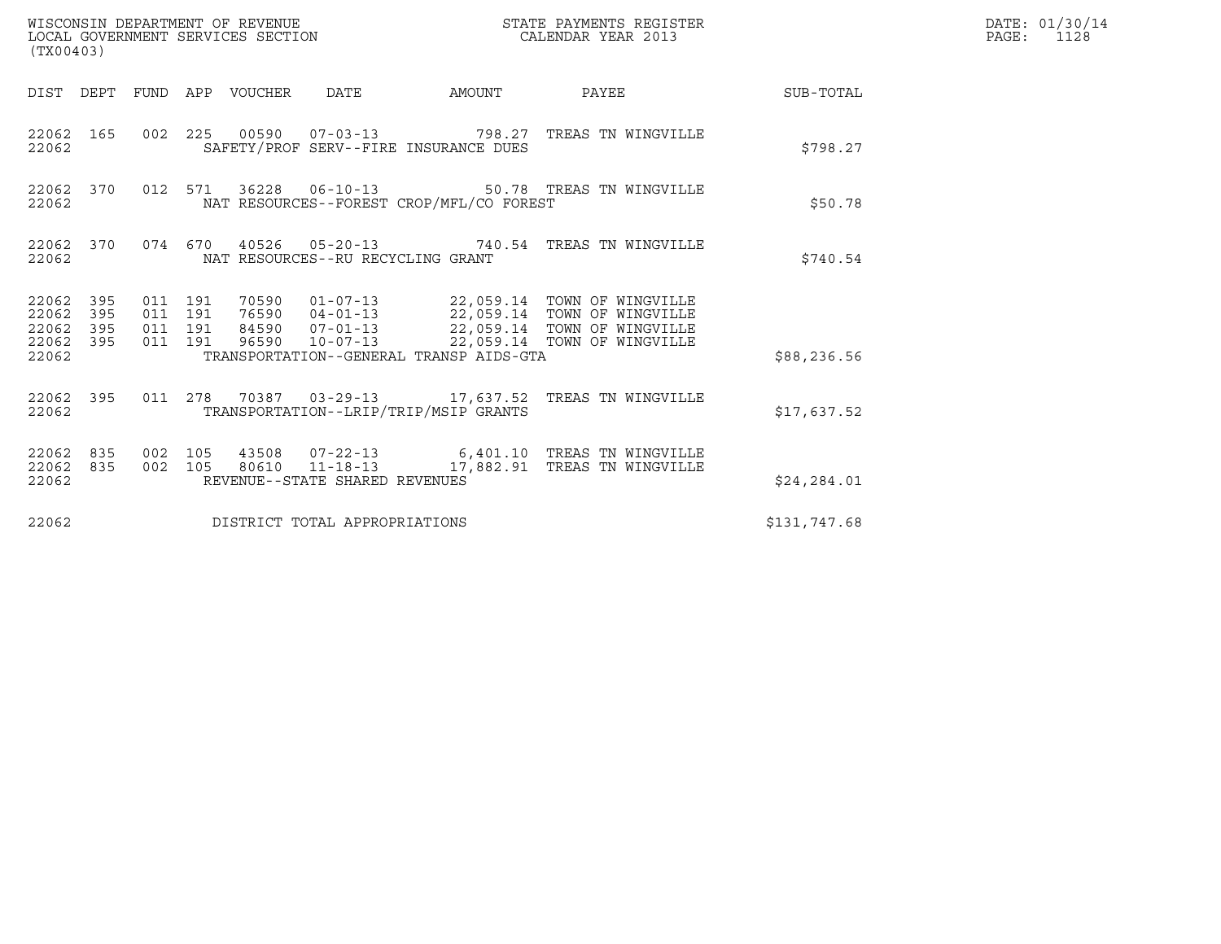| (TX00403)                                        |                                          |                                 | WISCONSIN DEPARTMENT OF REVENUE<br>LOCAL GOVERNMENT SERVICES SECTION |                                          | STATE PAYMENTS REGISTER<br>CALENDAR YEAR 2013                                                                                                                                                             |              | DATE: 01/30/14<br>PAGE: 1128 |
|--------------------------------------------------|------------------------------------------|---------------------------------|----------------------------------------------------------------------|------------------------------------------|-----------------------------------------------------------------------------------------------------------------------------------------------------------------------------------------------------------|--------------|------------------------------|
|                                                  |                                          | DIST DEPT FUND APP VOUCHER DATE |                                                                      |                                          | AMOUNT PAYEE SUB-TOTAL                                                                                                                                                                                    |              |                              |
| 22062 165<br>22062                               |                                          |                                 |                                                                      | SAFETY/PROF SERV--FIRE INSURANCE DUES    | 002 225 00590 07-03-13 798.27 TREAS TN WINGVILLE                                                                                                                                                          | \$798.27     |                              |
| 22062 370<br>22062                               |                                          |                                 |                                                                      | NAT RESOURCES--FOREST CROP/MFL/CO FOREST | 012 571 36228 06-10-13 50.78 TREAS TN WINGVILLE                                                                                                                                                           | \$50.78      |                              |
| 22062                                            |                                          |                                 | NAT RESOURCES--RU RECYCLING GRANT                                    |                                          | 22062 370 074 670 40526 05-20-13 740.54 TREAS TN WINGVILLE                                                                                                                                                | \$740.54     |                              |
| 22062 395<br>22062 395<br>22062 395<br>22062 395 | 011 191<br>011 191<br>011 191<br>011 191 |                                 |                                                                      |                                          | 70590   01-07-13   22,059.14   TOWN OF WINGVILLE<br>76590   04-01-13   22,059.14   TOWN OF WINGVILLE<br>84590   07-01-13   22,059.14   TOWN OF WINGVILLE<br>96590  10-07-13  22,059.14  TOWN OF WINGVILLE |              |                              |
| 22062                                            |                                          |                                 |                                                                      | TRANSPORTATION--GENERAL TRANSP AIDS-GTA  |                                                                                                                                                                                                           | \$88,236.56  |                              |
| 22062 395<br>22062                               |                                          |                                 |                                                                      | TRANSPORTATION--LRIP/TRIP/MSIP GRANTS    | 011  278  70387  03-29-13  17,637.52  TREAS TN WINGVILLE                                                                                                                                                  | \$17,637.52  |                              |
| 22062 835<br>22062 835<br>22062                  | 002 105<br>002 105                       |                                 | REVENUE--STATE SHARED REVENUES                                       |                                          | 43508  07-22-13   6,401.10   TREAS TN WINGVILLE<br>80610  11-18-13   17,882.91   TREAS TN WINGVILLE                                                                                                       | \$24,284.01  |                              |
| 22062                                            |                                          |                                 | DISTRICT TOTAL APPROPRIATIONS                                        |                                          |                                                                                                                                                                                                           | \$131,747.68 |                              |
|                                                  |                                          |                                 |                                                                      |                                          |                                                                                                                                                                                                           |              |                              |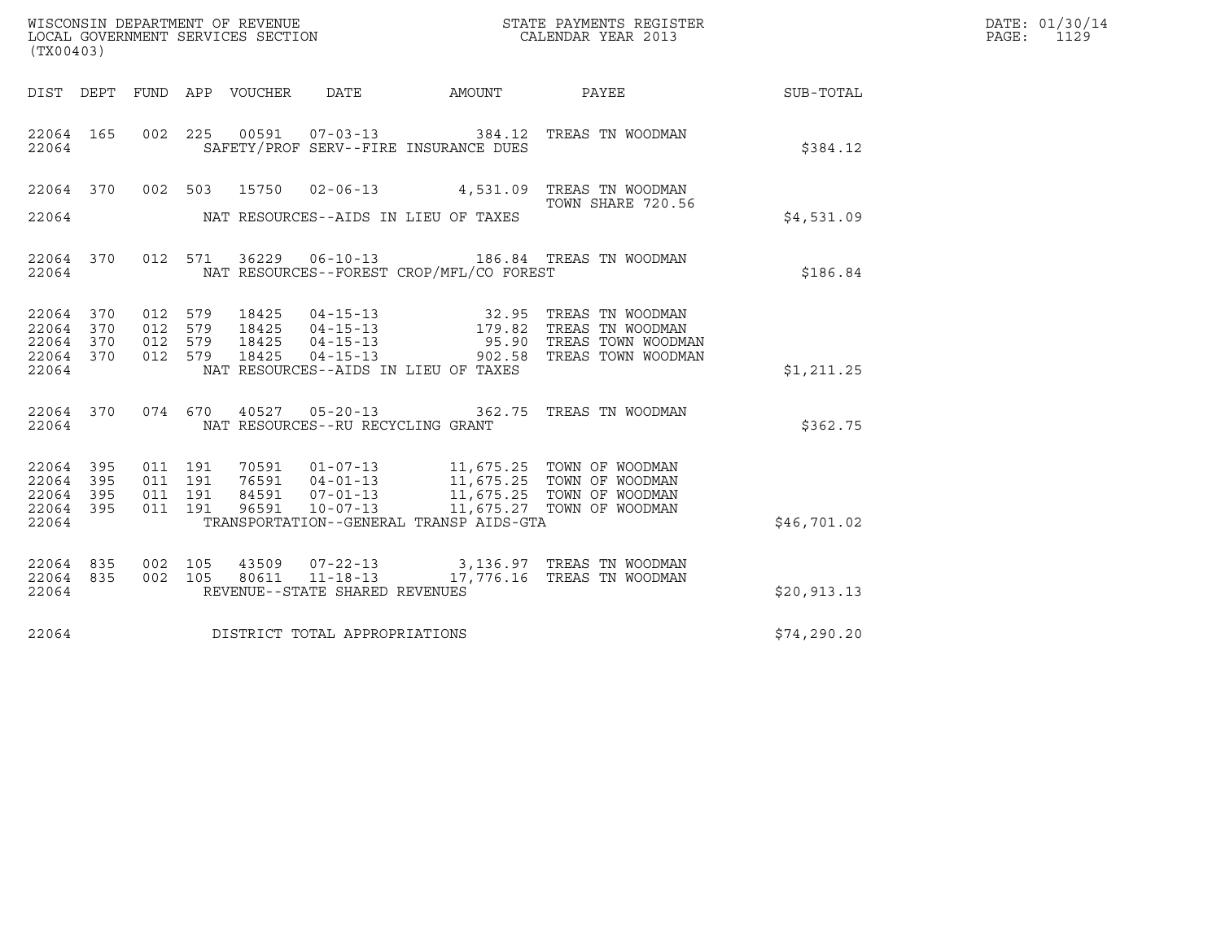| DATE: | 01/30/14 |
|-------|----------|
| PAGF: | 1129     |

| (TX00403)                       |         |                             |                                                                                                                                                                                          |                                                                                                                                                                                     |             | DATE: 01/30/14<br>$\mathtt{PAGE:}$<br>1129 |
|---------------------------------|---------|-----------------------------|------------------------------------------------------------------------------------------------------------------------------------------------------------------------------------------|-------------------------------------------------------------------------------------------------------------------------------------------------------------------------------------|-------------|--------------------------------------------|
|                                 |         | DIST DEPT FUND APP VOUCHER  | DATE                                                                                                                                                                                     | AMOUNT PAYEE SUB-TOTAL                                                                                                                                                              |             |                                            |
| 22064 165<br>22064              | 002 225 |                             | SAFETY/PROF SERV--FIRE INSURANCE DUES                                                                                                                                                    | 00591  07-03-13  384.12  TREAS TN WOODMAN                                                                                                                                           | \$384.12    |                                            |
|                                 |         |                             |                                                                                                                                                                                          | 22064 370 002 503 15750 02-06-13 4,531.09 TREAS TN WOODMAN<br>TOWN SHARE 720.56                                                                                                     |             |                                            |
|                                 |         |                             |                                                                                                                                                                                          |                                                                                                                                                                                     | \$4,531.09  |                                            |
| 22064 370<br>22064              |         |                             | NAT RESOURCES--FOREST CROP/MFL/CO FOREST                                                                                                                                                 | 012 571 36229 06-10-13 186.84 TREAS TN WOODMAN                                                                                                                                      | \$186.84    |                                            |
| 22064 370<br>22064 370          |         | 012 579<br>18425<br>012 579 |                                                                                                                                                                                          | 18425  04-15-13  32.95  TREAS TN WOODMAN<br>18425  04-15-13  179.82  TREAS TN WOODMAN<br>18425  04-15-13  902.58  TREAS TOWN WOODMAN<br>18425  04-15-13  902.58  TREAS TOWN WOODMAN |             |                                            |
| 22064 370<br>22064 370<br>22064 | 012 579 | 012 579                     | NAT RESOURCES--AIDS IN LIEU OF TAXES                                                                                                                                                     |                                                                                                                                                                                     | \$1,211.25  |                                            |
| 22064                           |         |                             | NAT RESOURCES--RU RECYCLING GRANT                                                                                                                                                        | 22064 370 074 670 40527 05-20-13 362.75 TREAS TN WOODMAN                                                                                                                            | \$362.75    |                                            |
| 22064<br>395<br>22064 395       | 011 191 | 011 191                     | 70591  01-07-13  11,675.25  TOWN OF WOODMAN<br>76591  04-01-13  11,675.25  TOWN OF WOODMAN<br>84591  07-01-13  11,675.25  TOWN OF WOODMAN<br>96591  10-07-13  11,675.27  TOWN OF WOODMAN |                                                                                                                                                                                     |             |                                            |
| 22064 395<br>22064 395<br>22064 |         | 011 191<br>011 191          | TRANSPORTATION--GENERAL TRANSP AIDS-GTA                                                                                                                                                  |                                                                                                                                                                                     | \$46,701.02 |                                            |
| 22064 835<br>22064 835          | 002 105 | 002 105                     |                                                                                                                                                                                          |                                                                                                                                                                                     |             |                                            |
| 22064                           |         |                             | REVENUE--STATE SHARED REVENUES                                                                                                                                                           |                                                                                                                                                                                     | \$20,913.13 |                                            |
| 22064                           |         |                             | DISTRICT TOTAL APPROPRIATIONS                                                                                                                                                            |                                                                                                                                                                                     | \$74,290.20 |                                            |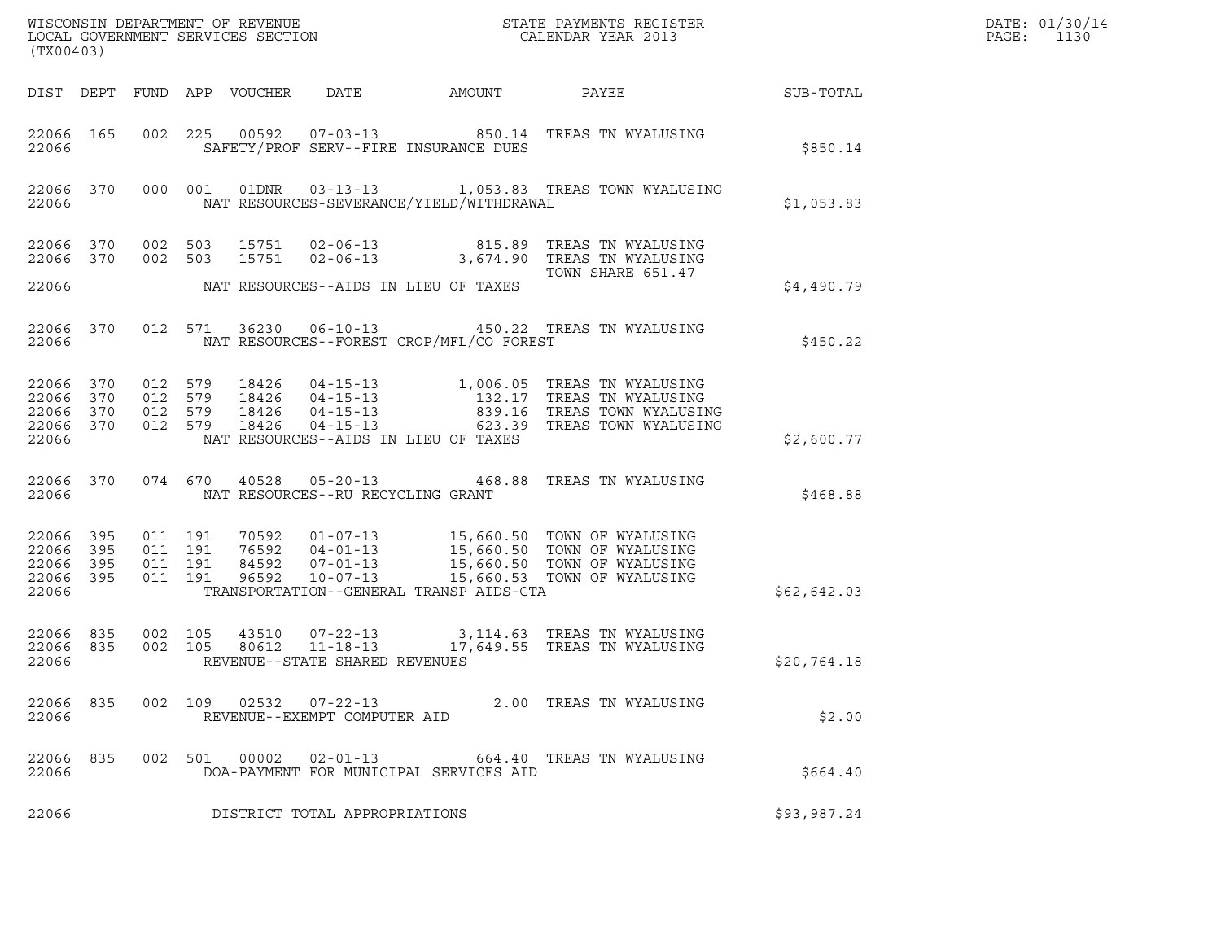| (TX00403)                                     |                   |                                          |         |                                  |                                   |                                          | $\tt WISCONSIM DEPARTMENT OF REVENUE$ $\tt WISCONS IN DEPARTMENT SERVICES SECTION$ $\tt SCALENDAR YEAR$ $2013$                                                                                   |             | DATE: 01/30/14<br>PAGE:<br>1130 |
|-----------------------------------------------|-------------------|------------------------------------------|---------|----------------------------------|-----------------------------------|------------------------------------------|--------------------------------------------------------------------------------------------------------------------------------------------------------------------------------------------------|-------------|---------------------------------|
|                                               |                   |                                          |         | DIST DEPT FUND APP VOUCHER       |                                   |                                          | DATE AMOUNT PAYEE SUB-TOTAL                                                                                                                                                                      |             |                                 |
| 22066 165<br>22066                            |                   |                                          |         |                                  |                                   | SAFETY/PROF SERV--FIRE INSURANCE DUES    | 002 225 00592 07-03-13 850.14 TREAS TN WYALUSING                                                                                                                                                 | \$850.14    |                                 |
| 22066                                         |                   |                                          |         |                                  |                                   | NAT RESOURCES-SEVERANCE/YIELD/WITHDRAWAL | 22066 370 000 001 01DNR 03-13-13 1,053.83 TREAS TOWN WYALUSING                                                                                                                                   | \$1,053.83  |                                 |
| 22066 370                                     | 22066 370 002 503 | 002 503                                  |         |                                  |                                   | NAT RESOURCES--AIDS IN LIEU OF TAXES     | 15751  02-06-13  815.89  TREAS TN WYALUSING<br>15751  02-06-13  3,674.90  TREAS TN WYALUSING<br>TOWN SHARE 651.47                                                                                |             |                                 |
| 22066                                         |                   |                                          |         |                                  |                                   |                                          |                                                                                                                                                                                                  | \$4,490.79  |                                 |
| 22066                                         | 22066 370         |                                          |         |                                  |                                   | NAT RESOURCES--FOREST CROP/MFL/CO FOREST | 012 571 36230 06-10-13 450.22 TREAS TN WYALUSING                                                                                                                                                 | \$450.22    |                                 |
| 22066 370<br>22066<br>22066<br>22066<br>22066 | 370<br>370<br>370 | 012 579<br>012 579<br>012 579<br>012 579 |         | 18426<br>18426<br>18426<br>18426 |                                   | NAT RESOURCES--AIDS IN LIEU OF TAXES     | 04-15-13 1,006.05 TREAS TN WYALUSING<br>04-15-13 132.17 TREAS TN WYALUSING<br>04-15-13 839.16 TREAS TOWN WYALUSING<br>04-15-13 _________ 623.39 TREAS TOWN WYALUSING                             | \$2,600.77  |                                 |
| 22066                                         | 22066 370         |                                          |         |                                  | NAT RESOURCES--RU RECYCLING GRANT | 074 670 40528 05-20-13 468.88            | TREAS TN WYALUSING                                                                                                                                                                               | \$468.88    |                                 |
| 22066<br>22066<br>22066<br>22066 395<br>22066 | 395<br>395<br>395 | 011 191<br>011 191<br>011 191<br>011 191 |         |                                  |                                   | TRANSPORTATION--GENERAL TRANSP AIDS-GTA  | 70592  01-07-13  15,660.50  TOWN OF WYALUSING<br>76592  04-01-13  15,660.50  TOWN OF WYALUSING<br>84592  07-01-13  15,660.50  TOWN OF WYALUSING<br>96592  10-07-13  15,660.53  TOWN OF WYALUSING | \$62,642.03 |                                 |
| 22066 835<br>22066<br>22066                   | 835               | 002 105<br>002 105                       |         |                                  | REVENUE--STATE SHARED REVENUES    |                                          | 43510  07-22-13  3,114.63  TREAS TN WYALUSING<br>80612  11-18-13  17,649.55  TREAS TN WYALUSING                                                                                                  | \$20,764.18 |                                 |
| 22066 835<br>22066                            |                   |                                          | 002 109 |                                  | REVENUE--EXEMPT COMPUTER AID      |                                          | 02532  07-22-13  2.00 TREAS TN WYALUSING                                                                                                                                                         | \$2.00      |                                 |
| 22066 835<br>22066                            |                   |                                          | 002 501 | 00002                            | $02 - 01 - 13$                    | DOA-PAYMENT FOR MUNICIPAL SERVICES AID   | 664.40 TREAS TN WYALUSING                                                                                                                                                                        | \$664.40    |                                 |
| 22066                                         |                   |                                          |         |                                  | DISTRICT TOTAL APPROPRIATIONS     |                                          |                                                                                                                                                                                                  | \$93,987.24 |                                 |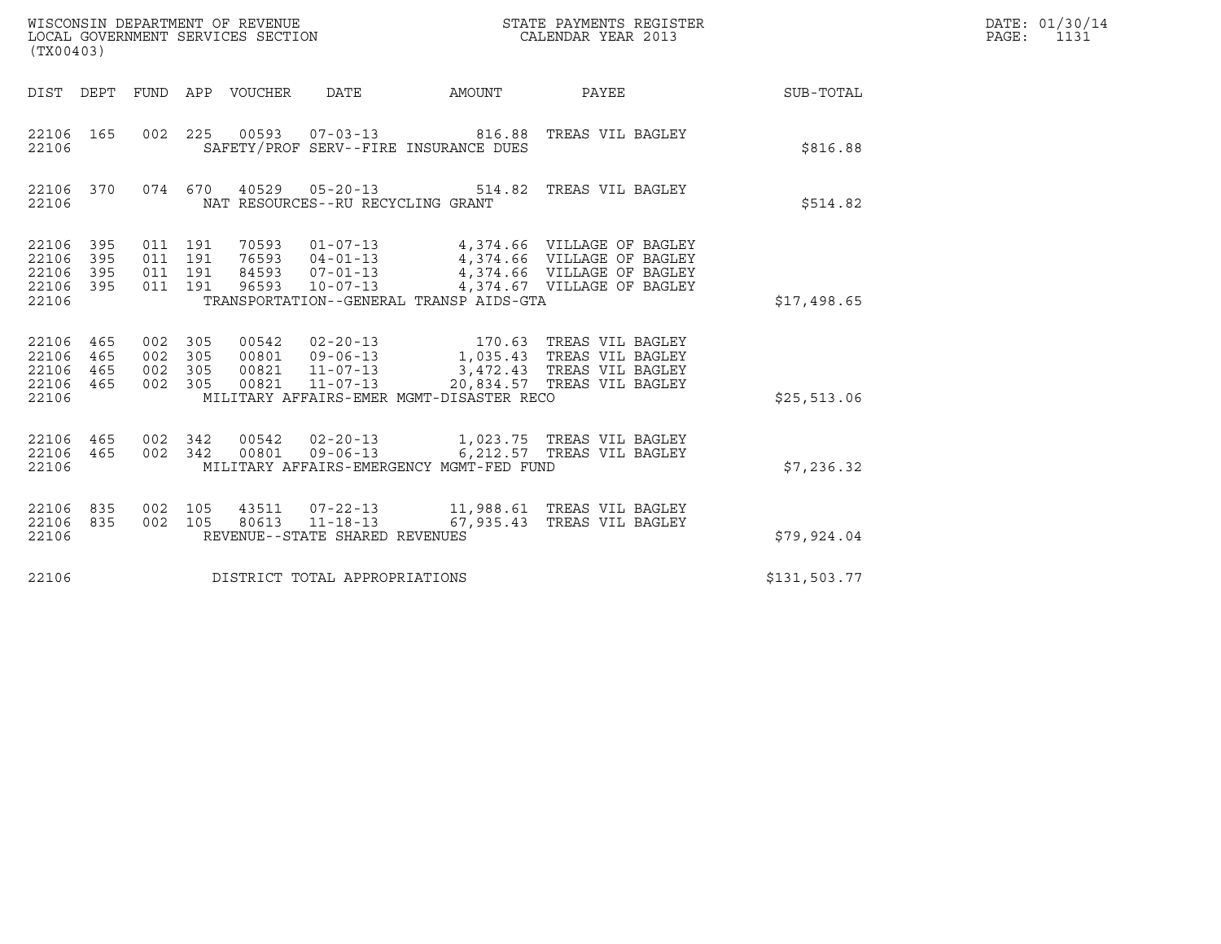| (TX00403)                                         |                   |                                          |                                 |                                   |                                          |                                                                                                                                                                            |              | DATE: 01/30/14<br>PAGE:<br>1131 |
|---------------------------------------------------|-------------------|------------------------------------------|---------------------------------|-----------------------------------|------------------------------------------|----------------------------------------------------------------------------------------------------------------------------------------------------------------------------|--------------|---------------------------------|
|                                                   |                   |                                          | DIST DEPT FUND APP VOUCHER DATE |                                   | AMOUNT                                   | PAYEE                                                                                                                                                                      | SUB-TOTAL    |                                 |
| 22106 165<br>22106                                |                   |                                          |                                 |                                   | SAFETY/PROF SERV--FIRE INSURANCE DUES    | 002 225 00593 07-03-13 816.88 TREAS VIL BAGLEY                                                                                                                             | \$816.88     |                                 |
| 22106                                             | 22106 370         |                                          |                                 | NAT RESOURCES--RU RECYCLING GRANT |                                          | 074 670 40529 05-20-13 514.82 TREAS VIL BAGLEY                                                                                                                             | \$514.82     |                                 |
| 22106 395<br>22106 395<br>22106<br>22106<br>22106 | 395<br>395        | 011 191<br>011 191<br>011 191<br>011 191 | 96593                           | $10 - 07 - 13$                    | TRANSPORTATION--GENERAL TRANSP AIDS-GTA  | 70593  01-07-13  4,374.66  VILLAGE OF BAGLEY<br>76593  04-01-13  4,374.66  VILLAGE OF BAGLEY<br>84593  07-01-13  4,374.66  VILLAGE OF BAGLEY<br>4,374.67 VILLAGE OF BAGLEY | \$17,498.65  |                                 |
| 22106 465<br>22106<br>22106<br>22106<br>22106     | 465<br>465<br>465 | 002 305<br>002 305<br>002 305<br>002 305 | 00821                           | $11 - 07 - 13$                    | MILITARY AFFAIRS-EMER MGMT-DISASTER RECO | 00821  11-07-13  3,472.43  TREAS VIL BAGLEY<br>20,834.57 TREAS VIL BAGLEY                                                                                                  | \$25,513.06  |                                 |
| 22106 465<br>22106                                | 22106 465         | 002 342<br>002 342                       |                                 |                                   | MILITARY AFFAIRS-EMERGENCY MGMT-FED FUND | 00542  02-20-13  1,023.75  TREAS VIL BAGLEY<br>00801  09-06-13  6,212.57 TREAS VIL BAGLEY                                                                                  | \$7,236.32   |                                 |
| 22106 835<br>22106 835<br>22106                   |                   | 002 105<br>002 105                       |                                 | REVENUE--STATE SHARED REVENUES    |                                          | 43511  07-22-13   11,988.61   TREAS VIL BAGLEY<br>80613  11-18-13   67,935.43  TREAS VIL BAGLEY                                                                            | \$79,924.04  |                                 |
| 22106                                             |                   |                                          |                                 | DISTRICT TOTAL APPROPRIATIONS     |                                          |                                                                                                                                                                            | \$131,503.77 |                                 |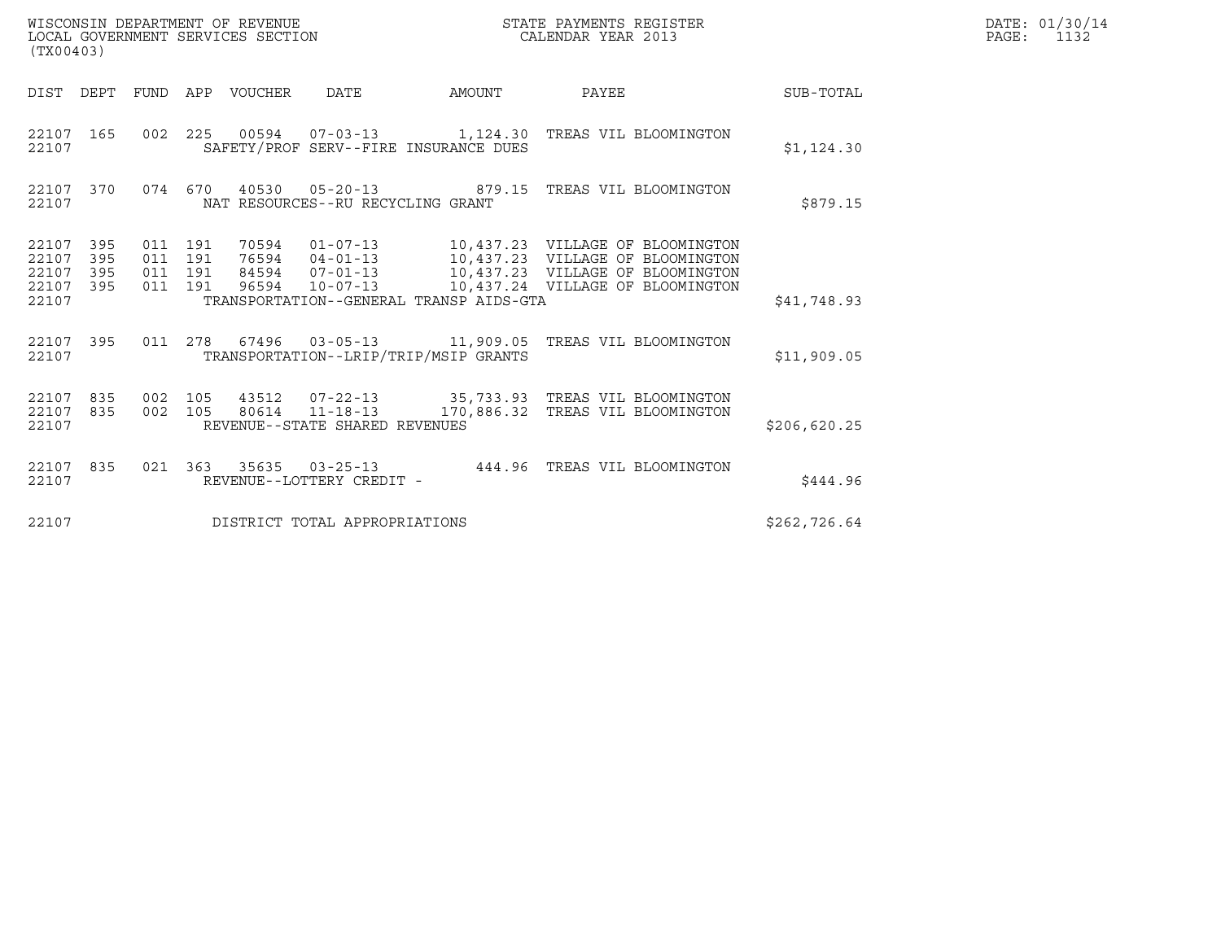| (TX00403)                                     |                   |                                          |         | WISCONSIN DEPARTMENT OF REVENUE<br>LOCAL GOVERNMENT SERVICES SECTION |                                   |                                         | STATE PAYMENTS REGISTER<br>CALENDAR YEAR 2013                                                              |              | DATE: 01/30/14<br>PAGE:<br>1132 |
|-----------------------------------------------|-------------------|------------------------------------------|---------|----------------------------------------------------------------------|-----------------------------------|-----------------------------------------|------------------------------------------------------------------------------------------------------------|--------------|---------------------------------|
|                                               |                   |                                          |         | DIST DEPT FUND APP VOUCHER DATE                                      |                                   | AMOUNT                                  | PAYEE                                                                                                      | SUB-TOTAL    |                                 |
| 22107 165<br>22107                            |                   |                                          |         |                                                                      |                                   | SAFETY/PROF SERV--FIRE INSURANCE DUES   | 002  225  00594  07-03-13  1,124.30  TREAS VIL BLOOMINGTON                                                 | \$1,124.30   |                                 |
| 22107 370<br>22107                            |                   |                                          |         |                                                                      | NAT RESOURCES--RU RECYCLING GRANT |                                         | 074 670 40530 05-20-13 879.15 TREAS VIL BLOOMINGTON                                                        | \$879.15     |                                 |
| 22107 395<br>22107<br>22107<br>22107<br>22107 | 395<br>395<br>395 | 011 191<br>011 191<br>011 191<br>011 191 |         |                                                                      |                                   | TRANSPORTATION--GENERAL TRANSP AIDS-GTA | 70594  01-07-13  10,437.23  VILLAGE OF BLOOMINGTON<br>76594  04-01-13   10,437.23   VILLAGE OF BLOOMINGTON | \$41,748.93  |                                 |
| 22107 395<br>22107                            |                   | 011 278                                  |         |                                                                      |                                   | TRANSPORTATION--LRIP/TRIP/MSIP GRANTS   |                                                                                                            | \$11,909.05  |                                 |
| 22107 835<br>22107 835<br>22107               |                   | 002 105                                  | 002 105 |                                                                      | REVENUE--STATE SHARED REVENUES    |                                         | 43512  07-22-13  35,733.93  TREAS VIL BLOOMINGTON<br>80614  11-18-13  170,886.32  TREAS VIL BLOOMINGTON    | \$206,620.25 |                                 |
| 22107 835<br>22107                            |                   |                                          |         |                                                                      | REVENUE--LOTTERY CREDIT -         |                                         | 021  363  35635  03-25-13  444.96  TREAS VIL BLOOMINGTON                                                   | \$444.96     |                                 |
| 22107                                         |                   |                                          |         |                                                                      | DISTRICT TOTAL APPROPRIATIONS     |                                         |                                                                                                            | \$262,726.64 |                                 |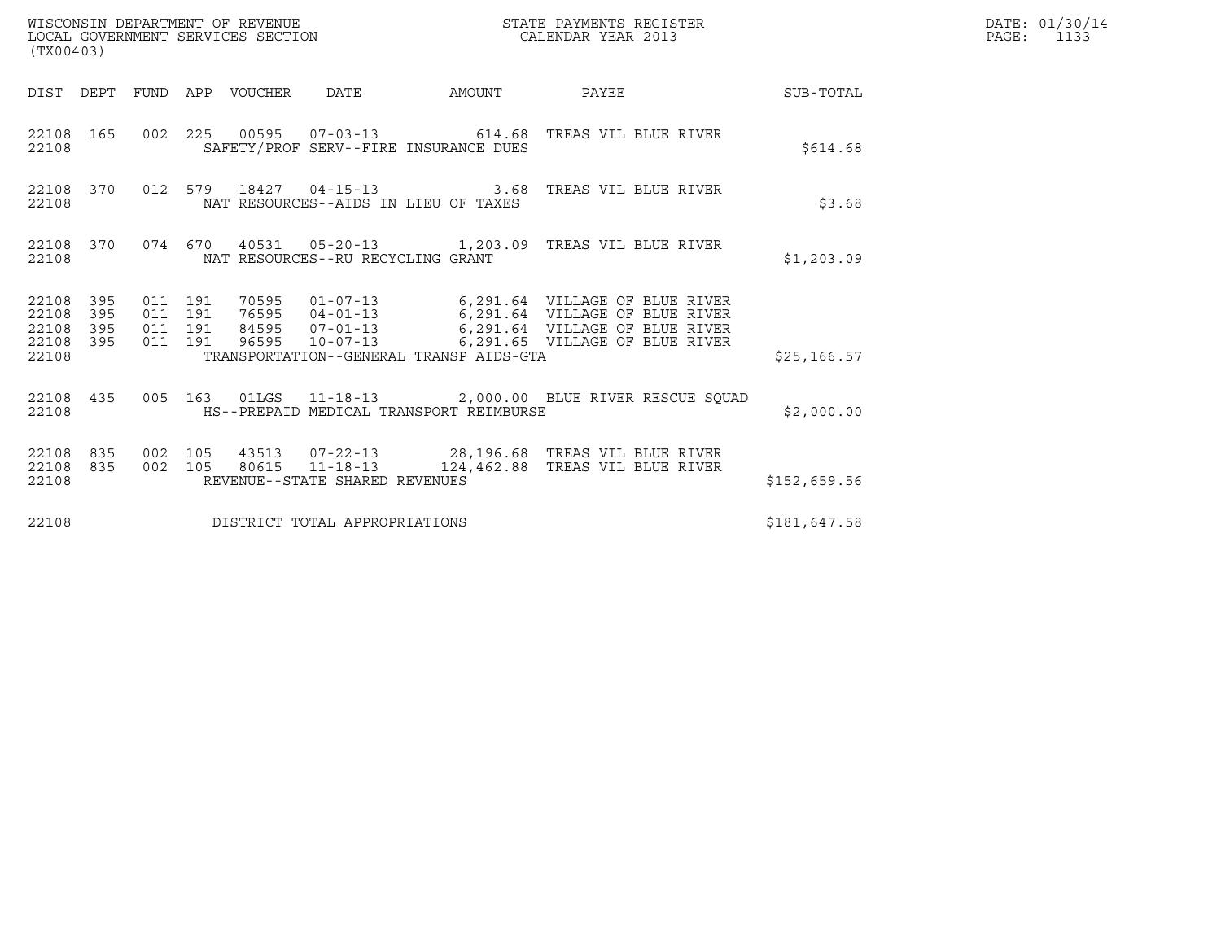| WISCONSIN DEPARTMENT OF REVENUE<br>LOCAL GOVERNMENT SERVICES SECTION | STATE PAYMENTS REGISTER<br>CALENDAR YEAR 2013 | DATE: 01/30/14<br>PAGE: |
|----------------------------------------------------------------------|-----------------------------------------------|-------------------------|

| (TX00403)                                             |                    |  |  |  |                                   |                                         |                                                                                                                                                                                                                                                                             | $\mathbb{R}^n$ , where $\mathbb{R}^n$ is the set of $\mathbb{R}^n$ . | DATE: 01/30/14<br>$\mathtt{PAGE}$ :<br>1133 |
|-------------------------------------------------------|--------------------|--|--|--|-----------------------------------|-----------------------------------------|-----------------------------------------------------------------------------------------------------------------------------------------------------------------------------------------------------------------------------------------------------------------------------|----------------------------------------------------------------------|---------------------------------------------|
|                                                       |                    |  |  |  |                                   |                                         | DIST DEPT FUND APP VOUCHER DATE AMOUNT PAYEE                                                                                                                                                                                                                                | SUB-TOTAL                                                            |                                             |
| 22108                                                 |                    |  |  |  |                                   | SAFETY/PROF SERV--FIRE INSURANCE DUES   | 22108 165 002 225 00595 07-03-13 614.68 TREAS VIL BLUE RIVER                                                                                                                                                                                                                | \$614.68                                                             |                                             |
| 22108                                                 |                    |  |  |  |                                   | NAT RESOURCES--AIDS IN LIEU OF TAXES    | 22108 370 012 579 18427 04-15-13 3.68 TREAS VIL BLUE RIVER                                                                                                                                                                                                                  | \$3.68                                                               |                                             |
|                                                       | 22108 370<br>22108 |  |  |  | NAT RESOURCES--RU RECYCLING GRANT |                                         | 074  670  40531  05-20-13   1,203.09  TREAS VIL BLUE RIVER                                                                                                                                                                                                                  | \$1,203.09                                                           |                                             |
| 22108 395<br>22108<br>22108 395<br>22108 395<br>22108 | 395                |  |  |  |                                   |                                         | 011 191 70595 01-07-13 6,291.64 VILLAGE OF BLUE RIVER<br>011 191 76595 04-01-13 6,291.64 VILLAGE OF BLUE RIVER<br>011 191 84595 07-01-13 6,291.64 VILLAGE OF BLUE RIVER<br>011 191 96595 10-07-13 6,291.65 VILLAGE OF BLUE RIVER<br>TRANSPORTATION--GENERAL TRANSP AIDS-GTA | \$25, 166.57                                                         |                                             |
| 22108                                                 |                    |  |  |  |                                   | HS--PREPAID MEDICAL TRANSPORT REIMBURSE | 22108 435 005 163 01LGS 11-18-13 2,000.00 BLUE RIVER RESCUE SQUAD                                                                                                                                                                                                           | \$2,000.00                                                           |                                             |
| 22108 835<br>22108 835<br>22108                       |                    |  |  |  | REVENUE--STATE SHARED REVENUES    |                                         | 002 105 43513 07-22-13 28,196.68 TREAS VIL BLUE RIVER<br>002 105 80615 11-18-13 124,462.88 TREAS VIL BLUE RIVER                                                                                                                                                             | \$152,659.56                                                         |                                             |
| 22108                                                 |                    |  |  |  | DISTRICT TOTAL APPROPRIATIONS     |                                         |                                                                                                                                                                                                                                                                             | \$181,647.58                                                         |                                             |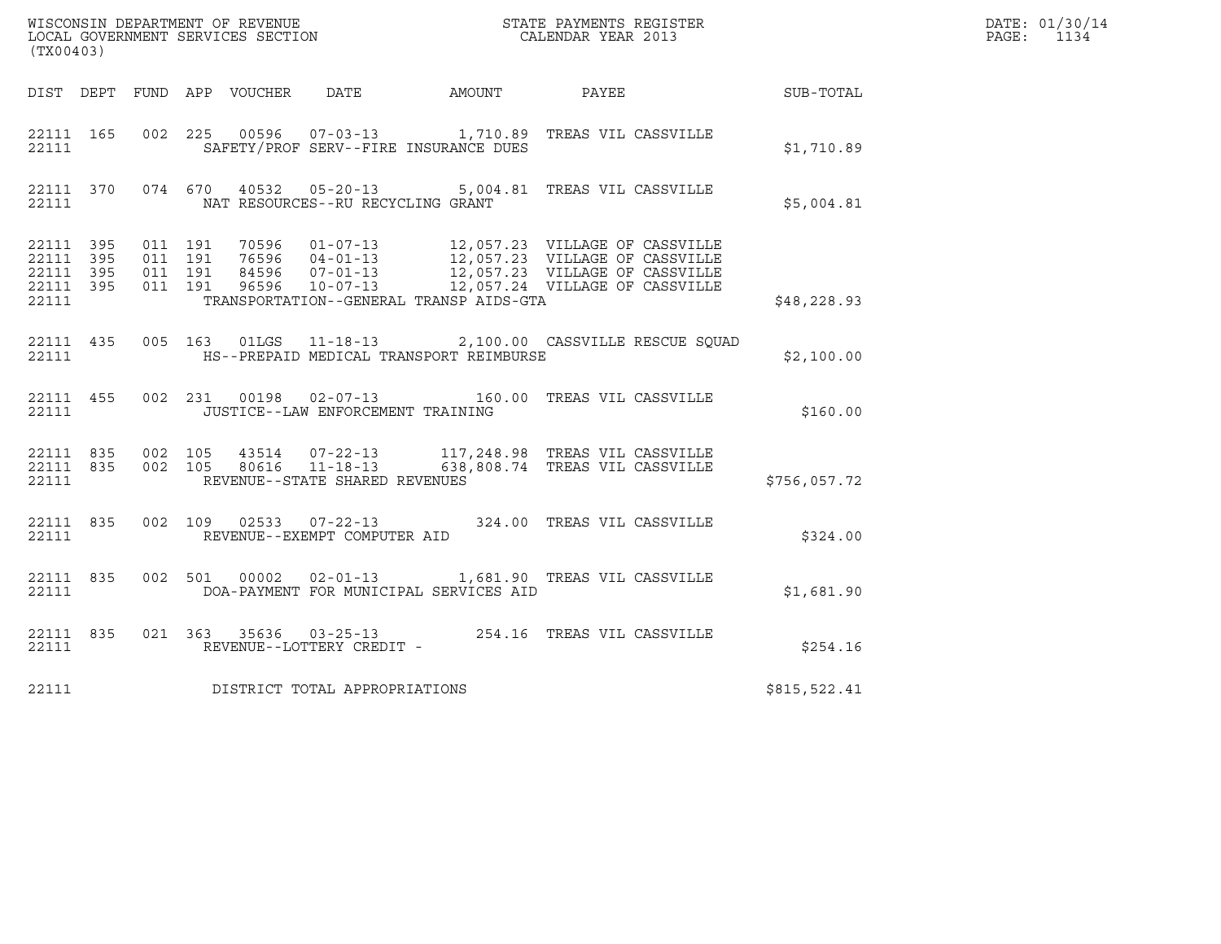| (TX00403)                                                 |                                          |               |                                   |                                         |                                                                                                                                                                                                              |              | DATE: 01/30/14<br>PAGE: 1134 |
|-----------------------------------------------------------|------------------------------------------|---------------|-----------------------------------|-----------------------------------------|--------------------------------------------------------------------------------------------------------------------------------------------------------------------------------------------------------------|--------------|------------------------------|
|                                                           |                                          |               |                                   |                                         | DIST DEPT FUND APP VOUCHER DATE AMOUNT PAYEE THE SUB-TOTAL                                                                                                                                                   |              |                              |
| 22111 165<br>22111                                        |                                          |               |                                   | SAFETY/PROF SERV--FIRE INSURANCE DUES   | 002 225 00596 07-03-13 1,710.89 TREAS VIL CASSVILLE                                                                                                                                                          | \$1,710.89   |                              |
| 22111                                                     |                                          |               | NAT RESOURCES--RU RECYCLING GRANT |                                         | 22111 370 074 670 40532 05-20-13 5,004.81 TREAS VIL CASSVILLE                                                                                                                                                | \$5,004.81   |                              |
| 22111 395<br>22111 395<br>22111 395<br>22111 395<br>22111 | 011 191<br>011 191<br>011 191<br>011 191 |               |                                   | TRANSPORTATION--GENERAL TRANSP AIDS-GTA | 70596  01-07-13  12,057.23  VILLAGE OF CASSVILLE<br>76596  04-01-13  12,057.23  VILLAGE OF CASSVILLE<br>84596  07-01-13  12,057.23  VILLAGE OF CASSVILLE<br>96596  10-07-13  12,057.24  VILLAGE OF CASSVILLE | \$48,228.93  |                              |
| 22111 435<br>22111                                        |                                          | 005 163 01LGS |                                   | HS--PREPAID MEDICAL TRANSPORT REIMBURSE | 11-18-13 2,100.00 CASSVILLE RESCUE SQUAD                                                                                                                                                                     | \$2,100.00   |                              |
| 22111                                                     |                                          |               | JUSTICE--LAW ENFORCEMENT TRAINING |                                         | 22111 455 002 231 00198 02-07-13 160.00 TREAS VIL CASSVILLE                                                                                                                                                  | \$160.00     |                              |
| 22111                                                     |                                          |               | REVENUE--STATE SHARED REVENUES    |                                         | 22111 835 002 105 43514 07-22-13 117,248.98 TREAS VIL CASSVILLE<br>22111 835 002 105 80616 11-18-13 638,808.74 TREAS VIL CASSVILLE                                                                           | \$756,057.72 |                              |
| 22111                                                     |                                          |               | REVENUE--EXEMPT COMPUTER AID      |                                         | 22111 835 002 109 02533 07-22-13 324.00 TREAS VIL CASSVILLE                                                                                                                                                  | \$324.00     |                              |
| 22111 835<br>22111                                        |                                          | 002 501 00002 |                                   | DOA-PAYMENT FOR MUNICIPAL SERVICES AID  | 02-01-13 1,681.90 TREAS VIL CASSVILLE                                                                                                                                                                        | \$1,681.90   |                              |
| 22111 835<br>22111                                        |                                          |               | REVENUE--LOTTERY CREDIT -         |                                         | 021 363 35636 03-25-13 254.16 TREAS VIL CASSVILLE                                                                                                                                                            | \$254.16     |                              |
| 22111                                                     |                                          |               | DISTRICT TOTAL APPROPRIATIONS     |                                         |                                                                                                                                                                                                              | \$815,522.41 |                              |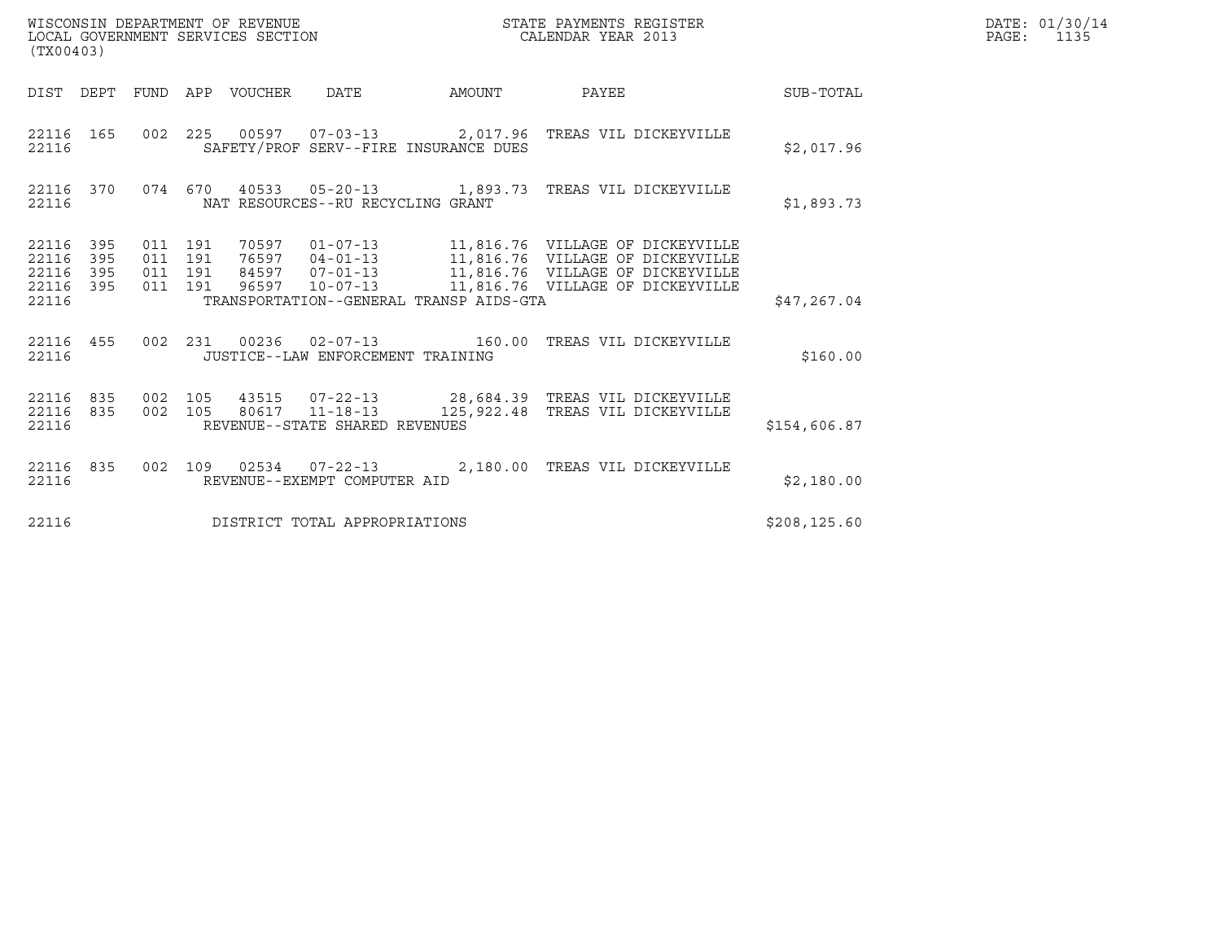| WISCONSIN DEPARTMENT OF REVENUE   | STATE PAYMENTS REGISTER | DATE: 01/30/14 |
|-----------------------------------|-------------------------|----------------|
| LOCAL GOVERNMENT SERVICES SECTION | CALENDAR YEAR 2013      | PAGE:          |

| (TX00403)                                                             |                          |                                                                                                                                                                          |        |                                                                                                                                                            |               |
|-----------------------------------------------------------------------|--------------------------|--------------------------------------------------------------------------------------------------------------------------------------------------------------------------|--------|------------------------------------------------------------------------------------------------------------------------------------------------------------|---------------|
| DIST<br>DEPT                                                          | FUND                     | APP<br>VOUCHER DATE                                                                                                                                                      | AMOUNT | PAYEE                                                                                                                                                      | SUB-TOTAL     |
| 22116<br>165<br>22116                                                 | 002                      | 225<br>SAFETY/PROF SERV--FIRE INSURANCE DUES                                                                                                                             |        | 00597  07-03-13  2,017.96  TREAS VIL DICKEYVILLE                                                                                                           | \$2,017.96    |
| 370<br>22116<br>22116                                                 | 074 670                  | NAT RESOURCES--RU RECYCLING GRANT                                                                                                                                        |        |                                                                                                                                                            | \$1,893.73    |
| 395<br>22116<br>395<br>22116<br>22116<br>395<br>22116<br>395<br>22116 | 011<br>011<br>011<br>011 | 191<br>70597        01-07-13<br>191<br>$76597$ $04-01-13$<br>191<br>$07 - 01 - 13$<br>84597<br>191<br>96597<br>$10 - 07 - 13$<br>TRANSPORTATION--GENERAL TRANSP AIDS-GTA |        | 11,816.76 VILLAGE OF DICKEYVILLE<br>11,816.76 VILLAGE OF DICKEYVILLE<br>11,816.76 VILLAGE OF DICKEYVILLE<br>11,816.76 VILLAGE OF DICKEYVILLE               | \$47,267.04   |
| 22116<br>455<br>22116                                                 | 002                      | $02 - 07 - 13$ 160.00<br>231<br>00236<br>JUSTICE--LAW ENFORCEMENT TRAINING                                                                                               |        | TREAS VIL DICKEYVILLE                                                                                                                                      | \$160.00      |
| 22116<br>835<br>22116<br>835<br>22116                                 | 002<br>002               | 105<br>105<br>REVENUE--STATE SHARED REVENUES                                                                                                                             |        | 43515       07-22-13                       28,684.39    TREAS  VIL  DICKEYVILLE<br>80617      11-18-13               125,922.48    TREAS  VIL  DICKEYVILLE | \$154,606.87  |
| 835<br>22116<br>22116                                                 | 002                      | 109<br>REVENUE--EXEMPT COMPUTER AID                                                                                                                                      |        | 02534  07-22-13  2,180.00 TREAS VIL DICKEYVILLE                                                                                                            | \$2,180.00    |
| 22116                                                                 |                          | DISTRICT TOTAL APPROPRIATIONS                                                                                                                                            |        |                                                                                                                                                            | \$208, 125.60 |

(TX00403)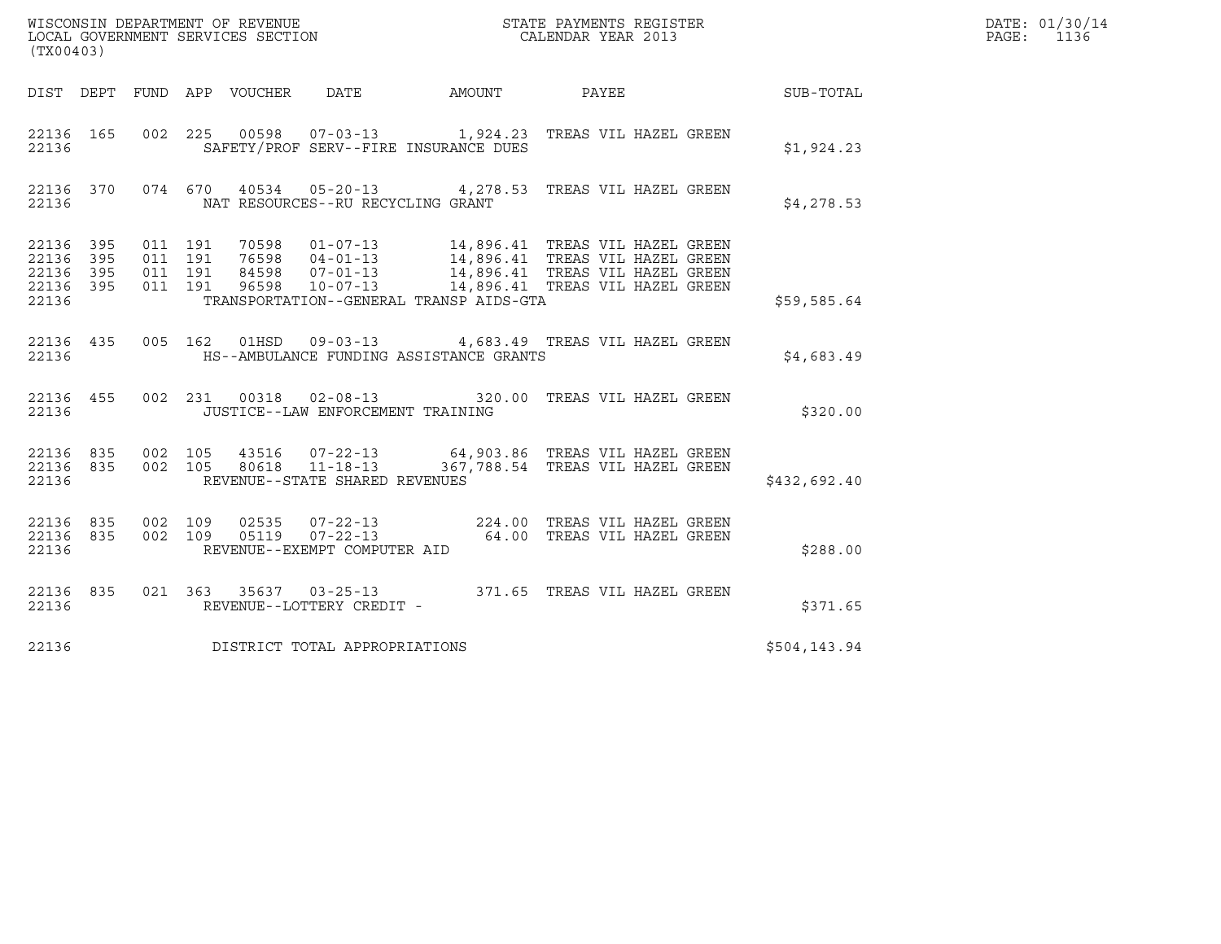| (TX00403)                                         |            |                                          |                                 |                                                          | DATE: 01/30/14<br>PAGE:<br>1136         |                                                                                                                                                                                                      |                  |  |
|---------------------------------------------------|------------|------------------------------------------|---------------------------------|----------------------------------------------------------|-----------------------------------------|------------------------------------------------------------------------------------------------------------------------------------------------------------------------------------------------------|------------------|--|
|                                                   |            |                                          | DIST DEPT FUND APP VOUCHER DATE |                                                          | AMOUNT PAYEE                            |                                                                                                                                                                                                      | <b>SUB-TOTAL</b> |  |
| 22136                                             |            |                                          |                                 |                                                          | SAFETY/PROF SERV--FIRE INSURANCE DUES   | 22136 165 002 225 00598 07-03-13 1,924.23 TREAS VIL HAZEL GREEN                                                                                                                                      | \$1,924.23       |  |
| 22136                                             |            |                                          |                                 | NAT RESOURCES--RU RECYCLING GRANT                        |                                         | 22136 370 074 670 40534 05-20-13 4,278.53 TREAS VIL HAZEL GREEN                                                                                                                                      | \$4,278.53       |  |
| 22136 395<br>22136<br>22136<br>22136 395<br>22136 | 395<br>395 | 011 191<br>011 191<br>011 191<br>011 191 |                                 |                                                          | TRANSPORTATION--GENERAL TRANSP AIDS-GTA | 01-07-13<br>14,896.41 TREAS VIL HAZEL GREEN<br>76598 04-01-13<br>14,896.41 TREAS VIL HAZEL GREEN<br>96598 10-07-13 14,896.41 TREAS VIL HAZEL GREEN<br>96598 10-07-13 14,896.41 TREAS VIL HAZEL GREEN | \$59,585.64      |  |
| 22136                                             |            |                                          |                                 |                                                          | HS--AMBULANCE FUNDING ASSISTANCE GRANTS | 22136 435 005 162 01HSD 09-03-13 4,683.49 TREAS VIL HAZEL GREEN                                                                                                                                      | \$4,683.49       |  |
| 22136 455<br>22136                                |            |                                          |                                 | JUSTICE--LAW ENFORCEMENT TRAINING                        |                                         | 002 231 00318 02-08-13 320.00 TREAS VIL HAZEL GREEN                                                                                                                                                  | \$320.00         |  |
| 22136 835 002 105<br>22136 835<br>22136           |            |                                          |                                 | 002 105 80618 11-18-13<br>REVENUE--STATE SHARED REVENUES |                                         | 43516  07-22-13   64,903.86   TREAS VIL HAZEL GREEN<br>367,788.54 TREAS VIL HAZEL GREEN                                                                                                              | \$432,692.40     |  |
| 22136 835<br>22136 835<br>22136                   |            | 002 109<br>002 109                       |                                 | REVENUE--EXEMPT COMPUTER AID                             |                                         |                                                                                                                                                                                                      | \$288.00         |  |
| 22136                                             |            |                                          |                                 | REVENUE--LOTTERY CREDIT -                                |                                         | 22136 835 021 363 35637 03-25-13 371.65 TREAS VIL HAZEL GREEN                                                                                                                                        | \$371.65         |  |
| 22136                                             |            |                                          |                                 | DISTRICT TOTAL APPROPRIATIONS                            |                                         |                                                                                                                                                                                                      | \$504,143.94     |  |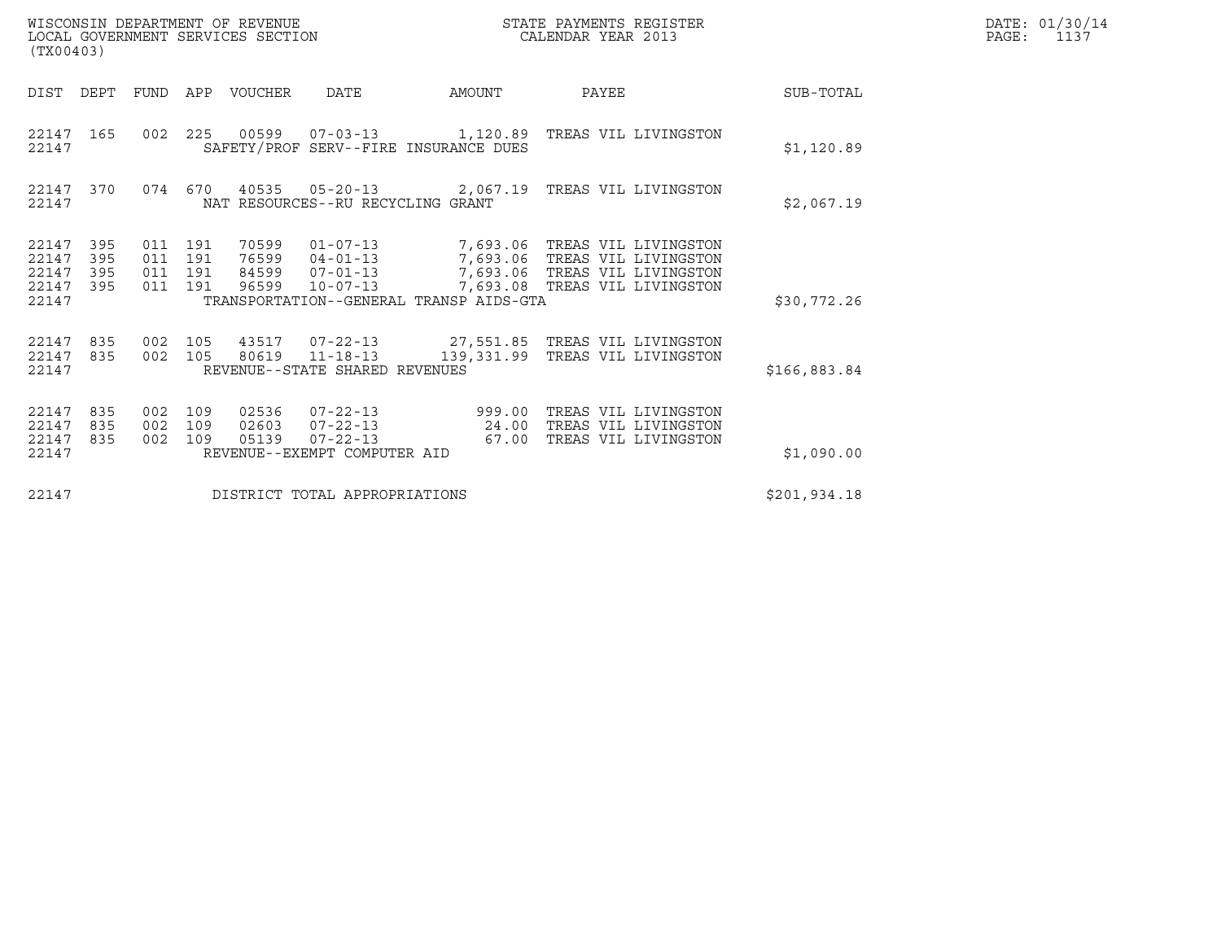| DATE: | 01/30/14 |
|-------|----------|
| PAGE: | 1137     |

| WISCONSIN DEPARTMENT OF REVENUE<br>LOCAL GOVERNMENT SERVICES SECTION<br>(TX00403) |                                  |                   |                                  |                                                                                                                                         |                                 | STATE PAYMENTS REGISTER<br>CALENDAR YEAR 2013                                                   |                      |              | DATE: 01/30/14<br>PAGE:<br>1137 |
|-----------------------------------------------------------------------------------|----------------------------------|-------------------|----------------------------------|-----------------------------------------------------------------------------------------------------------------------------------------|---------------------------------|-------------------------------------------------------------------------------------------------|----------------------|--------------|---------------------------------|
| DIST DEPT                                                                         | FUND                             |                   | APP VOUCHER                      | DATE                                                                                                                                    | AMOUNT                          | PAYEE                                                                                           |                      | SUB-TOTAL    |                                 |
| 22147 165<br>22147                                                                | 002 225                          |                   |                                  | SAFETY/PROF SERV--FIRE INSURANCE DUES                                                                                                   |                                 |                                                                                                 |                      | \$1,120.89   |                                 |
| 22147 370<br>22147                                                                | 074 670                          |                   |                                  | 40535 05-20-13<br>NAT RESOURCES--RU RECYCLING GRANT                                                                                     |                                 | 2,067.19 TREAS VIL LIVINGSTON                                                                   |                      | \$2,067.19   |                                 |
| 395<br>22147<br>395<br>22147<br>395<br>22147<br>22147<br>395<br>22147             | 011 191<br>011<br>011<br>011 191 | 191<br>191        | 70599<br>76599<br>84599<br>96599 | 01-07-13 7,693.06 TREAS VIL LIVINGSTON<br>$04 - 01 - 13$<br>$07 - 01 - 13$<br>$10 - 07 - 13$<br>TRANSPORTATION--GENERAL TRANSP AIDS-GTA |                                 | 7,693.06 TREAS VIL LIVINGSTON<br>7,693.06 TREAS VIL LIVINGSTON<br>7,693.08 TREAS VIL LIVINGSTON |                      | \$30,772.26  |                                 |
| 835<br>22147<br>22147<br>835<br>22147                                             | 002<br>002 105                   | 105               | 43517<br>80619                   | 07-22-13 27,551.85 TREAS VIL LIVINGSTON<br>$11 - 18 - 13$<br>REVENUE--STATE SHARED REVENUES                                             | 139,331.99 TREAS VIL LIVINGSTON |                                                                                                 |                      | \$166,883.84 |                                 |
| 835<br>22147<br>22147<br>835<br>22147<br>835<br>22147                             | 002<br>002<br>002                | 109<br>109<br>109 | 02536<br>02603<br>05139          | $07 - 22 - 13$<br>$07 - 22 - 13$<br>$07 - 22 - 13$<br>REVENUE--EXEMPT COMPUTER AID                                                      | 999.00<br>24.00<br>67.00        | TREAS VIL LIVINGSTON<br>TREAS VIL LIVINGSTON                                                    | TREAS VIL LIVINGSTON | \$1,090.00   |                                 |
| 22147                                                                             |                                  |                   |                                  | DISTRICT TOTAL APPROPRIATIONS                                                                                                           |                                 |                                                                                                 |                      | \$201,934.18 |                                 |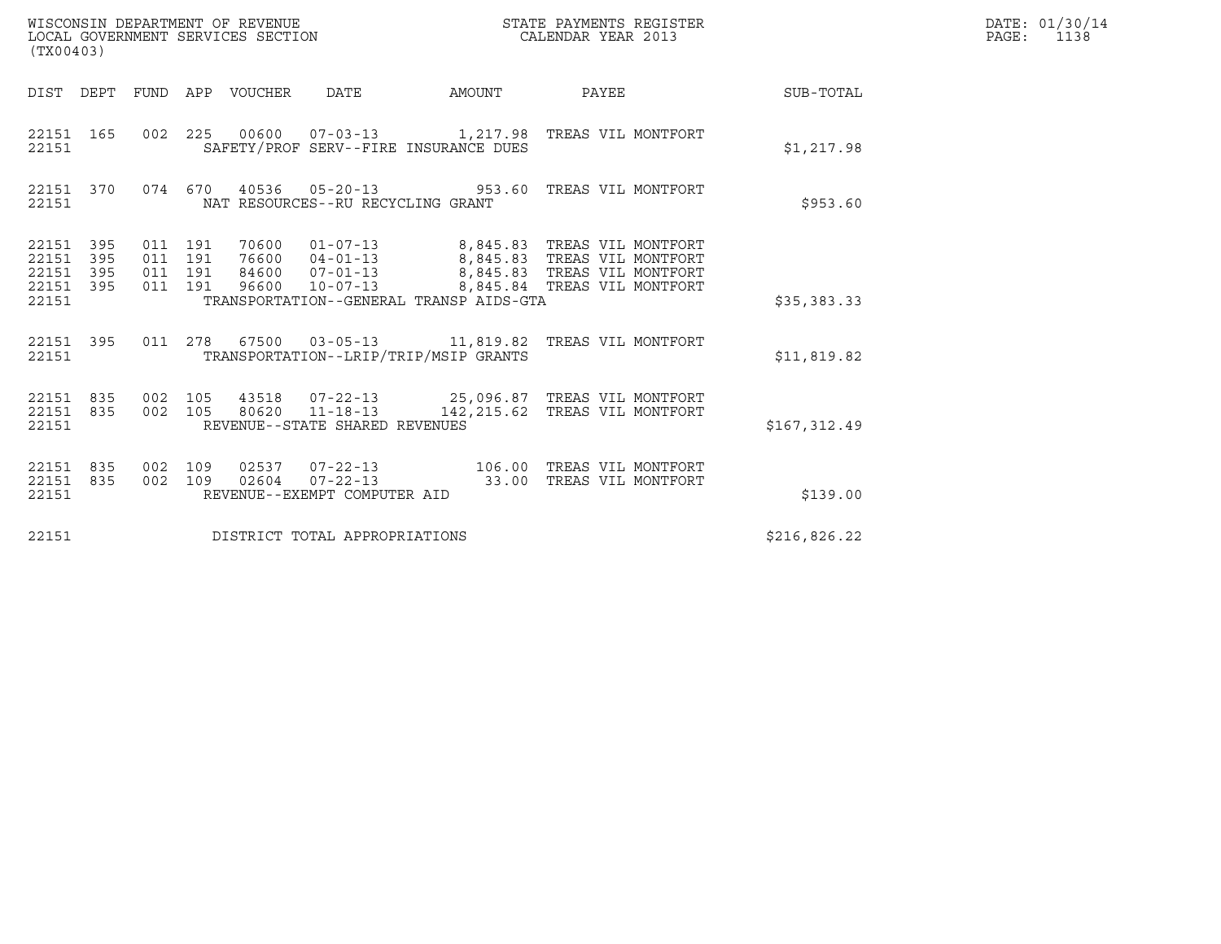| (TX00403)                                         |            |                    |                    |                                 |                                |                                         | STATE PAYMENTS REGISTER                                                                                                                                                                         |                 | DATE: 01/30/14<br>PAGE: 1138 |
|---------------------------------------------------|------------|--------------------|--------------------|---------------------------------|--------------------------------|-----------------------------------------|-------------------------------------------------------------------------------------------------------------------------------------------------------------------------------------------------|-----------------|------------------------------|
|                                                   |            |                    |                    | DIST DEPT FUND APP VOUCHER DATE |                                | AMOUNT                                  |                                                                                                                                                                                                 | PAYEE SUB-TOTAL |                              |
| 22151 165<br>22151                                |            |                    |                    |                                 |                                | SAFETY/PROF SERV--FIRE INSURANCE DUES   | 002 225 00600 07-03-13 1,217.98 TREAS VIL MONTFORT                                                                                                                                              | \$1,217.98      |                              |
| 22151 370<br>22151                                |            |                    |                    |                                 |                                | NAT RESOURCES--RU RECYCLING GRANT       | 074 670 40536 05-20-13 953.60 TREAS VIL MONTFORT                                                                                                                                                | \$953.60        |                              |
| 22151 395<br>22151<br>22151<br>22151 395<br>22151 | 395<br>395 | 011 191<br>011 191 | 011 191<br>011 191 |                                 |                                | TRANSPORTATION--GENERAL TRANSP AIDS-GTA | 70600  01-07-13  8,845.83  TREAS VIL MONTFORT<br>76600  04-01-13  8,845.83  TREAS VIL MONTFORT<br>84600  07-01-13  8,845.83  TREAS VIL MONTFORT<br>96600  10-07-13  8,845.84 TREAS VIL MONTFORT | \$35,383.33     |                              |
| 22151 395<br>22151                                |            |                    |                    |                                 |                                | TRANSPORTATION--LRIP/TRIP/MSIP GRANTS   | 011  278  67500  03-05-13   11,819.82  TREAS VIL MONTFORT                                                                                                                                       | \$11,819.82     |                              |
| 22151 835<br>22151 835<br>22151                   |            | 002 105<br>002 105 |                    |                                 | REVENUE--STATE SHARED REVENUES |                                         | 43518  07-22-13  25,096.87  TREAS VIL MONTFORT<br>80620  11-18-13  142, 215.62  TREAS VIL MONTFORT                                                                                              | \$167,312.49    |                              |
| 22151 835<br>22151 835<br>22151                   |            | 002 109<br>002 109 |                    |                                 | REVENUE--EXEMPT COMPUTER AID   |                                         | 02537  07-22-13  106.00  TREAS VIL MONTFORT<br>02604  07-22-13  33.00 TREAS VIL MONTFORT                                                                                                        | \$139.00        |                              |
| 22151                                             |            |                    |                    |                                 | DISTRICT TOTAL APPROPRIATIONS  |                                         |                                                                                                                                                                                                 | \$216,826.22    |                              |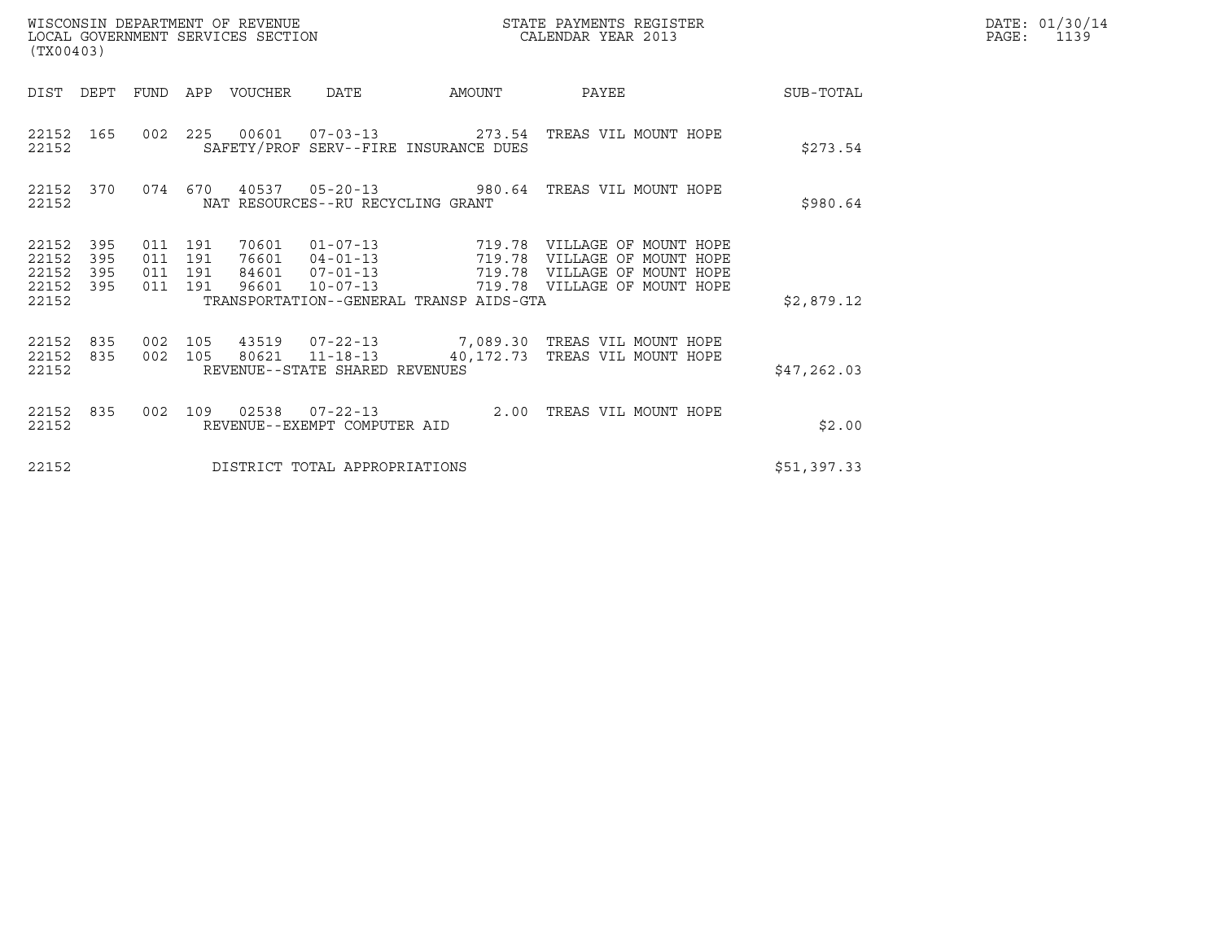| (TX00403)                                 |                          |                               |         |                         | WISCONSIN DEPARTMENT OF REVENUE<br>LOCAL GOVERNMENT SERVICES SECTION |                                                   | STATE PAYMENTS REGISTER<br>CALENDAR YEAR 2013                                         | DATE: 01/30/14<br>$\mathtt{PAGE}$ :<br>1139 |  |
|-------------------------------------------|--------------------------|-------------------------------|---------|-------------------------|----------------------------------------------------------------------|---------------------------------------------------|---------------------------------------------------------------------------------------|---------------------------------------------|--|
| DIST DEPT                                 |                          | FUND                          |         | APP VOUCHER             | DATE                                                                 | AMOUNT                                            | PAYEE                                                                                 | SUB-TOTAL                                   |  |
| 22152                                     | 22152 165                |                               |         |                         |                                                                      | SAFETY/PROF SERV--FIRE INSURANCE DUES             | 002  225  00601  07-03-13  273.54  TREAS VIL MOUNT HOPE                               | \$273.54                                    |  |
| 22152                                     | 22152 370                |                               | 074 670 |                         | NAT RESOURCES--RU RECYCLING GRANT                                    |                                                   | 40537  05-20-13  980.64  TREAS VIL MOUNT HOPE                                         | \$980.64                                    |  |
| 22152<br>22152<br>22152<br>22152<br>22152 | 395<br>395<br>395<br>395 | 011 191<br>011 191<br>011 191 | 011 191 | 70601<br>76601<br>96601 | $04 - 01 - 13$<br>84601 07-01-13<br>$10 - 07 - 13$                   | 719.78<br>TRANSPORTATION--GENERAL TRANSP AIDS-GTA | VILLAGE OF MOUNT HOPE<br>719.78 VILLAGE OF MOUNT HOPE<br>719.78 VILLAGE OF MOUNT HOPE | \$2,879.12                                  |  |
| 22152 835<br>22152<br>22152               | 835                      | 002 105                       | 002 105 |                         | 80621 11-18-13<br>REVENUE--STATE SHARED REVENUES                     |                                                   | 43519  07-22-13  7,089.30 TREAS VIL MOUNT HOPE<br>40,172.73 TREAS VIL MOUNT HOPE      | \$47,262.03                                 |  |
| 22152 835<br>22152                        |                          |                               | 002 109 |                         | REVENUE--EXEMPT COMPUTER AID                                         | 2.00                                              | TREAS VIL MOUNT HOPE                                                                  | \$2.00                                      |  |
| 22152                                     |                          |                               |         |                         | DISTRICT TOTAL APPROPRIATIONS                                        |                                                   |                                                                                       | \$51,397.33                                 |  |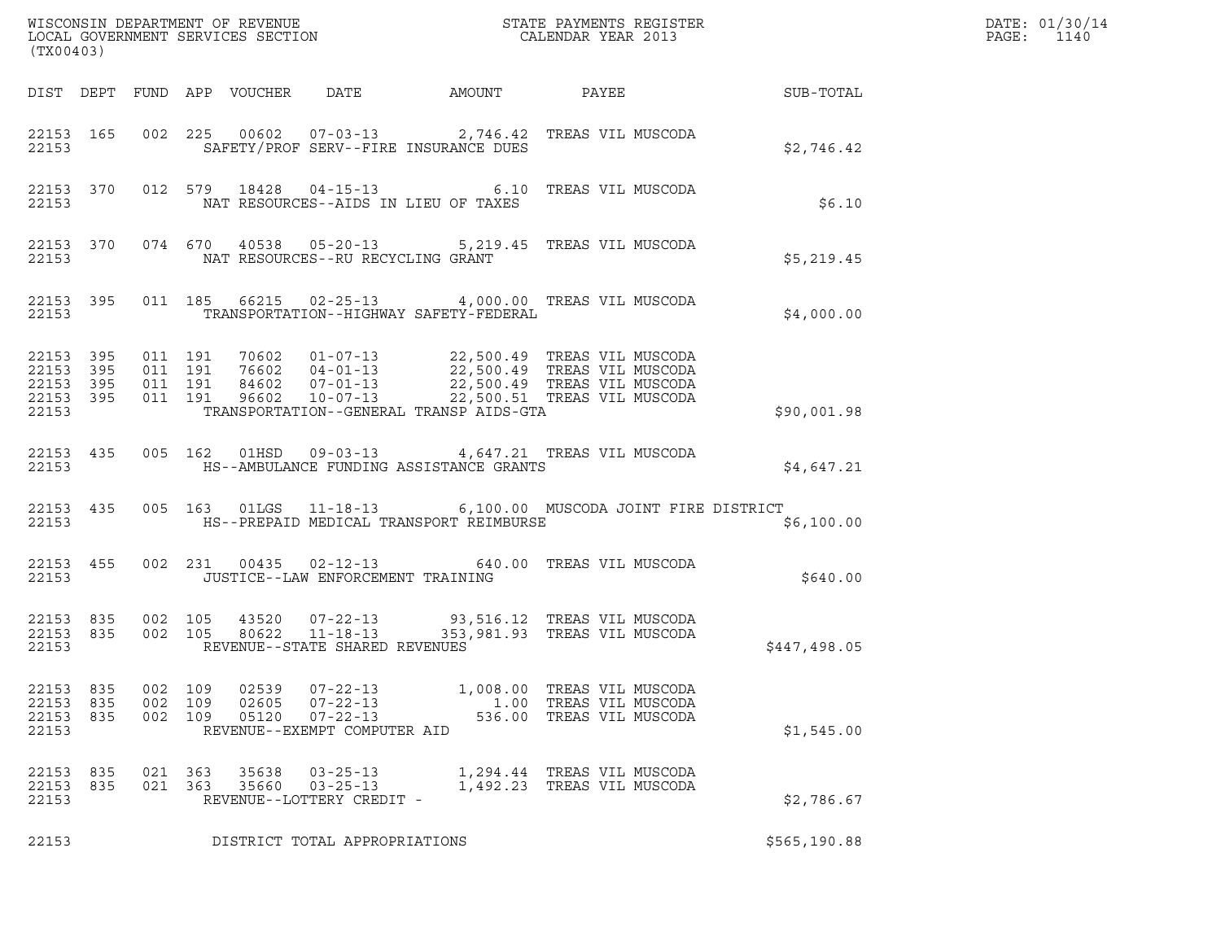| (TX00403)                            |                                     |                   |                   |                         |                                                                                    |                                         |                                                                                                                                                                                                                      |              | DATE: 01/30/14<br>PAGE:<br>1140 |
|--------------------------------------|-------------------------------------|-------------------|-------------------|-------------------------|------------------------------------------------------------------------------------|-----------------------------------------|----------------------------------------------------------------------------------------------------------------------------------------------------------------------------------------------------------------------|--------------|---------------------------------|
|                                      |                                     |                   |                   |                         |                                                                                    |                                         |                                                                                                                                                                                                                      |              |                                 |
| 22153                                |                                     |                   |                   |                         |                                                                                    | SAFETY/PROF SERV--FIRE INSURANCE DUES   | 22153 165 002 225 00602 07-03-13 2,746.42 TREAS VIL MUSCODA                                                                                                                                                          | \$2,746.42   |                                 |
|                                      | 22153                               |                   |                   |                         |                                                                                    | NAT RESOURCES--AIDS IN LIEU OF TAXES    | 22153 370 012 579 18428 04-15-13 6.10 TREAS VIL MUSCODA                                                                                                                                                              | \$6.10       |                                 |
| 22153                                |                                     |                   |                   |                         | NAT RESOURCES--RU RECYCLING GRANT                                                  |                                         | 22153 370 074 670 40538 05-20-13 5,219.45 TREAS VIL MUSCODA                                                                                                                                                          | \$5,219.45   |                                 |
|                                      | 22153                               |                   |                   |                         |                                                                                    | TRANSPORTATION--HIGHWAY SAFETY-FEDERAL  | 22153 395 011 185 66215 02-25-13 4,000.00 TREAS VIL MUSCODA                                                                                                                                                          | \$4,000.00   |                                 |
| 22153 395<br>22153                   | 22153 395<br>22153 395<br>22153 395 |                   |                   |                         |                                                                                    | TRANSPORTATION--GENERAL TRANSP AIDS-GTA | 011 191 70602 01-07-13 22,500.49 TREAS VIL MUSCODA<br>011 191 76602 04-01-13 22,500.49 TREAS VIL MUSCODA<br>011 191 84602 07-01-13 22,500.49 TREAS VIL MUSCODA<br>011 191 96602 10-07-13 22,500.51 TREAS VIL MUSCODA | \$90,001.98  |                                 |
| 22153                                |                                     |                   |                   |                         |                                                                                    | HS--AMBULANCE FUNDING ASSISTANCE GRANTS | 22153 435 005 162 01HSD 09-03-13 4,647.21 TREAS VIL MUSCODA                                                                                                                                                          | \$4,647.21   |                                 |
| 22153                                | 22153 435                           |                   |                   |                         |                                                                                    | HS--PREPAID MEDICAL TRANSPORT REIMBURSE | 005 163 01LGS 11-18-13 6,100.00 MUSCODA JOINT FIRE DISTRICT                                                                                                                                                          | \$6,100.00   |                                 |
| 22153                                | 22153 455                           |                   |                   |                         | JUSTICE--LAW ENFORCEMENT TRAINING                                                  |                                         | 002 231 00435 02-12-13 640.00 TREAS VIL MUSCODA                                                                                                                                                                      | \$640.00     |                                 |
| 22153                                | 22153 835<br>22153 835              |                   |                   |                         | REVENUE--STATE SHARED REVENUES                                                     |                                         | 002 105 43520 07-22-13 93,516.12 TREAS VIL MUSCODA<br>002 105 80622 11-18-13 353,981.93 TREAS VIL MUSCODA                                                                                                            | \$447,498.05 |                                 |
| 22153<br>22153<br>22153 835<br>22153 | 835<br>835                          | 002<br>002<br>002 | 109<br>109<br>109 | 02539<br>02605<br>05120 | $07 - 22 - 13$<br>$07 - 22 - 13$<br>$07 - 22 - 13$<br>REVENUE--EXEMPT COMPUTER AID | 1,008.00<br>1.00<br>536.00              | TREAS VIL MUSCODA<br>TREAS VIL MUSCODA<br>TREAS VIL MUSCODA                                                                                                                                                          | \$1,545.00   |                                 |
| 22153<br>22153<br>22153              | 835<br>835                          | 021<br>021 363    | 363               | 35638<br>35660          | $03 - 25 - 13$<br>$03 - 25 - 13$<br>REVENUE--LOTTERY CREDIT -                      |                                         | 1,294.44 TREAS VIL MUSCODA<br>1,492.23 TREAS VIL MUSCODA                                                                                                                                                             | \$2,786.67   |                                 |
| 22153                                |                                     |                   |                   |                         | DISTRICT TOTAL APPROPRIATIONS                                                      |                                         |                                                                                                                                                                                                                      | \$565,190.88 |                                 |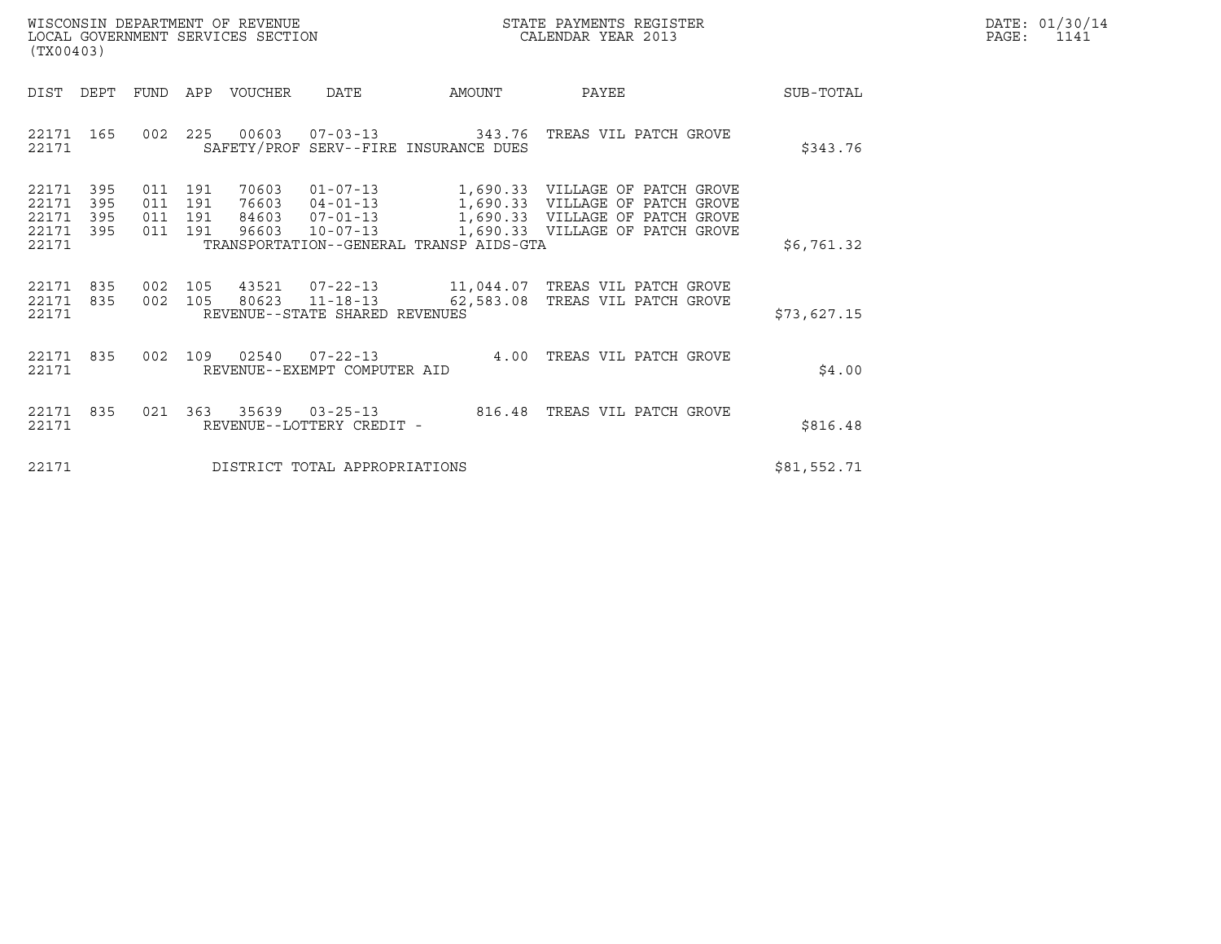| WISCONSIN DEPARTMENT OF REVENUE   | STATE PAYMENTS REGISTER | DATE: 01/30/14 |
|-----------------------------------|-------------------------|----------------|
| LOCAL GOVERNMENT SERVICES SECTION | CALENDAR YEAR 2013      | PAGE:          |

| (TX00403)                                                          |                              |                                                      |                                  |                                         |                                                                                                                                                                     |             | DATE: 01/30/14<br>PAGE:<br>1141 |
|--------------------------------------------------------------------|------------------------------|------------------------------------------------------|----------------------------------|-----------------------------------------|---------------------------------------------------------------------------------------------------------------------------------------------------------------------|-------------|---------------------------------|
| DIST DEPT                                                          |                              | FUND APP VOUCHER  DATE                               |                                  | <b>AMOUNT</b>                           | <b>PAYEE</b>                                                                                                                                                        | SUB-TOTAL   |                                 |
| 22171 165<br>22171                                                 |                              |                                                      |                                  | SAFETY/PROF SERV--FIRE INSURANCE DUES   | 002  225  00603  07-03-13  343.76  TREAS  VIL PATCH GROVE                                                                                                           | \$343.76    |                                 |
| 22171<br>395<br>22171<br>395<br>22171<br>395<br>22171 395<br>22171 | 011 191<br>011<br>011<br>011 | 70603<br>191<br>76603<br>191<br>191                  | 84603 07-01-13<br>96603 10-07-13 | TRANSPORTATION--GENERAL TRANSP AIDS-GTA | 01-07-13 1,690.33 VILLAGE OF PATCH GROVE<br>04-01-13 1,690.33 VILLAGE OF PATCH GROVE<br>07-01-13 1,690.33 VILLAGE OF PATCH GROVE<br>1,690.33 VILLAGE OF PATCH GROVE | \$6,761.32  |                                 |
| 22171 835<br>22171 835<br>22171                                    | 002                          | 105 80623 11-18-13<br>REVENUE--STATE SHARED REVENUES |                                  |                                         | 002  105  43521  07-22-13  11,044.07  TREAS VIL PATCH GROVE<br>62,583.08 TREAS VIL PATCH GROVE                                                                      | \$73,627.15 |                                 |
| 22171 835<br>22171                                                 |                              | REVENUE--EXEMPT COMPUTER AID                         |                                  |                                         | 002 109 02540 07-22-13 4.00 TREAS VIL PATCH GROVE                                                                                                                   | \$4.00      |                                 |
| 22171 835<br>22171                                                 |                              | REVENUE--LOTTERY CREDIT -                            |                                  |                                         | 021  363  35639  03-25-13  816.48  TREAS VIL PATCH GROVE                                                                                                            | \$816.48    |                                 |
| 22171                                                              |                              |                                                      | DISTRICT TOTAL APPROPRIATIONS    |                                         |                                                                                                                                                                     | \$81,552.71 |                                 |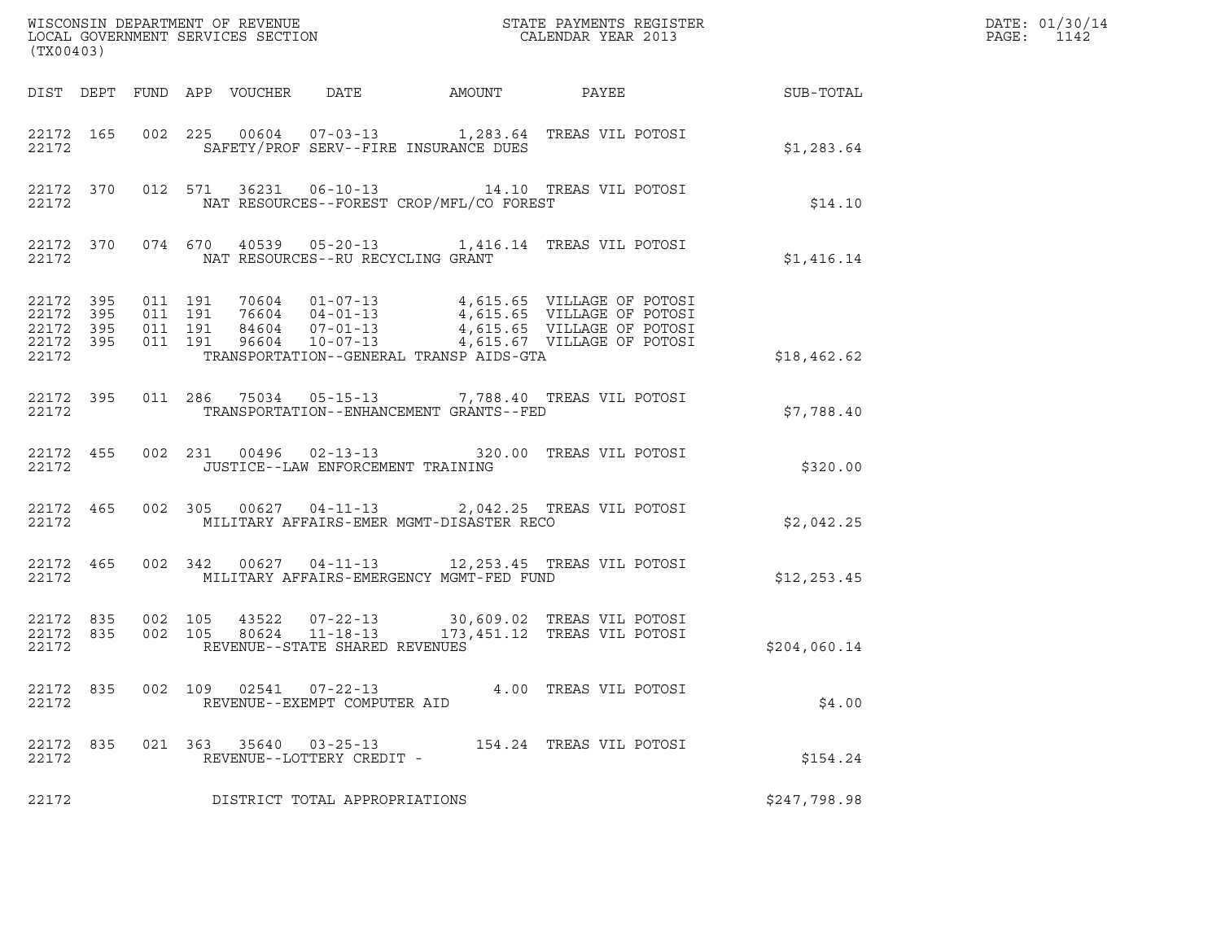| (TX00403)                       |  |               |                                                     |                                             |                                                                                                                                                                                                                                                                                                                    |              | DATE: 01/30/14<br>PAGE:<br>1142 |
|---------------------------------|--|---------------|-----------------------------------------------------|---------------------------------------------|--------------------------------------------------------------------------------------------------------------------------------------------------------------------------------------------------------------------------------------------------------------------------------------------------------------------|--------------|---------------------------------|
|                                 |  |               |                                                     |                                             |                                                                                                                                                                                                                                                                                                                    |              |                                 |
| 22172                           |  |               |                                                     | SAFETY/PROF SERV--FIRE INSURANCE DUES       | 22172 165 002 225 00604 07-03-13 1,283.64 TREAS VIL POTOSI                                                                                                                                                                                                                                                         | \$1,283.64   |                                 |
| 22172                           |  |               |                                                     | NAT RESOURCES--FOREST CROP/MFL/CO FOREST    | 22172 370 012 571 36231 06-10-13 14.10 TREAS VIL POTOSI                                                                                                                                                                                                                                                            | \$14.10      |                                 |
|                                 |  |               | 22172 NAT RESOURCES--RU RECYCLING GRANT             |                                             | 22172 370 074 670 40539 05-20-13 1,416.14 TREAS VIL POTOSI                                                                                                                                                                                                                                                         | \$1,416.14   |                                 |
| 22172                           |  |               |                                                     | TRANSPORTATION--GENERAL TRANSP AIDS-GTA     | $\begin{array}{cccccccc} 22172 & 395 & 011 & 191 & 70604 & 01-07-13 & & 4,615.65 & \text{VILLAGE OF POTOSI} \\ 22172 & 395 & 011 & 191 & 76604 & 04-01-13 & & 4,615.65 & \text{VILLAGE OF POTOSI} \\ 22172 & 395 & 011 & 191 & 84604 & 07-01-13 & & 4,615.65 & \text{VILLAGE OF POTOSI} \\ 22172 & 395 & 011 & 19$ | \$18,462.62  |                                 |
| 22172                           |  |               |                                                     | TRANSPORTATION -- ENHANCEMENT GRANTS -- FED | 22172 395 011 286 75034 05-15-13 7,788.40 TREAS VIL POTOSI                                                                                                                                                                                                                                                         | \$7,788.40   |                                 |
| 22172                           |  |               | JUSTICE--LAW ENFORCEMENT TRAINING                   |                                             | 22172 455 002 231 00496 02-13-13 320.00 TREAS VIL POTOSI                                                                                                                                                                                                                                                           | \$320.00     |                                 |
| 22172                           |  |               |                                                     | MILITARY AFFAIRS-EMER MGMT-DISASTER RECO    | 22172 465 002 305 00627 04-11-13 2,042.25 TREAS VIL POTOSI                                                                                                                                                                                                                                                         | \$2,042.25   |                                 |
| 22172                           |  |               |                                                     | MILITARY AFFAIRS-EMERGENCY MGMT-FED FUND    | 22172 465 002 342 00627 04-11-13 12,253.45 TREAS VIL POTOSI                                                                                                                                                                                                                                                        | \$12, 253.45 |                                 |
| 22172 835<br>22172 835<br>22172 |  |               | REVENUE--STATE SHARED REVENUES                      |                                             | 002 105 43522 07-22-13 30,609.02 TREAS VIL POTOSI<br>002 105 80624 11-18-13 173,451.12 TREAS VIL POTOSI                                                                                                                                                                                                            | \$204,060.14 |                                 |
| 22172 835<br>22172              |  | 002 109 02541 | 07-22-13<br>REVENUE--EXEMPT COMPUTER AID            |                                             | 4.00 TREAS VIL POTOSI                                                                                                                                                                                                                                                                                              | \$4.00       |                                 |
| 22172 835<br>22172              |  |               | 021 363 35640 03-25-13<br>REVENUE--LOTTERY CREDIT - |                                             | 154.24 TREAS VIL POTOSI                                                                                                                                                                                                                                                                                            | \$154.24     |                                 |
| 22172                           |  |               | DISTRICT TOTAL APPROPRIATIONS                       |                                             |                                                                                                                                                                                                                                                                                                                    | \$247,798.98 |                                 |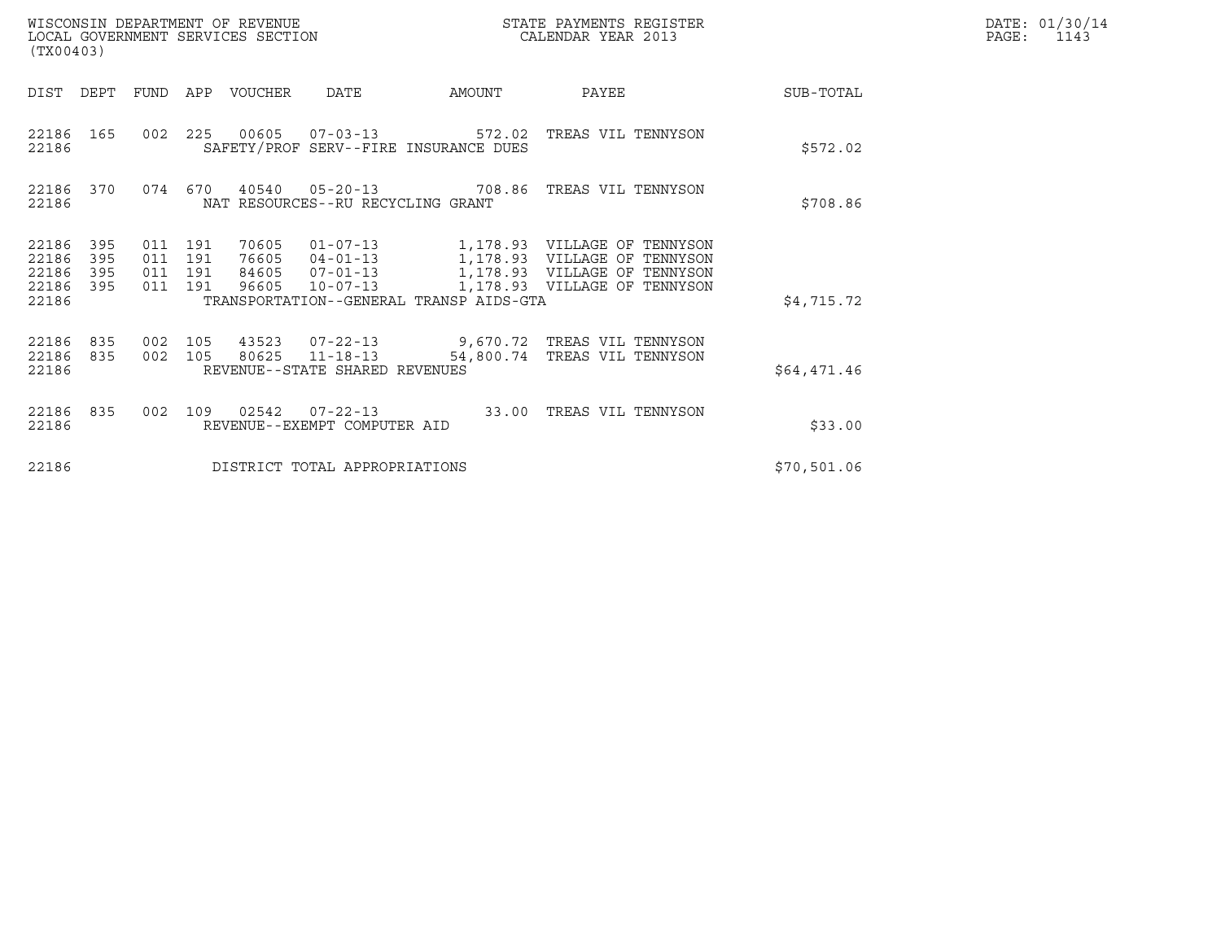| (TX00403)                                 |                          |                                          |     | WISCONSIN DEPARTMENT OF REVENUE<br>LOCAL GOVERNMENT SERVICES SECTION |                                                  |                                         | STATE PAYMENTS REGISTER<br>CALENDAR YEAR 2013                                                                                                           | DATE: 01/30/14<br>PAGE:<br>1143 |  |
|-------------------------------------------|--------------------------|------------------------------------------|-----|----------------------------------------------------------------------|--------------------------------------------------|-----------------------------------------|---------------------------------------------------------------------------------------------------------------------------------------------------------|---------------------------------|--|
| DIST DEPT                                 |                          | FUND                                     |     | APP VOUCHER                                                          | <b>DATE</b>                                      | AMOUNT                                  | PAYEE                                                                                                                                                   | SUB-TOTAL                       |  |
| 22186 165<br>22186                        |                          |                                          |     |                                                                      |                                                  | SAFETY/PROF SERV--FIRE INSURANCE DUES   | 002 225 00605 07-03-13 572.02 TREAS VIL TENNYSON                                                                                                        | \$572.02                        |  |
| 22186 370<br>22186                        |                          | 074 670                                  |     |                                                                      | NAT RESOURCES--RU RECYCLING GRANT                |                                         | 40540  05-20-13  708.86  TREAS VIL TENNYSON                                                                                                             | \$708.86                        |  |
| 22186<br>22186<br>22186<br>22186<br>22186 | 395<br>395<br>395<br>395 | 011 191<br>011 191<br>011 191<br>011 191 |     | 70605<br>76605<br>84605<br>96605                                     | $10 - 07 - 13$                                   | TRANSPORTATION--GENERAL TRANSP AIDS-GTA | 01-07-13 1,178.93 VILLAGE OF TENNYSON<br>04-01-13 1,178.93 VILLAGE OF TENNYSON<br>07-01-13 1,178.93 VILLAGE OF TENNYSON<br>1,178.93 VILLAGE OF TENNYSON | \$4,715.72                      |  |
| 22186<br>22186<br>22186                   | 835<br>835               | 002 105<br>002 105                       |     | 80625                                                                | $11 - 18 - 13$<br>REVENUE--STATE SHARED REVENUES |                                         | 43523  07-22-13  9,670.72  TREAS VIL TENNYSON<br>54,800.74 TREAS VIL TENNYSON                                                                           | \$64,471.46                     |  |
| 22186<br>22186                            | 835                      | 002                                      | 109 |                                                                      | REVENUE--EXEMPT COMPUTER AID                     |                                         | 02542  07-22-13  33.00 TREAS VIL TENNYSON                                                                                                               | \$33.00                         |  |
| 22186                                     |                          |                                          |     |                                                                      | DISTRICT TOTAL APPROPRIATIONS                    |                                         |                                                                                                                                                         | \$70,501.06                     |  |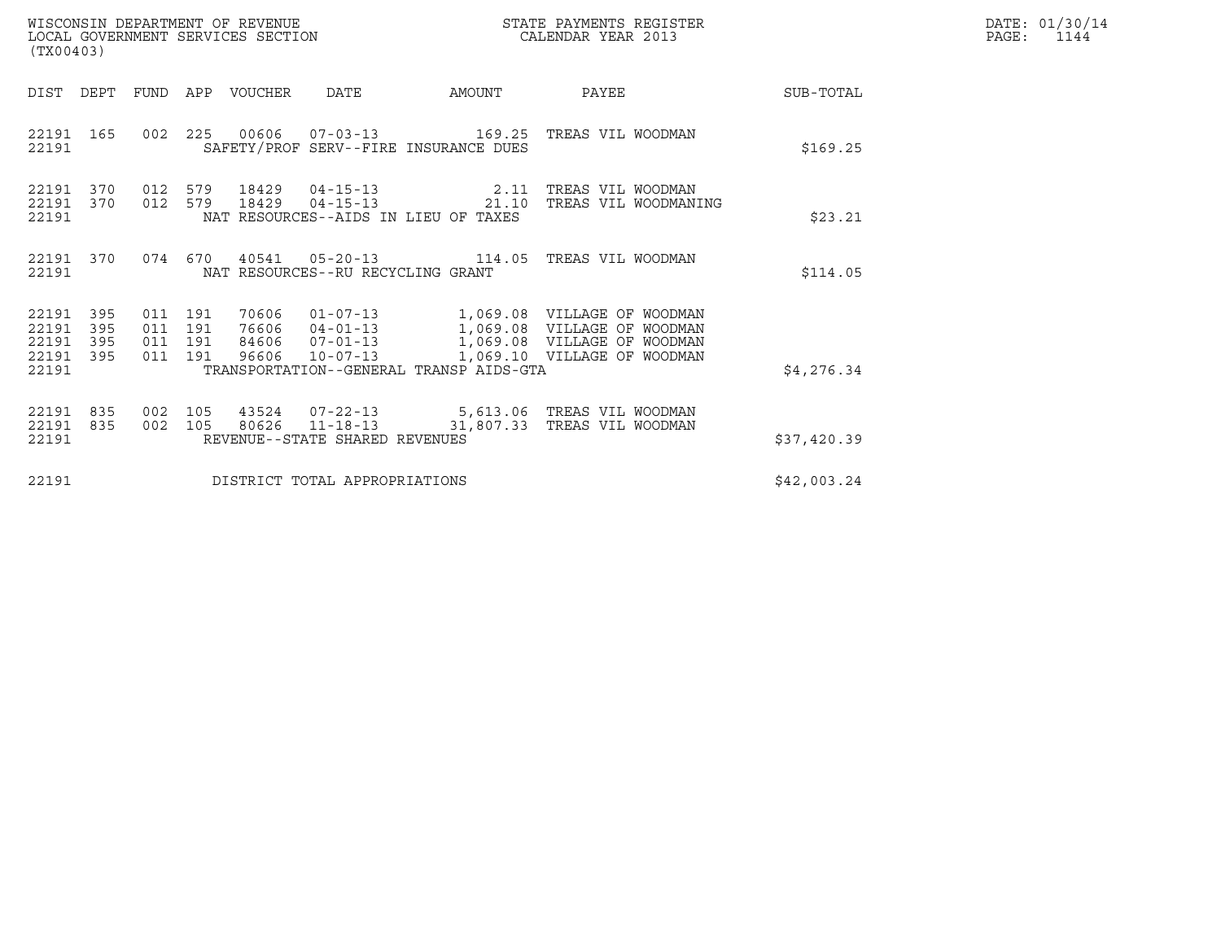| WISCONSIN DEPARTMENT OF REVENUE<br>LOCAL GOVERNMENT SERVICES SECTION | STATE PAYMENTS REGISTER<br>CALENDAR YEAR 2013 | DATE: 01/30/14<br>PAGE: |
|----------------------------------------------------------------------|-----------------------------------------------|-------------------------|

|                                           | WISCONSIN DEPARTMENT OF REVENUE<br>STATE PAYMENTS REGISTER<br>LOCAL GOVERNMENT SERVICES SECTION<br>CALENDAR YEAR 2013<br>(TX00403) |                          |                          |                |                                   |                                         |                                                                                                                                                     |             |  |
|-------------------------------------------|------------------------------------------------------------------------------------------------------------------------------------|--------------------------|--------------------------|----------------|-----------------------------------|-----------------------------------------|-----------------------------------------------------------------------------------------------------------------------------------------------------|-------------|--|
| DIST                                      | DEPT                                                                                                                               | FUND                     | APP                      | VOUCHER        | DATE                              | AMOUNT                                  | PAYEE                                                                                                                                               | SUB-TOTAL   |  |
| 22191<br>22191                            | 165                                                                                                                                | 002                      | 225                      |                |                                   | SAFETY/PROF SERV--FIRE INSURANCE DUES   |                                                                                                                                                     | \$169.25    |  |
| 22191<br>22191<br>22191                   | 370<br>370                                                                                                                         | 012<br>012               | 579<br>579               |                |                                   | NAT RESOURCES--AIDS IN LIEU OF TAXES    | 18429  04-15-13  2.11  TREAS VIL WOODMAN<br>18429  04-15-13  21.10  TREAS VIL WOODMANING                                                            | \$23.21     |  |
| 22191<br>22191                            | 370                                                                                                                                |                          | 074 670                  |                | NAT RESOURCES--RU RECYCLING GRANT |                                         |                                                                                                                                                     | \$114.05    |  |
| 22191<br>22191<br>22191<br>22191<br>22191 | 395<br>395<br>395<br>395                                                                                                           | 011<br>011<br>011<br>011 | 191<br>191<br>191<br>191 | 70606<br>96606 | 84606 07-01-13<br>$10 - 07 - 13$  | TRANSPORTATION--GENERAL TRANSP AIDS-GTA | 01-07-13 1,069.08 VILLAGE OF WOODMAN<br>76606  04-01-13  1,069.08  VILLAGE OF WOODMAN<br>1,069.08 VILLAGE OF WOODMAN<br>1,069.10 VILLAGE OF WOODMAN | \$4,276.34  |  |
|                                           |                                                                                                                                    |                          |                          |                |                                   |                                         |                                                                                                                                                     |             |  |
| 22191<br>22191<br>22191                   | 835<br>835                                                                                                                         | 002<br>002               | 105<br>105               |                | REVENUE--STATE SHARED REVENUES    |                                         | 43524  07-22-13  5,613.06  TREAS VIL WOODMAN<br>80626  11-18-13  31,807.33  TREAS VIL WOODMAN                                                       | \$37,420.39 |  |
| 22191                                     |                                                                                                                                    |                          |                          |                | DISTRICT TOTAL APPROPRIATIONS     |                                         |                                                                                                                                                     | \$42,003.24 |  |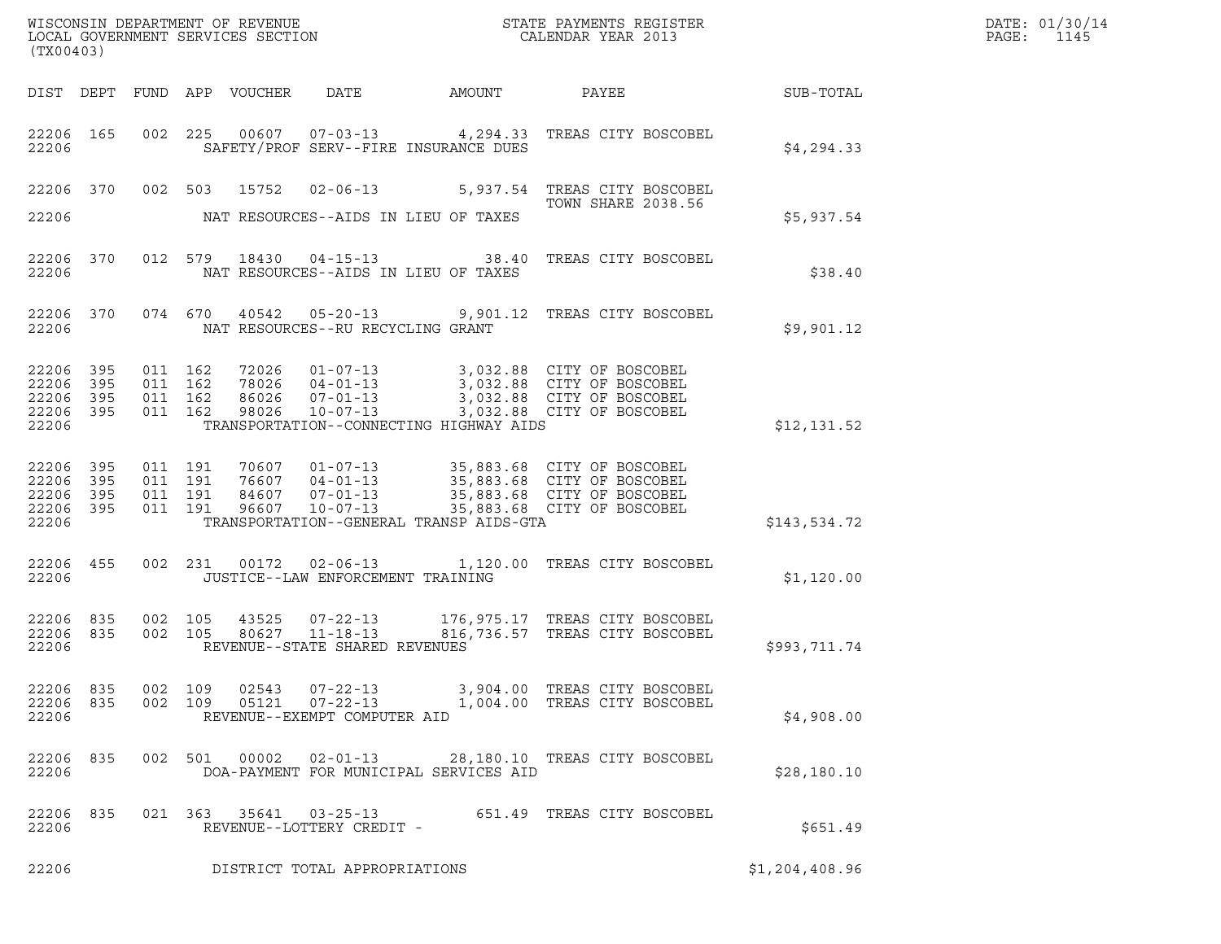| (TX00403)                                     |                            | WISCONSIN DEPARTMENT OF REVENUE<br>LOCAL GOVERNMENT SERVICES SECTION |                                   |                                         | STATE PAYMENTS REGISTER<br>CALENDAR YEAR 2013                                                                                                                                         |                | DATE: 01/30/14<br>PAGE: 1145 |
|-----------------------------------------------|----------------------------|----------------------------------------------------------------------|-----------------------------------|-----------------------------------------|---------------------------------------------------------------------------------------------------------------------------------------------------------------------------------------|----------------|------------------------------|
|                                               |                            | DIST DEPT FUND APP VOUCHER  DATE                                     |                                   | <b>AMOUNT</b>                           | PAYEE                                                                                                                                                                                 | SUB-TOTAL      |                              |
| 22206 165<br>22206                            |                            |                                                                      |                                   | SAFETY/PROF SERV--FIRE INSURANCE DUES   | 002  225  00607  07-03-13  4,294.33  TREAS CITY BOSCOBEL                                                                                                                              | \$4,294.33     |                              |
| 22206                                         |                            |                                                                      |                                   | NAT RESOURCES--AIDS IN LIEU OF TAXES    | 22206 370 002 503 15752 02-06-13 5,937.54 TREAS CITY BOSCOBEL<br><b>TOWN SHARE 2038.56</b>                                                                                            | \$5,937.54     |                              |
| 22206                                         |                            |                                                                      |                                   | NAT RESOURCES--AIDS IN LIEU OF TAXES    | 22206 370 012 579 18430 04-15-13 38.40 TREAS CITY BOSCOBEL                                                                                                                            | \$38.40        |                              |
| 22206                                         |                            |                                                                      | NAT RESOURCES--RU RECYCLING GRANT |                                         | 22206 370 074 670 40542 05-20-13 9,901.12 TREAS CITY BOSCOBEL                                                                                                                         | \$9,901.12     |                              |
| 22206<br>22206<br>22206<br>22206<br>22206     | - 395<br>395<br>395<br>395 | 011 162 98026                                                        | 78026  04-01-13<br>$10 - 07 - 13$ | TRANSPORTATION--CONNECTING HIGHWAY AIDS | 011 162 72026 01-07-13 3,032.88 CITY OF BOSCOBEL<br>011 162 78026 04-01-13 3,032.88 CITY OF BOSCOBEL<br>011 162 86026 07-01-13 3,032.88 CITY OF BOSCOBEL<br>3,032.88 CITY OF BOSCOBEL | \$12,131.52    |                              |
| 22206 395<br>22206<br>22206<br>22206<br>22206 | 395<br>395<br>395          | 011 191<br>011 191<br>011 191<br>011 191                             | 96607 10-07-13                    | TRANSPORTATION--GENERAL TRANSP AIDS-GTA | 70607  01-07-13  35,883.68  CITY OF BOSCOBEL<br>76607  04-01-13  35,883.68  CITY OF BOSCOBEL<br>84607  07-01-13  35,883.68  CITY OF BOSCOBEL<br>35,883.68 CITY OF BOSCOBEL            | \$143,534.72   |                              |
| 22206 455<br>22206                            |                            |                                                                      | JUSTICE--LAW ENFORCEMENT TRAINING |                                         | 002 231 00172 02-06-13 1,120.00 TREAS CITY BOSCOBEL                                                                                                                                   | \$1,120.00     |                              |
| 22206 835<br>22206 835<br>22206               |                            |                                                                      | REVENUE--STATE SHARED REVENUES    |                                         | 002 105 43525 07-22-13 176,975.17 TREAS CITY BOSCOBEL<br>002 105 80627 11-18-13 816,736.57 TREAS CITY BOSCOBEL<br>816,736.57 TREAS CITY BOSCOBEL                                      | \$993,711.74   |                              |
| 22206 835<br>22206 835<br>22206               |                            | 002 109 02543 07-22-13                                               | REVENUE--EXEMPT COMPUTER AID      |                                         | 3,904.00 TREAS CITY BOSCOBEL<br>002  109  05121  07-22-13   1,004.00  TREAS CITY BOSCOBEL                                                                                             | \$4,908.00     |                              |
| 22206 835<br>22206                            |                            | 002 501 00002                                                        | 02-01-13                          | DOA-PAYMENT FOR MUNICIPAL SERVICES AID  | 28,180.10 TREAS CITY BOSCOBEL                                                                                                                                                         | \$28,180.10    |                              |
| 22206 835<br>22206                            |                            | 021 363 35641 03-25-13                                               | REVENUE--LOTTERY CREDIT -         |                                         | 651.49 TREAS CITY BOSCOBEL                                                                                                                                                            | \$651.49       |                              |
| 22206                                         |                            |                                                                      | DISTRICT TOTAL APPROPRIATIONS     |                                         |                                                                                                                                                                                       | \$1,204,408.96 |                              |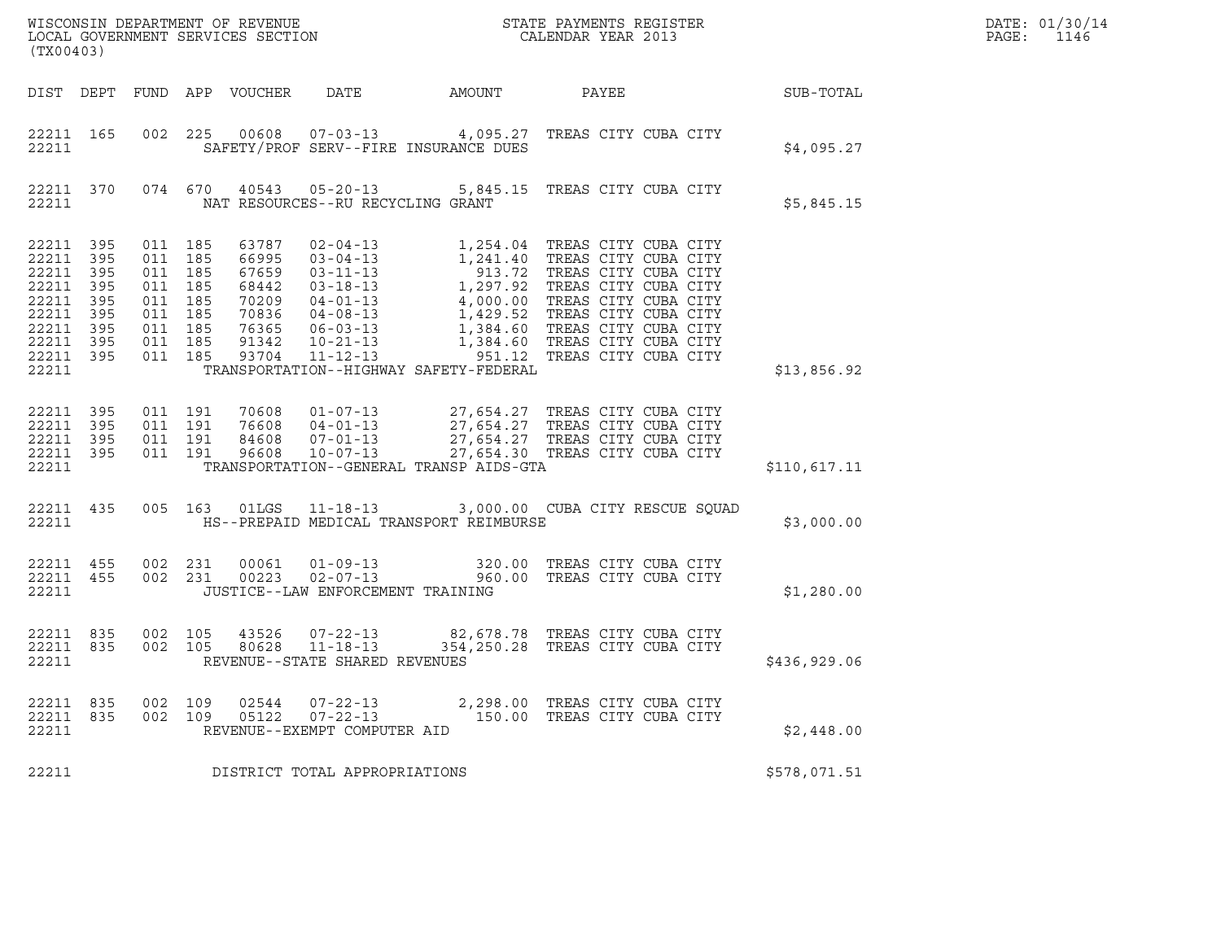| DATE: | 01/30/14 |
|-------|----------|
| PAGE: | 1146     |

| (TX00403)                                                                                                      |                   |                                                                                                 |            |                            |                                                                  |                                         |                                                                                                                                                                                                                                            |                  | DATE: 01/30/14<br>PAGE:<br>1146 |
|----------------------------------------------------------------------------------------------------------------|-------------------|-------------------------------------------------------------------------------------------------|------------|----------------------------|------------------------------------------------------------------|-----------------------------------------|--------------------------------------------------------------------------------------------------------------------------------------------------------------------------------------------------------------------------------------------|------------------|---------------------------------|
|                                                                                                                |                   |                                                                                                 |            | DIST DEPT FUND APP VOUCHER | DATE                                                             | AMOUNT                                  | PAYEE                                                                                                                                                                                                                                      | <b>SUB-TOTAL</b> |                                 |
| 22211                                                                                                          | 22211 165         |                                                                                                 |            |                            |                                                                  | SAFETY/PROF SERV--FIRE INSURANCE DUES   | 002 225 00608 07-03-13 4,095.27 TREAS CITY CUBA CITY                                                                                                                                                                                       | \$4,095.27       |                                 |
| 22211                                                                                                          | 22211 370         |                                                                                                 |            |                            | NAT RESOURCES--RU RECYCLING GRANT                                |                                         | 074 670 40543 05-20-13 5,845.15 TREAS CITY CUBA CITY                                                                                                                                                                                       | \$5,845.15       |                                 |
| 22211 395<br>22211<br>22211 395<br>22211<br>22211 395<br>22211<br>22211 395<br>22211 395<br>22211 395<br>22211 | 395<br>395<br>395 | 011 185<br>011 185<br>011 185<br>011 185<br>011 185<br>011 185<br>011 185<br>011 185<br>011 185 |            |                            |                                                                  | TRANSPORTATION--HIGHWAY SAFETY-FEDERAL  | 63787 02-04-13 1,254.04 TREAS CITY CUBA CITY<br>66995 03-04-13 1,241.40 TREAS CITY CUBA CITY<br>67659 03-11-13 913.72 TREAS CITY CUBA CITY<br>68442 03-18-13 1,297.92 TREAS CITY CUBA CITY<br>70209 04-01-13 4,000.00 TREAS CITY CUBA CITY | \$13,856.92      |                                 |
| 22211 395<br>22211<br>22211 395<br>22211 395<br>22211                                                          | 395               | 011 191<br>011 191<br>011 191<br>011 191                                                        |            |                            |                                                                  | TRANSPORTATION--GENERAL TRANSP AIDS-GTA | 70608  01-07-13  27,654.27 TREAS CITY CUBA CITY<br>76608  04-01-13  27,654.27 TREAS CITY CUBA CITY<br>84608  07-01-13  27,654.27 TREAS CITY CUBA CITY<br>96608  10-07-13  27,654.30 TREAS CITY CUBA CITY                                   | \$110,617.11     |                                 |
| 22211 435<br>22211                                                                                             |                   | 005 163                                                                                         |            | 01LGS                      |                                                                  | HS--PREPAID MEDICAL TRANSPORT REIMBURSE | 11-18-13 3,000.00 CUBA CITY RESCUE SQUAD                                                                                                                                                                                                   | \$3,000.00       |                                 |
| 22211 455<br>22211 455<br>22211                                                                                |                   | 002 231                                                                                         | 002 231    |                            | JUSTICE--LAW ENFORCEMENT TRAINING                                |                                         | 00061  01-09-13  320.00 TREAS CITY CUBA CITY<br>00223  02-07-13  960.00 TREAS CITY CUBA CITY                                                                                                                                               | \$1,280.00       |                                 |
| 22211 835<br>22211 835<br>22211                                                                                |                   | 002 105<br>002 105                                                                              |            | 80628                      | $11 - 18 - 13$<br>REVENUE--STATE SHARED REVENUES                 |                                         | 43526  07-22-13  82,678.78  TREAS CITY CUBA CITY<br>354,250.28 TREAS CITY CUBA CITY                                                                                                                                                        | \$436,929.06     |                                 |
| 22211<br>22211<br>22211                                                                                        | 835<br>835        | 002<br>002                                                                                      | 109<br>109 | 02544<br>05122             | $07 - 22 - 13$<br>$07 - 22 - 13$<br>REVENUE--EXEMPT COMPUTER AID |                                         | 2,298.00 TREAS CITY CUBA CITY<br>150.00 TREAS CITY CUBA CITY                                                                                                                                                                               | \$2,448.00       |                                 |
| 22211                                                                                                          |                   |                                                                                                 |            |                            | DISTRICT TOTAL APPROPRIATIONS                                    | \$578,071.51                            |                                                                                                                                                                                                                                            |                  |                                 |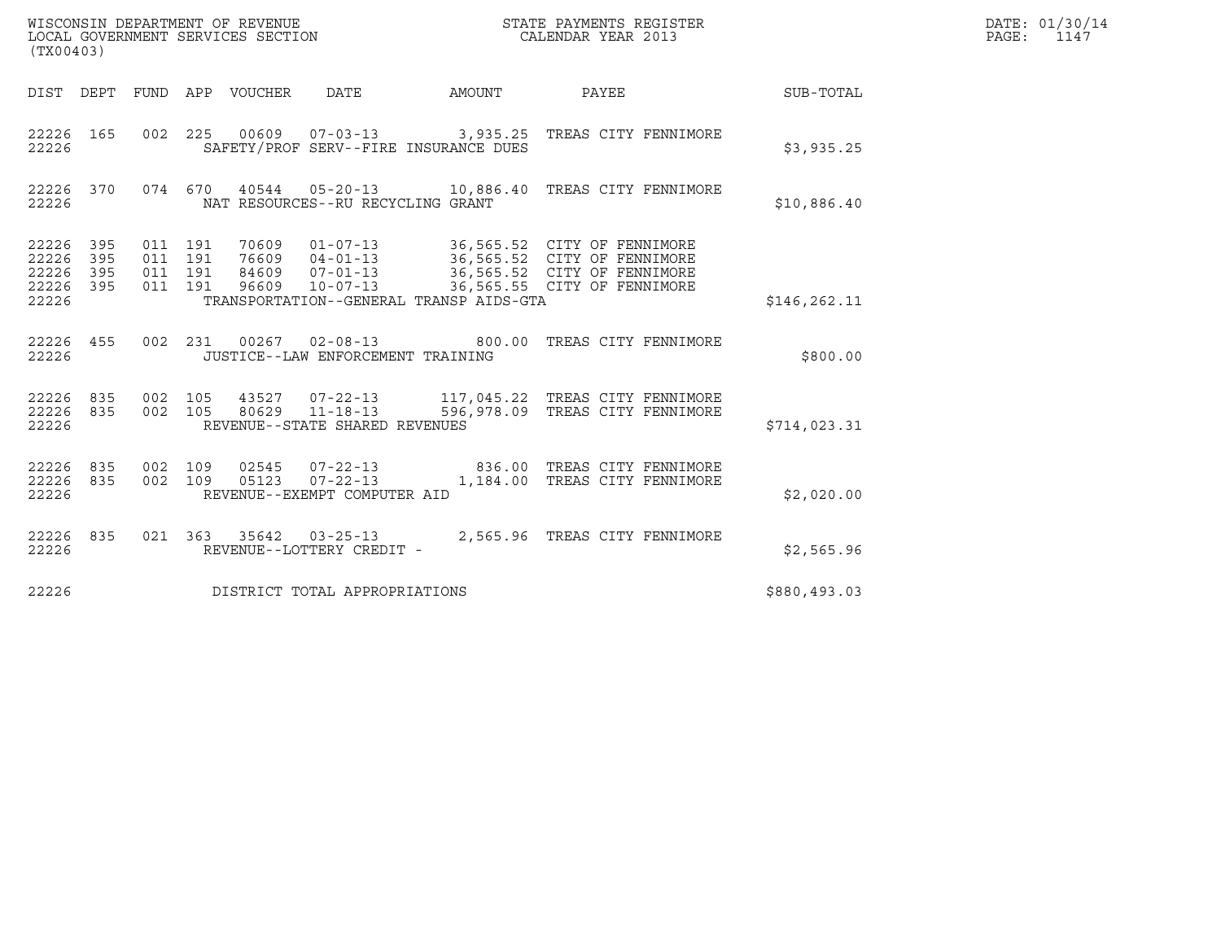| (TX00403)                                     |                   |                                          |         | WISCONSIN DEPARTMENT OF REVENUE<br>LOCAL GOVERNMENT SERVICES SECTION |                                                                                               |               | STATE PAYMENTS REGISTER<br>CALENDAR YEAR 2013                                                                                     |               | DATE: 01/30/14<br>PAGE:<br>1147 |
|-----------------------------------------------|-------------------|------------------------------------------|---------|----------------------------------------------------------------------|-----------------------------------------------------------------------------------------------|---------------|-----------------------------------------------------------------------------------------------------------------------------------|---------------|---------------------------------|
| DIST DEPT                                     |                   |                                          |         | FUND APP VOUCHER                                                     | <b>DATE</b>                                                                                   | <b>AMOUNT</b> | PAYEE                                                                                                                             | SUB-TOTAL     |                                 |
| 22226 165<br>22226                            |                   | 002 225                                  |         |                                                                      | SAFETY/PROF SERV--FIRE INSURANCE DUES                                                         |               | 00609  07-03-13  3,935.25  TREAS CITY FENNIMORE                                                                                   | \$3,935.25    |                                 |
| 22226 370<br>22226                            |                   |                                          |         |                                                                      | NAT RESOURCES--RU RECYCLING GRANT                                                             |               | 074 670 40544 05-20-13 10,886.40 TREAS CITY FENNIMORE                                                                             | \$10,886.40   |                                 |
| 22226 395<br>22226<br>22226<br>22226<br>22226 | 395<br>395<br>395 | 011 191<br>011 191<br>011 191<br>011 191 |         | 70609<br>76609<br>84609<br>96609                                     | $01 - 07 - 13$<br>$04 - 01 - 13$<br>$07 - 01 - 13$<br>TRANSPORTATION--GENERAL TRANSP AIDS-GTA |               | 36,565.52 CITY OF FENNIMORE<br>36,565.52 CITY OF FENNIMORE<br>36,565.52 CITY OF FENNIMORE<br>10-07-13 36,565.55 CITY OF FENNIMORE | \$146, 262.11 |                                 |
| 22226 455<br>22226                            |                   |                                          | 002 231 |                                                                      | $00267$ $02-08-13$<br>JUSTICE--LAW ENFORCEMENT TRAINING                                       |               | 800.00 TREAS CITY FENNIMORE                                                                                                       | \$800.00      |                                 |
| 22226 835<br>22226<br>22226                   | 835               | 002 105<br>002 105                       |         | 43527<br>80629                                                       | $07 - 22 - 13$<br>$11 - 18 - 13$<br>REVENUE--STATE SHARED REVENUES                            |               | 117,045.22 TREAS CITY FENNIMORE<br>596,978.09 TREAS CITY FENNIMORE                                                                | \$714,023.31  |                                 |
| 22226 835<br>22226<br>22226                   | 835               | 002 109<br>002 109                       |         | 02545<br>05123                                                       | $07 - 22 - 13$<br>$07 - 22 - 13$<br>REVENUE--EXEMPT COMPUTER AID                              |               | 836.00 TREAS CITY FENNIMORE<br>1,184.00 TREAS CITY FENNIMORE                                                                      | \$2,020.00    |                                 |
| 22226 835<br>22226                            |                   |                                          |         |                                                                      | 021 363 35642 03-25-13<br>REVENUE--LOTTERY CREDIT -                                           |               | 2,565.96 TREAS CITY FENNIMORE                                                                                                     | \$2,565.96    |                                 |
| 22226                                         |                   |                                          |         |                                                                      | DISTRICT TOTAL APPROPRIATIONS                                                                 |               |                                                                                                                                   | \$880,493.03  |                                 |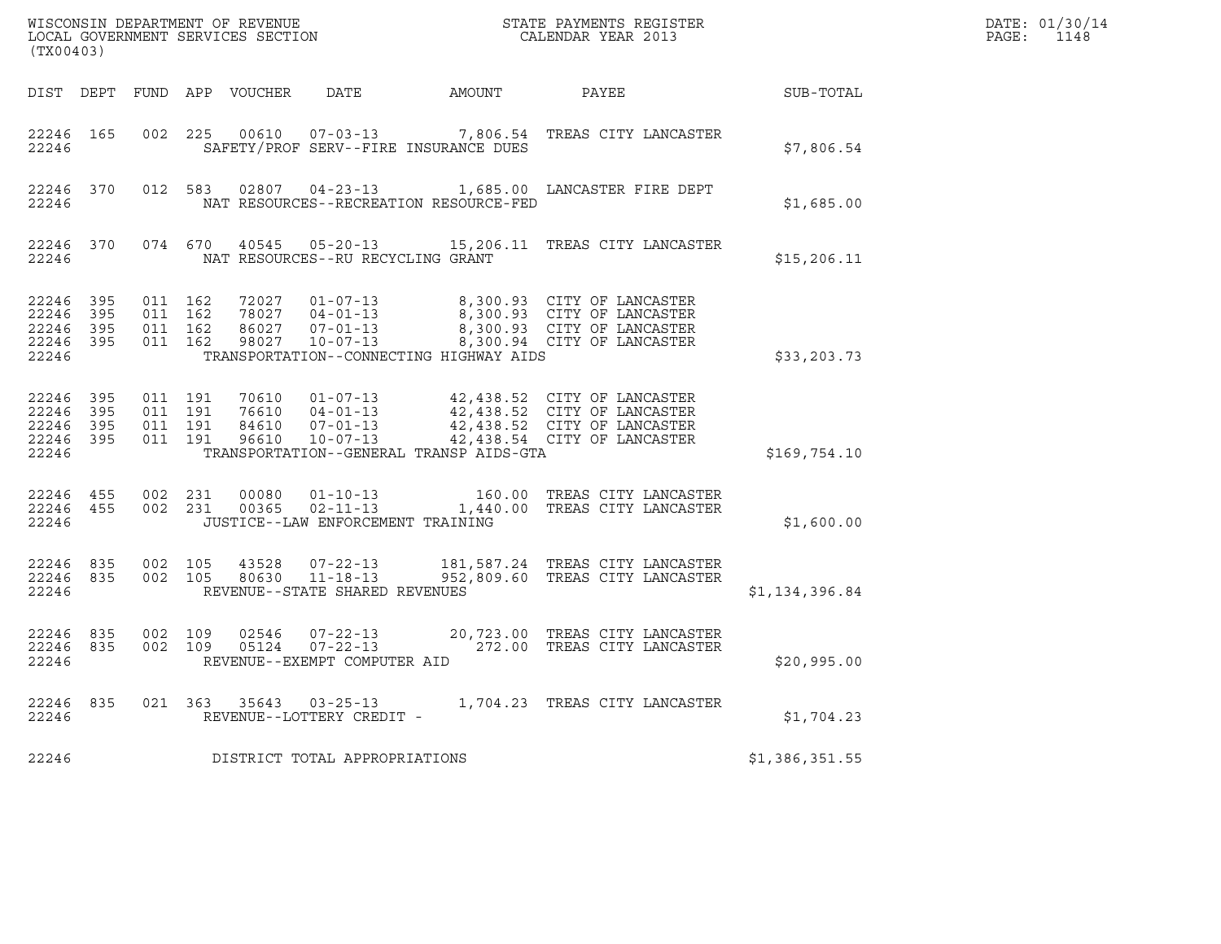| WISCONSIN DEPARTMENT OF REVENUE<br>LOCAL GOVERNMENT SERVICES SECTION<br>(TX00403) |           |                                          |         |       |                                                           | STATE PAYMENTS REGISTER<br>CALENDAR YEAR 2013                                                                                                                                                    |                | DATE: 01/30/14<br>$\mathtt{PAGE:}$<br>1148 |
|-----------------------------------------------------------------------------------|-----------|------------------------------------------|---------|-------|-----------------------------------------------------------|--------------------------------------------------------------------------------------------------------------------------------------------------------------------------------------------------|----------------|--------------------------------------------|
|                                                                                   |           |                                          |         |       |                                                           | DIST DEPT FUND APP VOUCHER DATE AMOUNT PAYEE                                                                                                                                                     | SUB-TOTAL      |                                            |
| 22246 165<br>22246                                                                |           | 002 225                                  |         |       | SAFETY/PROF SERV--FIRE INSURANCE DUES                     | 00610  07-03-13  7,806.54  TREAS CITY LANCASTER                                                                                                                                                  | \$7,806.54     |                                            |
| 22246                                                                             | 22246 370 |                                          |         |       | NAT RESOURCES--RECREATION RESOURCE-FED                    | 012 583 02807 04-23-13 1,685.00 LANCASTER FIRE DEPT                                                                                                                                              | \$1,685.00     |                                            |
| 22246                                                                             |           |                                          |         |       | NAT RESOURCES--RU RECYCLING GRANT                         | 22246 370 074 670 40545 05-20-13 15,206.11 TREAS CITY LANCASTER                                                                                                                                  | \$15, 206.11   |                                            |
| 22246 395<br>22246 395<br>22246 395<br>22246 395<br>22246                         |           | 011 162<br>011 162<br>011 162<br>011 162 |         |       | 86027 07-01-13<br>TRANSPORTATION--CONNECTING HIGHWAY AIDS | 72027  01-07-13  8,300.93  CITY OF LANCASTER<br>78027  04-01-13  8,300.93  CITY OF LANCASTER<br>8,300.93 CITY OF LANCASTER<br>98027 10-07-13 8,300.94 CITY OF LANCASTER                          | \$33, 203.73   |                                            |
| 22246 395<br>22246<br>22246 395<br>22246 395<br>22246                             | 395       | 011 191<br>011 191<br>011 191            | 011 191 |       | TRANSPORTATION--GENERAL TRANSP AIDS-GTA                   | 70610  01-07-13  42,438.52  CITY OF LANCASTER<br>76610  04-01-13  42,438.52  CITY OF LANCASTER<br>84610  07-01-13  42,438.52  CITY OF LANCASTER<br>96610  10-07-13  42,438.54  CITY OF LANCASTER | \$169,754.10   |                                            |
| 22246 455<br>22246 455<br>22246                                                   |           | 002 231                                  | 002 231 |       | JUSTICE--LAW ENFORCEMENT TRAINING                         | $\begin{array}{cccc} 00080 & 01\texttt{-}10\texttt{-}13 & 160.00 & \texttt{TERS CITY LANCASTER} \\ 00365 & 02\texttt{-}11\texttt{-}13 & 1,440.00 & \texttt{TERS CITY LANCASTER} \end{array}$     | \$1,600.00     |                                            |
| 22246 835 002 105<br>22246 835<br>22246                                           |           |                                          | 002 105 | 43528 | REVENUE--STATE SHARED REVENUES                            | $\begin{array}{cccc} 43528 & 07\text{-}22\text{-}13 & 181,587.24 & \text{TREAS CITY LANCASTER} \\ 80630 & 11\text{-}18\text{-}13 & 952,809.60 & \text{TREAS CITY LANCASTER} \end{array}$         | \$1,134,396.84 |                                            |
| 22246 835<br>22246 835<br>22246                                                   |           | 002 109                                  |         |       | REVENUE--EXEMPT COMPUTER AID                              | 002 109 02546 07-22-13 20,723.00 TREAS CITY LANCASTER<br>002 109 05124 07-22-13 272.00 TREAS CITY LANCASTER                                                                                      | \$20,995.00    |                                            |
| 22246                                                                             |           |                                          |         |       | REVENUE--LOTTERY CREDIT -                                 | 22246 835 021 363 35643 03-25-13 1,704.23 TREAS CITY LANCASTER                                                                                                                                   | \$1,704.23     |                                            |
| 22246                                                                             |           |                                          |         |       | DISTRICT TOTAL APPROPRIATIONS                             |                                                                                                                                                                                                  | \$1,386,351.55 |                                            |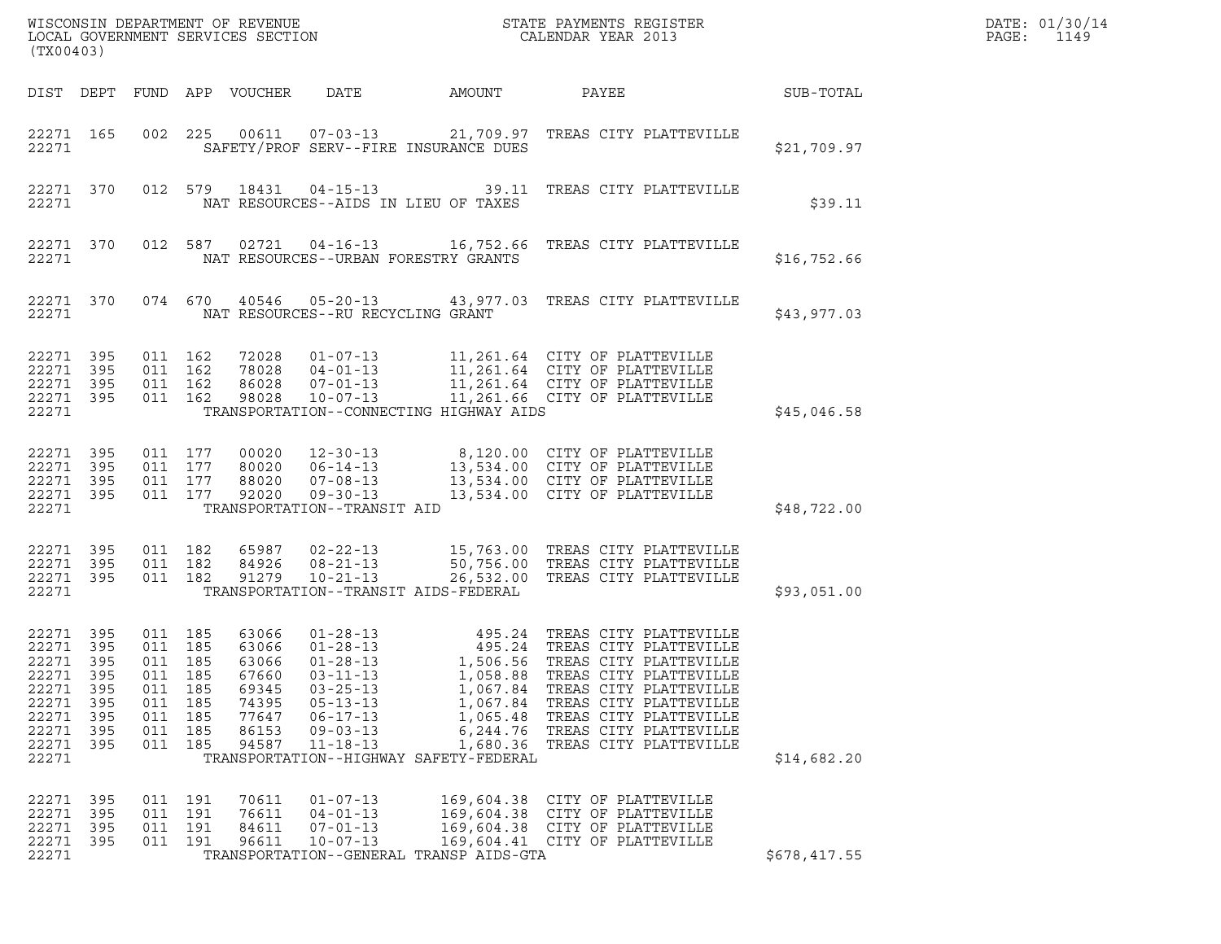| $\tt WISCONSIM DEPARTMENT OF REVENUE$ $\tt WISCONSIM EN THE RISTERLOCAL GOVERNMENT SERVICES SECTION CALENDAR YEAR 2013$<br>(TX00403) |                                               |                                                                             |                                 |                                                                               |                                                                                                                            |                                                                                                                |                                                                                                                                                                                                                                                                                                                                                                                 |              | DATE: 01/30/14<br>PAGE:<br>1149 |
|--------------------------------------------------------------------------------------------------------------------------------------|-----------------------------------------------|-----------------------------------------------------------------------------|---------------------------------|-------------------------------------------------------------------------------|----------------------------------------------------------------------------------------------------------------------------|----------------------------------------------------------------------------------------------------------------|---------------------------------------------------------------------------------------------------------------------------------------------------------------------------------------------------------------------------------------------------------------------------------------------------------------------------------------------------------------------------------|--------------|---------------------------------|
|                                                                                                                                      |                                               |                                                                             |                                 | DIST DEPT FUND APP VOUCHER                                                    | DATE                                                                                                                       | AMOUNT                                                                                                         | PAYEE                                                                                                                                                                                                                                                                                                                                                                           | SUB-TOTAL    |                                 |
| 22271 165<br>22271                                                                                                                   |                                               |                                                                             | 002 225                         |                                                                               |                                                                                                                            | SAFETY/PROF SERV--FIRE INSURANCE DUES                                                                          | 00611  07-03-13  21,709.97  TREAS CITY PLATTEVILLE                                                                                                                                                                                                                                                                                                                              | \$21,709.97  |                                 |
| 22271 370<br>22271                                                                                                                   |                                               |                                                                             |                                 |                                                                               |                                                                                                                            | NAT RESOURCES--AIDS IN LIEU OF TAXES                                                                           | 012 579 18431 04-15-13 39.11 TREAS CITY PLATTEVILLE                                                                                                                                                                                                                                                                                                                             | \$39.11      |                                 |
| 22271 370<br>22271                                                                                                                   |                                               |                                                                             | 012 587                         | 02721                                                                         |                                                                                                                            | NAT RESOURCES--URBAN FORESTRY GRANTS                                                                           |                                                                                                                                                                                                                                                                                                                                                                                 | \$16,752.66  |                                 |
| 22271 370<br>22271                                                                                                                   |                                               |                                                                             |                                 |                                                                               | NAT RESOURCES--RU RECYCLING GRANT                                                                                          |                                                                                                                | 074 670 40546 05-20-13 43,977.03 TREAS CITY PLATTEVILLE                                                                                                                                                                                                                                                                                                                         | \$43,977.03  |                                 |
| 22271 395<br>22271<br>22271 395<br>22271 395<br>22271                                                                                | 395                                           | 011 162<br>011 162<br>011 162<br>011 162                                    |                                 | 72028<br>78028<br>86028<br>98028                                              | $04 - 01 - 13$<br>$07 - 01 - 13$<br>$10 - 07 - 13$                                                                         | TRANSPORTATION--CONNECTING HIGHWAY AIDS                                                                        | 01-07-13 11,261.64 CITY OF PLATTEVILLE<br>11,261.64 CITY OF PLATTEVILLE<br>11,261.64 CITY OF PLATTEVILLE<br>11,261.66 CITY OF PLATTEVILLE                                                                                                                                                                                                                                       | \$45,046.58  |                                 |
| 22271 395<br>22271 395<br>22271<br>22271 395<br>22271                                                                                | 395                                           | 011 177<br>011 177<br>011 177<br>011 177                                    |                                 | 00020<br>80020<br>88020<br>92020                                              | $12 - 30 - 13$<br>$06 - 14 - 13$<br>$07 - 08 - 13$<br>$09 - 30 - 13$<br>TRANSPORTATION--TRANSIT AID                        |                                                                                                                | 8,120.00 CITY OF PLATTEVILLE<br>13,534.00 CITY OF PLATTEVILLE<br>13,534.00 CITY OF PLATTEVILLE<br>13,534.00 CITY OF PLATTEVILLE                                                                                                                                                                                                                                                 | \$48,722.00  |                                 |
| 22271 395<br>22271<br>22271 395<br>22271                                                                                             | 395                                           | 011 182<br>011 182<br>011 182                                               |                                 | 65987<br>84926<br>91279                                                       | $02 - 22 - 13$<br>$08 - 21 - 13$<br>$10 - 21 - 13$                                                                         | TRANSPORTATION--TRANSIT AIDS-FEDERAL                                                                           | 15,763.00 TREAS CITY PLATTEVILLE<br>50,756.00 TREAS CITY PLATTEVILLE<br>26,532.00 TREAS CITY PLATTEVILLE                                                                                                                                                                                                                                                                        | \$93,051.00  |                                 |
| 22271 395<br>22271<br>22271 395<br>22271<br>22271<br>22271<br>22271<br>22271<br>22271<br>22271                                       | 395<br>395<br>395<br>395<br>395<br>395<br>395 | 011 185<br>011 185<br>011 185<br>011<br>011<br>011<br>011<br>011<br>011 185 | 185<br>185<br>185<br>185<br>185 | 63066<br>63066<br>63066<br>67660<br>69345<br>74395<br>77647<br>86153<br>94587 | $01 - 28 - 13$<br>$03 - 11 - 13$<br>$03 - 25 - 13$<br>$05 - 13 - 13$<br>$06 - 17 - 13$<br>$09 - 03 - 13$<br>$11 - 18 - 13$ | 1,058.88<br>1,067.84<br>1,067.84<br>1,065.48<br>6,244.76<br>1,680.36<br>TRANSPORTATION--HIGHWAY SAFETY-FEDERAL | $\begin{array}{cccc} \texttt{01-28-13} & \texttt{495.24} & \texttt{TREAS CITY PLATTEVILLE} \\ \texttt{01-28-13} & \texttt{495.24} & \texttt{TREAS CITY PLATTEVILLE} \end{array}$<br>1,506.56 TREAS CITY PLATTEVILLE<br>TREAS CITY PLATTEVILLE<br>TREAS CITY PLATTEVILLE<br>TREAS CITY PLATTEVILLE<br>TREAS CITY PLATTEVILLE<br>TREAS CITY PLATTEVILLE<br>TREAS CITY PLATTEVILLE | \$14,682.20  |                                 |
| 22271 395<br>22271<br>22271<br>22271<br>22271                                                                                        | 395<br>- 395<br>395                           | 011 191<br>011<br>011 191<br>011 191                                        | 191                             | 70611<br>76611<br>84611<br>96611                                              | $01 - 07 - 13$<br>$04 - 01 - 13$<br>$07 - 01 - 13$<br>$10 - 07 - 13$                                                       | 169,604.38<br>169,604.38<br>TRANSPORTATION--GENERAL TRANSP AIDS-GTA                                            | CITY OF PLATTEVILLE<br>CITY OF PLATTEVILLE<br>169,604.38 CITY OF PLATTEVILLE<br>169,604.41 CITY OF PLATTEVILLE                                                                                                                                                                                                                                                                  | \$678,417.55 |                                 |